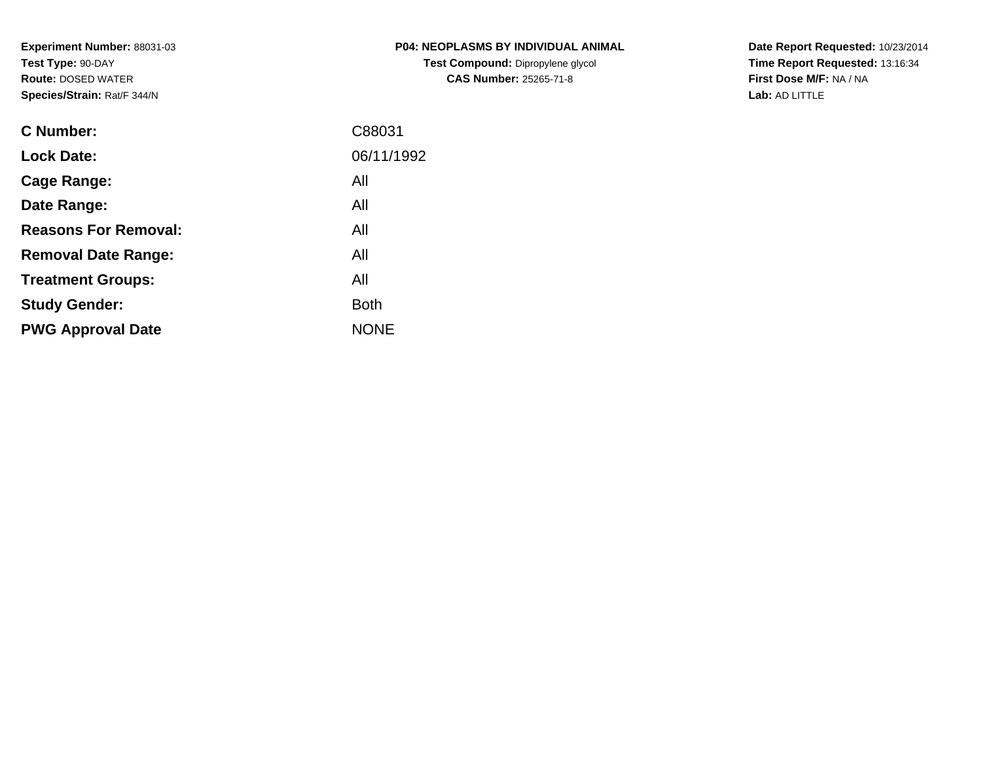**Experiment Number:** 88031-03**Test Type:** 90-DAY **Route:** DOSED WATER**Species/Strain:** Rat/F 344/N

| <b>P04: NEOPLASMS BY INDIVIDUAL ANIMAL</b> |
|--------------------------------------------|
| <b>Test Compound: Dipropylene glycol</b>   |
| <b>CAS Number: 25265-71-8</b>              |

**Date Report Requested:** 10/23/2014 **Time Report Requested:** 13:16:34**First Dose M/F:** NA / NA**Lab:** AD LITTLE

| C Number:                   | C88031      |
|-----------------------------|-------------|
| <b>Lock Date:</b>           | 06/11/1992  |
| Cage Range:                 | All         |
| Date Range:                 | All         |
| <b>Reasons For Removal:</b> | All         |
| <b>Removal Date Range:</b>  | All         |
| <b>Treatment Groups:</b>    | All         |
| <b>Study Gender:</b>        | <b>Both</b> |
| <b>PWG Approval Date</b>    | <b>NONE</b> |
|                             |             |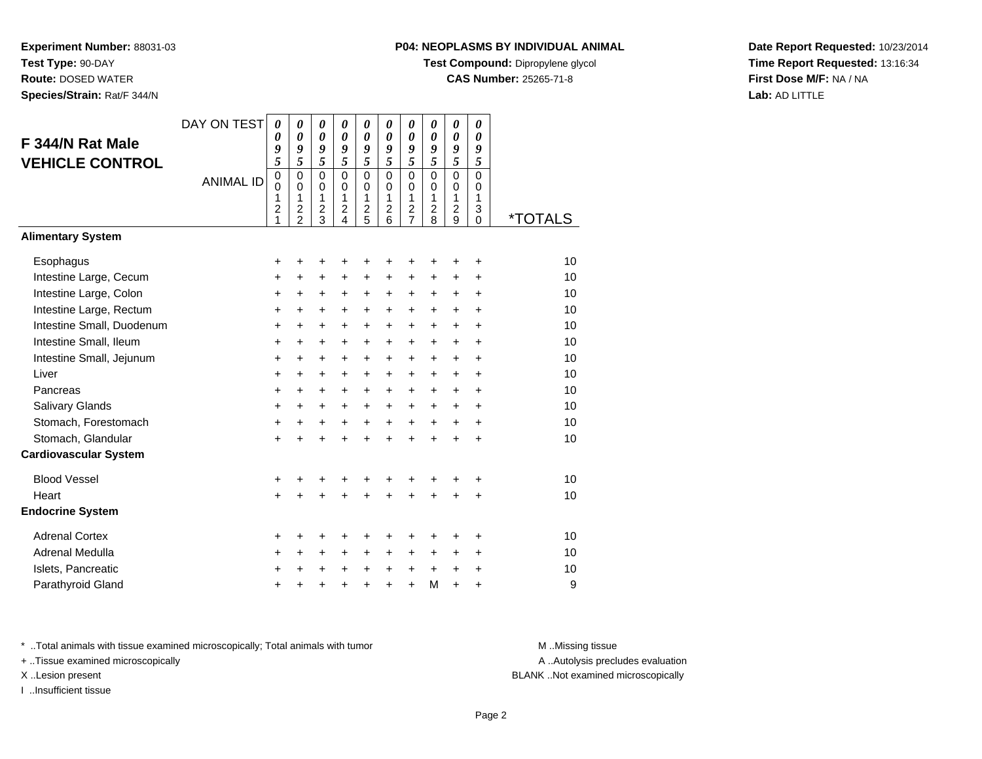**Experiment Number:** 88031-03**Test Type:** 90-DAY**Route:** DOSED WATER

**Species/Strain:** Rat/F 344/N

### **P04: NEOPLASMS BY INDIVIDUAL ANIMAL**

**Test Compound:** Dipropylene glycol

**CAS Number:** 25265-71-8

**Date Report Requested:** 10/23/2014**Time Report Requested:** 13:16:34**First Dose M/F:** NA / NA**Lab:** AD LITTLE

|                              | DAY ON TEST      | $\boldsymbol{\theta}$ | 0                                  | 0                            | 0                                | 0                          | $\boldsymbol{\theta}$      | 0                          | 0                            | 0                   | 0                          |                       |
|------------------------------|------------------|-----------------------|------------------------------------|------------------------------|----------------------------------|----------------------------|----------------------------|----------------------------|------------------------------|---------------------|----------------------------|-----------------------|
| F 344/N Rat Male             |                  | 0<br>9                | $\boldsymbol{\theta}$<br>9         | 0<br>9                       | 0<br>9                           | $\boldsymbol{\theta}$<br>9 | $\boldsymbol{\theta}$<br>9 | 0<br>9                     | 0<br>9                       | 0<br>9              | $\boldsymbol{\theta}$<br>9 |                       |
| <b>VEHICLE CONTROL</b>       |                  | 5                     | $\overline{\mathbf{5}}$            | $\overline{5}$               | 5                                | 5                          | 5                          | $\overline{5}$             | $\overline{5}$               | $\tilde{s}$         | 5                          |                       |
|                              | <b>ANIMAL ID</b> | $\mathbf 0$<br>0      | $\mathbf 0$<br>$\Omega$            | $\mathbf 0$<br>$\mathbf 0$   | $\Omega$<br>$\Omega$             | $\mathbf 0$<br>$\mathbf 0$ | $\Omega$<br>$\Omega$       | $\mathbf 0$<br>$\mathbf 0$ | 0<br>$\Omega$                | $\mathbf 0$<br>0    | $\mathbf 0$<br>$\Omega$    |                       |
|                              |                  | 1                     | 1                                  | 1                            | $\mathbf{1}$                     | 1                          | $\mathbf{1}$               | 1                          | 1                            | 1                   | $\mathbf{1}$               |                       |
|                              |                  | $\overline{c}$<br>1   | $\boldsymbol{2}$<br>$\overline{2}$ | $\overline{\mathbf{c}}$<br>3 | $\overline{c}$<br>$\overline{4}$ | $\frac{2}{5}$              | $\overline{c}$<br>6        | $\frac{2}{7}$              | $\overline{\mathbf{c}}$<br>8 | $\overline{c}$<br>9 | 3<br>$\Omega$              | <i><b>*TOTALS</b></i> |
| <b>Alimentary System</b>     |                  |                       |                                    |                              |                                  |                            |                            |                            |                              |                     |                            |                       |
| Esophagus                    |                  | +                     | +                                  | +                            | +                                | ٠                          | +                          | +                          | +                            | +                   | +                          | 10                    |
| Intestine Large, Cecum       |                  | $\ddot{}$             | $\ddot{}$                          | $\ddot{}$                    | $\ddot{}$                        | $\ddot{}$                  | $\ddot{}$                  | $\ddot{}$                  | +                            | +                   | $\ddot{}$                  | 10                    |
| Intestine Large, Colon       |                  | $\ddot{}$             | +                                  | +                            | +                                | +                          | $\ddot{}$                  | $\ddot{}$                  | +                            | +                   | $\ddot{}$                  | 10                    |
| Intestine Large, Rectum      |                  | $\ddot{}$             | $\ddot{}$                          | $\ddot{}$                    | $\ddot{}$                        | $\ddot{}$                  | $\ddot{}$                  | $\ddot{}$                  | $\ddot{}$                    | $+$                 | $\ddot{}$                  | 10                    |
| Intestine Small, Duodenum    |                  | $\ddot{}$             | $\ddot{}$                          | $\ddot{}$                    | $\ddot{}$                        | $\ddot{}$                  | $\ddot{}$                  | $\ddot{}$                  | $\ddot{}$                    | $\ddot{}$           | $\ddot{}$                  | 10                    |
| Intestine Small, Ileum       |                  | $\ddot{}$             | $\ddot{}$                          | +                            | +                                | $\ddot{}$                  | $\ddot{}$                  | $\ddot{}$                  | $\pm$                        | $\ddot{}$           | $\ddot{}$                  | 10                    |
| Intestine Small, Jejunum     |                  | $\ddot{}$             | +                                  | +                            | +                                | +                          | $\ddot{}$                  | $\ddot{}$                  | $\pm$                        | $\ddot{}$           | $\ddot{}$                  | 10                    |
| Liver                        |                  | $\ddot{}$             | $\ddot{}$                          | $+$                          | $\ddot{}$                        | $\ddot{}$                  | $+$                        | $\ddot{}$                  | $+$                          | $\ddot{}$           | $\ddot{}$                  | 10                    |
| Pancreas                     |                  | $\ddot{}$             | $\ddot{}$                          | $\ddot{}$                    | $\ddot{}$                        | $\ddot{}$                  | $\ddot{}$                  | $\ddot{}$                  | $\ddot{}$                    | $\ddot{}$           | $\ddot{}$                  | 10                    |
| Salivary Glands              |                  | $\ddot{}$             | $\ddot{}$                          | +                            | $\ddot{}$                        | $\ddot{}$                  | $\ddot{}$                  | $\ddot{}$                  | $\ddot{}$                    | $\ddot{}$           | $\ddot{}$                  | 10                    |
| Stomach, Forestomach         |                  | $\ddot{}$             | +                                  | +                            | +                                | $\ddot{}$                  | $+$                        | $\ddot{}$                  | $\ddot{}$                    | $\ddot{}$           | $\ddot{}$                  | 10                    |
| Stomach, Glandular           |                  | $\ddot{}$             | ÷                                  | $\ddot{}$                    | $\ddot{}$                        | $\ddot{}$                  | ÷                          | $\ddot{}$                  | $\ddot{}$                    | $\ddot{}$           | $\ddot{}$                  | 10                    |
| <b>Cardiovascular System</b> |                  |                       |                                    |                              |                                  |                            |                            |                            |                              |                     |                            |                       |
| <b>Blood Vessel</b>          |                  | $\ddot{}$             | +                                  | +                            | +                                | +                          | ٠                          | +                          | +                            | +                   | +                          | 10                    |
| Heart                        |                  | $\ddot{}$             |                                    | $\ddot{}$                    | $\ddot{}$                        | $\ddot{}$                  | $\ddot{}$                  | $\ddot{}$                  | $\ddot{}$                    | $\ddot{}$           | +                          | 10                    |
| <b>Endocrine System</b>      |                  |                       |                                    |                              |                                  |                            |                            |                            |                              |                     |                            |                       |
| <b>Adrenal Cortex</b>        |                  | +                     | +                                  | +                            | +                                | +                          | +                          | ٠                          | ٠                            | +                   | ÷                          | 10                    |
| Adrenal Medulla              |                  | $\ddot{}$             | $\ddot{}$                          | +                            | $\ddot{}$                        | +                          | $\ddot{}$                  | $\ddot{}$                  | $\pm$                        | $\ddot{}$           | $\ddot{}$                  | 10                    |
| Islets, Pancreatic           |                  | +                     | +                                  | +                            | +                                | $\ddot{}$                  | +                          | $\ddot{}$                  | $\ddot{}$                    | +                   | +                          | 10                    |
| Parathyroid Gland            |                  | +                     |                                    | +                            | $\ddot{}$                        | $\ddot{}$                  | $\ddot{}$                  | $\ddot{}$                  | M                            | $\ddot{}$           | +                          | 9                     |

\* ..Total animals with tissue examined microscopically; Total animals with tumor **M** . Missing tissue M ..Missing tissue

+ ..Tissue examined microscopically

I ..Insufficient tissue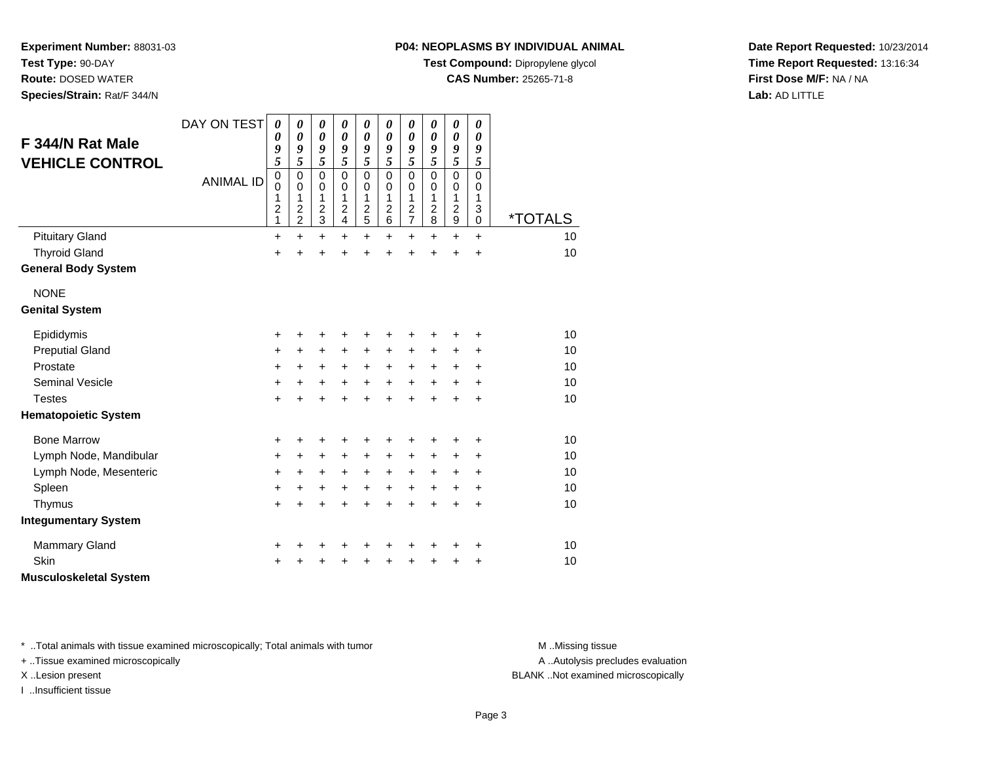**P04: NEOPLASMS BY INDIVIDUAL ANIMAL**

**Test Compound:** Dipropylene glycol

0 \*TOTALS

10

**CAS Number:** 25265-71-8

**Date Report Requested:** 10/23/2014**Time Report Requested:** 13:16:34**First Dose M/F:** NA / NA**Lab:** AD LITTLE

DAY ON TEST**F 344/N Rat Male VEHICLE CONTROL**ANIMAL ID*0 0 9 5* 0 0 1 2 1 $\ddot{}$ *0 0 9 5* 0 0 1 2 2 $\pm$ *0 0 9 5* 0 0 1 2 3Pituitary Gland $\alpha$  + <sup>+</sup> <sup>+</sup> <sup>+</sup> <sup>+</sup> <sup>+</sup> <sup>+</sup> <sup>+</sup> <sup>+</sup> <sup>+</sup> <sup>10</sup>

#### $\alpha$  + **General Body System**

Thyroid Gland

**Experiment Number:** 88031-03

**Test Type:** 90-DAY **Route:** DOSED WATER**Species/Strain:** Rat/F 344/N

NONE

**Genital System**

| Gennal System                 |           |           |           |           |           |           |           |           |           |           |    |
|-------------------------------|-----------|-----------|-----------|-----------|-----------|-----------|-----------|-----------|-----------|-----------|----|
| Epididymis                    | $\ddot{}$ | $\ddot{}$ | $\ddot{}$ | $\ddot{}$ | +         | +         | +         | ٠         | +         | ÷         | 10 |
| <b>Preputial Gland</b>        | $\ddot{}$ | $+$       | $\ddot{}$ | $\ddot{}$ | $\ddot{}$ | $\ddot{}$ | $\ddot{}$ | $\ddot{}$ | $\pm$     | $\ddot{}$ | 10 |
| Prostate                      | $\ddot{}$ | $\ddot{}$ | $\ddot{}$ | $\ddot{}$ | $\ddot{}$ | $\ddot{}$ | $\ddot{}$ | $\ddot{}$ | $\ddot{}$ | $\ddot{}$ | 10 |
| Seminal Vesicle               | $\ddot{}$ | $\ddot{}$ | $\ddot{}$ | $\ddot{}$ | $\ddot{}$ | $\ddot{}$ | $\ddot{}$ | $\ddot{}$ | $\ddot{}$ | +         | 10 |
| Testes                        | $\ddot{}$ | $\div$    | $\ddot{}$ | +         | +         | $\ddot{}$ | $\ddot{}$ | $\ddot{}$ | $\pm$     | $\ddot{}$ | 10 |
| <b>Hematopoietic System</b>   |           |           |           |           |           |           |           |           |           |           |    |
| <b>Bone Marrow</b>            | $\ddot{}$ | ٠         | +         | +         | +         | +         | +         | +         |           | ÷         | 10 |
| Lymph Node, Mandibular        | $\ddot{}$ | $+$       | $\ddot{}$ | $\ddot{}$ | $\ddot{}$ | $\ddot{}$ | $\ddot{}$ | $\ddot{}$ | $\pm$     | ÷         | 10 |
| Lymph Node, Mesenteric        | $\ddot{}$ | $\ddot{}$ | $\ddot{}$ | $\ddot{}$ | $\ddot{}$ | $\ddot{}$ | $\ddot{}$ | $\ddot{}$ | $\ddot{}$ | $\ddot{}$ | 10 |
| Spleen                        | $+$       | $+$       | $\ddot{}$ | $\ddot{}$ | $\ddot{}$ | $\ddot{}$ | $\ddot{}$ | $\ddot{}$ | $\pm$     | $\ddot{}$ | 10 |
| Thymus                        | $+$       | $\ddot{}$ | $+$       | $\pm$     | $\ddot{}$ | $\ddot{}$ | $\ddot{}$ | $\ddot{}$ | $\ddot{}$ | $\ddot{}$ | 10 |
| <b>Integumentary System</b>   |           |           |           |           |           |           |           |           |           |           |    |
| <b>Mammary Gland</b>          | $\ddot{}$ | $\ddot{}$ | +         | $\ddot{}$ | +         | ٠         | ٠         | ٠         |           | ÷         | 10 |
| Skin                          | $\ddot{}$ | $\ddot{}$ | $+$       | $\ddot{}$ | $+$       | $\ddot{}$ | $\ddot{}$ | $\ddot{}$ | ٠         | $\ddot{}$ | 10 |
| <b>Musculoskeletal System</b> |           |           |           |           |           |           |           |           |           |           |    |

0 0 1

2 9

0 0 1

2 8

<sup>+</sup> <sup>+</sup> <sup>+</sup> <sup>+</sup> <sup>+</sup> <sup>+</sup> <sup>+</sup> <sup>+</sup> <sup>+</sup> <sup>10</sup>

\* ..Total animals with tissue examined microscopically; Total animals with tumor **M** ..Missing tissue M ..Missing tissue

+ ..Tissue examined microscopically

I ..Insufficient tissue

A .. Autolysis precludes evaluation

X ..Lesion present BLANK ..Not examined microscopically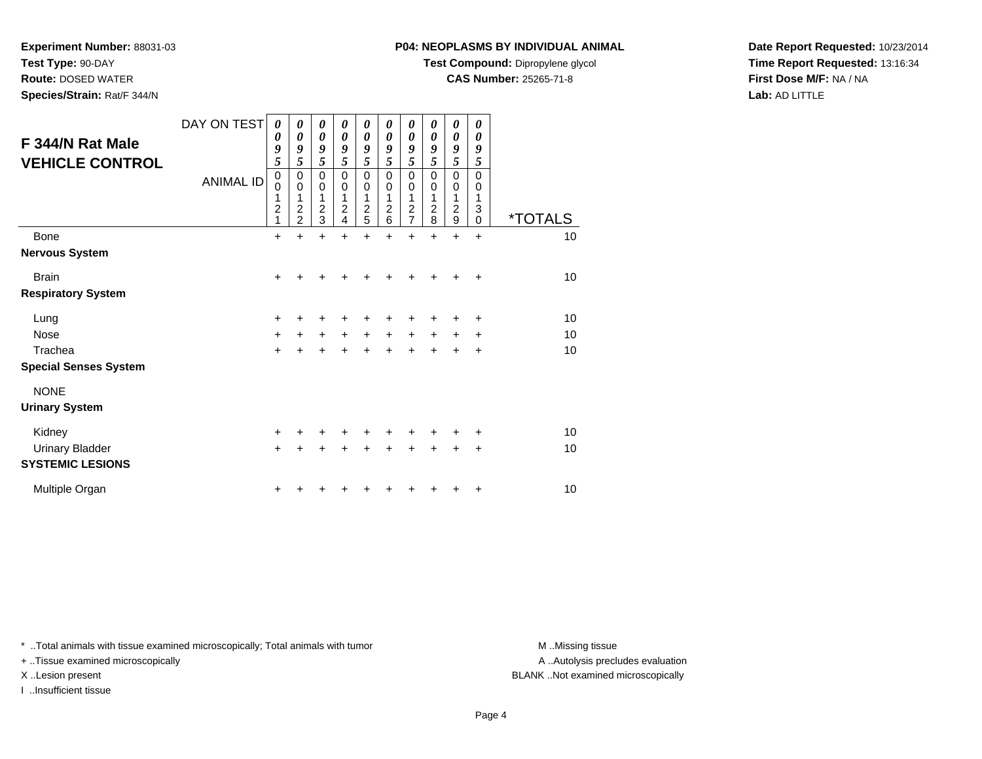**P04: NEOPLASMS BY INDIVIDUAL ANIMAL**

**Test Compound:** Dipropylene glycol

**CAS Number:** 25265-71-8

**Date Report Requested:** 10/23/2014**Time Report Requested:** 13:16:34**First Dose M/F:** NA / NA**Lab:** AD LITTLE

| F 344/N Rat Male<br><b>VEHICLE CONTROL</b> | DAY ON TEST<br><b>ANIMAL ID</b> | 0<br>0<br>9<br>5<br>$\Omega$<br>$\Omega$<br>1<br>$\overline{2}$<br>1 | 0<br>0<br>9<br>5<br>$\mathbf 0$<br>$\mathbf 0$<br>1<br>$\overline{c}$<br>$\overline{2}$ | 0<br>$\boldsymbol{\theta}$<br>9<br>5<br>$\Omega$<br>$\Omega$<br>1<br>$\overline{2}$<br>3 | 0<br>0<br>9<br>5<br>$\Omega$<br>0<br>1<br>$\overline{c}$<br>4 | 0<br>$\boldsymbol{\theta}$<br>9<br>5<br>$\Omega$<br>$\Omega$<br>1<br>$\overline{2}$<br>5 | 0<br>0<br>9<br>5<br>$\mathbf 0$<br>0<br>1<br>$\overline{c}$<br>6 | 0<br>$\boldsymbol{\theta}$<br>9<br>5<br>$\Omega$<br>$\mathbf 0$<br>1<br>$\overline{c}$<br>$\overline{7}$ | 0<br>0<br>9<br>5<br>$\mathbf 0$<br>0<br>1<br>$\overline{c}$<br>8 | 0<br>$\boldsymbol{\theta}$<br>9<br>5<br>$\Omega$<br>$\mathbf 0$<br>1<br>$\overline{2}$<br>9 | 0<br>0<br>9<br>5<br>$\mathbf 0$<br>0<br>1<br>3<br>$\mathbf 0$ | <i><b>*TOTALS</b></i> |
|--------------------------------------------|---------------------------------|----------------------------------------------------------------------|-----------------------------------------------------------------------------------------|------------------------------------------------------------------------------------------|---------------------------------------------------------------|------------------------------------------------------------------------------------------|------------------------------------------------------------------|----------------------------------------------------------------------------------------------------------|------------------------------------------------------------------|---------------------------------------------------------------------------------------------|---------------------------------------------------------------|-----------------------|
| <b>Bone</b>                                |                                 | $\ddot{}$                                                            | $\ddot{}$                                                                               | $\ddot{}$                                                                                | $\ddot{}$                                                     | $\ddot{}$                                                                                | $\ddot{}$                                                        | $\ddot{}$                                                                                                | $\ddot{}$                                                        | $\ddot{}$                                                                                   | $\ddot{}$                                                     | 10                    |
| <b>Nervous System</b>                      |                                 |                                                                      |                                                                                         |                                                                                          |                                                               |                                                                                          |                                                                  |                                                                                                          |                                                                  |                                                                                             |                                                               |                       |
| <b>Brain</b>                               |                                 | +                                                                    | +                                                                                       |                                                                                          |                                                               |                                                                                          |                                                                  |                                                                                                          |                                                                  | +                                                                                           | $\ddot{}$                                                     | 10                    |
| <b>Respiratory System</b>                  |                                 |                                                                      |                                                                                         |                                                                                          |                                                               |                                                                                          |                                                                  |                                                                                                          |                                                                  |                                                                                             |                                                               |                       |
| Lung                                       |                                 | +                                                                    | ٠                                                                                       |                                                                                          | +                                                             | ٠                                                                                        | +                                                                | +                                                                                                        | ٠                                                                | ÷                                                                                           | ÷                                                             | 10                    |
| <b>Nose</b>                                |                                 | $\ddot{}$                                                            | $\ddot{}$                                                                               | $\ddot{}$                                                                                | $+$                                                           | $\ddot{}$                                                                                | $\ddot{}$                                                        | $\ddot{}$                                                                                                | $\ddot{}$                                                        | $\ddot{}$                                                                                   | $\ddot{}$                                                     | 10                    |
| Trachea                                    |                                 | $\ddot{}$                                                            | $+$                                                                                     | $\ddot{}$                                                                                | $+$                                                           | $\ddot{}$                                                                                | $+$                                                              | $\ddot{}$                                                                                                | $+$                                                              | $\ddot{}$                                                                                   | $\ddot{}$                                                     | 10                    |
| <b>Special Senses System</b>               |                                 |                                                                      |                                                                                         |                                                                                          |                                                               |                                                                                          |                                                                  |                                                                                                          |                                                                  |                                                                                             |                                                               |                       |
| <b>NONE</b>                                |                                 |                                                                      |                                                                                         |                                                                                          |                                                               |                                                                                          |                                                                  |                                                                                                          |                                                                  |                                                                                             |                                                               |                       |
| <b>Urinary System</b>                      |                                 |                                                                      |                                                                                         |                                                                                          |                                                               |                                                                                          |                                                                  |                                                                                                          |                                                                  |                                                                                             |                                                               |                       |
| Kidney                                     |                                 | +                                                                    |                                                                                         |                                                                                          |                                                               |                                                                                          |                                                                  |                                                                                                          |                                                                  |                                                                                             | ÷                                                             | 10                    |
| <b>Urinary Bladder</b>                     |                                 | +                                                                    | +                                                                                       | ٠                                                                                        | $\ddot{}$                                                     | +                                                                                        | $\ddot{}$                                                        | $\ddot{}$                                                                                                | $\ddot{}$                                                        | $\ddot{}$                                                                                   | +                                                             | 10                    |
| <b>SYSTEMIC LESIONS</b>                    |                                 |                                                                      |                                                                                         |                                                                                          |                                                               |                                                                                          |                                                                  |                                                                                                          |                                                                  |                                                                                             |                                                               |                       |
| Multiple Organ                             |                                 | $\ddot{}$                                                            | +                                                                                       | +                                                                                        | +                                                             | ٠                                                                                        | ٠                                                                | ٠                                                                                                        | ٠                                                                | ÷                                                                                           | ÷                                                             | 10                    |

\* ..Total animals with tissue examined microscopically; Total animals with tumor **M** . Missing tissue M ..Missing tissue

+ ..Tissue examined microscopically

**Experiment Number:** 88031-03

**Test Type:** 90-DAY **Route:** DOSED WATER**Species/Strain:** Rat/F 344/N

I ..Insufficient tissue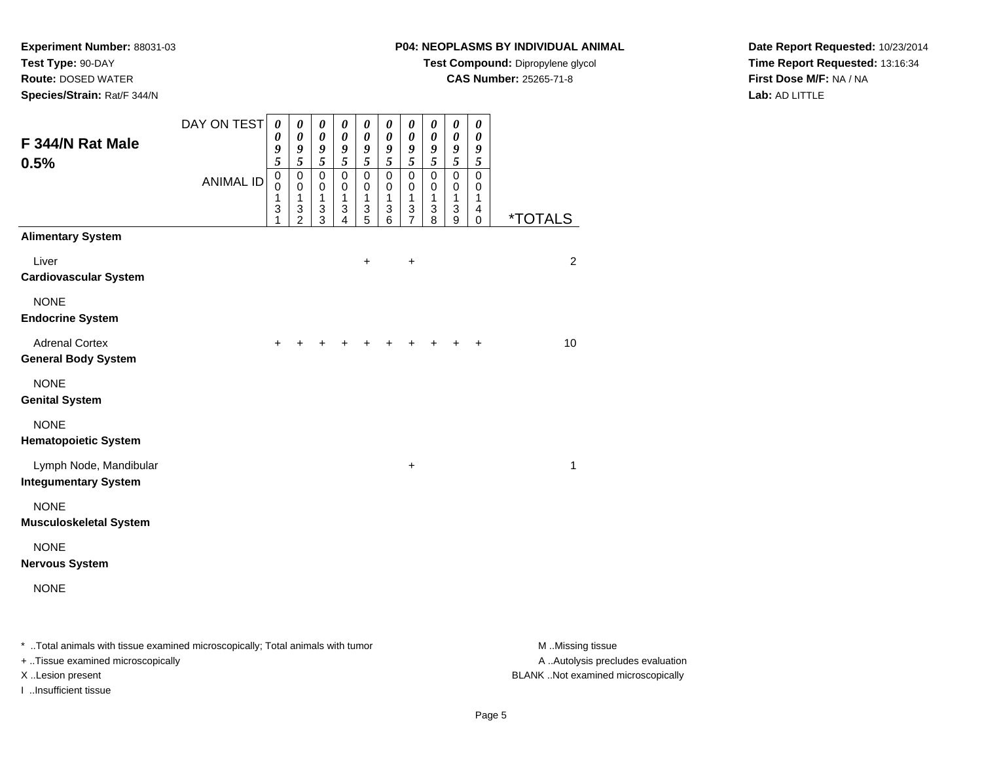**Test Type:** 90-DAY

**Route:** DOSED WATER

**Species/Strain:** Rat/F 344/N

# **P04: NEOPLASMS BY INDIVIDUAL ANIMAL**

**Test Compound:** Dipropylene glycol

**CAS Number:** 25265-71-8

**Date Report Requested:** 10/23/2014**Time Report Requested:** 13:16:34**First Dose M/F:** NA / NA**Lab:** AD LITTLE

| F 344/N Rat Male<br>0.5%                              | DAY ON TEST<br><b>ANIMAL ID</b> | 0<br>0<br>9<br>5<br>$\pmb{0}$<br>$\mathbf 0$<br>$\mathbf{1}$ | 0<br>$\boldsymbol{\theta}$<br>9<br>5<br>$\mathbf 0$<br>$\mathbf 0$<br>$\mathbf{1}$ | $\boldsymbol{\theta}$<br>$\boldsymbol{\theta}$<br>9<br>5<br>$\mathbf 0$<br>$\mathbf 0$<br>$\mathbf{1}$ | 0<br>$\pmb{\theta}$<br>9<br>5<br>$\pmb{0}$<br>$\mathbf 0$<br>$\mathbf{1}$ | $\boldsymbol{\theta}$<br>$\boldsymbol{\theta}$<br>9<br>$\overline{5}$<br>$\pmb{0}$<br>0<br>$\mathbf{1}$ | $\boldsymbol{\theta}$<br>$\boldsymbol{\theta}$<br>9<br>5<br>$\mathbf 0$<br>$\mathbf 0$<br>1 | $\boldsymbol{\theta}$<br>$\pmb{\theta}$<br>9<br>5<br>$\pmb{0}$<br>$\mathbf 0$<br>1 | 0<br>$\boldsymbol{\theta}$<br>9<br>5<br>$\pmb{0}$<br>$\pmb{0}$<br>$\mathbf{1}$ | $\pmb{\theta}$<br>$\pmb{\theta}$<br>9<br>5<br>$\pmb{0}$<br>0<br>1 | $\boldsymbol{\theta}$<br>$\boldsymbol{\theta}$<br>9<br>5<br>$\pmb{0}$<br>$\mathbf 0$<br>$\mathbf{1}$ |                       |
|-------------------------------------------------------|---------------------------------|--------------------------------------------------------------|------------------------------------------------------------------------------------|--------------------------------------------------------------------------------------------------------|---------------------------------------------------------------------------|---------------------------------------------------------------------------------------------------------|---------------------------------------------------------------------------------------------|------------------------------------------------------------------------------------|--------------------------------------------------------------------------------|-------------------------------------------------------------------|------------------------------------------------------------------------------------------------------|-----------------------|
|                                                       |                                 | 3<br>1                                                       | $\ensuremath{\mathsf{3}}$<br>$\overline{2}$                                        | $\frac{3}{3}$                                                                                          | 3<br>$\overline{4}$                                                       | $\frac{3}{5}$                                                                                           | 3<br>6                                                                                      | $\frac{3}{7}$                                                                      | 3<br>8                                                                         | 3<br>9                                                            | 4<br>$\mathbf 0$                                                                                     | <i><b>*TOTALS</b></i> |
| <b>Alimentary System</b>                              |                                 |                                                              |                                                                                    |                                                                                                        |                                                                           |                                                                                                         |                                                                                             |                                                                                    |                                                                                |                                                                   |                                                                                                      |                       |
| Liver<br><b>Cardiovascular System</b>                 |                                 |                                                              |                                                                                    |                                                                                                        |                                                                           | $\ddot{}$                                                                                               |                                                                                             | $\ddot{}$                                                                          |                                                                                |                                                                   |                                                                                                      | $\overline{2}$        |
| <b>NONE</b><br><b>Endocrine System</b>                |                                 |                                                              |                                                                                    |                                                                                                        |                                                                           |                                                                                                         |                                                                                             |                                                                                    |                                                                                |                                                                   |                                                                                                      |                       |
| <b>Adrenal Cortex</b><br><b>General Body System</b>   |                                 | $\ddot{}$                                                    |                                                                                    |                                                                                                        | ÷                                                                         | $\div$                                                                                                  |                                                                                             |                                                                                    |                                                                                |                                                                   | $\ddot{}$                                                                                            | 10                    |
| <b>NONE</b><br><b>Genital System</b>                  |                                 |                                                              |                                                                                    |                                                                                                        |                                                                           |                                                                                                         |                                                                                             |                                                                                    |                                                                                |                                                                   |                                                                                                      |                       |
| <b>NONE</b><br><b>Hematopoietic System</b>            |                                 |                                                              |                                                                                    |                                                                                                        |                                                                           |                                                                                                         |                                                                                             |                                                                                    |                                                                                |                                                                   |                                                                                                      |                       |
| Lymph Node, Mandibular<br><b>Integumentary System</b> |                                 |                                                              |                                                                                    |                                                                                                        |                                                                           |                                                                                                         |                                                                                             | $\ddot{}$                                                                          |                                                                                |                                                                   |                                                                                                      | $\mathbf{1}$          |
| <b>NONE</b><br><b>Musculoskeletal System</b>          |                                 |                                                              |                                                                                    |                                                                                                        |                                                                           |                                                                                                         |                                                                                             |                                                                                    |                                                                                |                                                                   |                                                                                                      |                       |
| <b>NONE</b><br><b>Nervous System</b>                  |                                 |                                                              |                                                                                    |                                                                                                        |                                                                           |                                                                                                         |                                                                                             |                                                                                    |                                                                                |                                                                   |                                                                                                      |                       |
| <b>NONE</b>                                           |                                 |                                                              |                                                                                    |                                                                                                        |                                                                           |                                                                                                         |                                                                                             |                                                                                    |                                                                                |                                                                   |                                                                                                      |                       |
|                                                       |                                 |                                                              |                                                                                    |                                                                                                        |                                                                           |                                                                                                         |                                                                                             |                                                                                    |                                                                                |                                                                   |                                                                                                      |                       |

\* ..Total animals with tissue examined microscopically; Total animals with tumor **M** . Missing tissue M ..Missing tissue + ..Tissue examined microscopically

I ..Insufficient tissue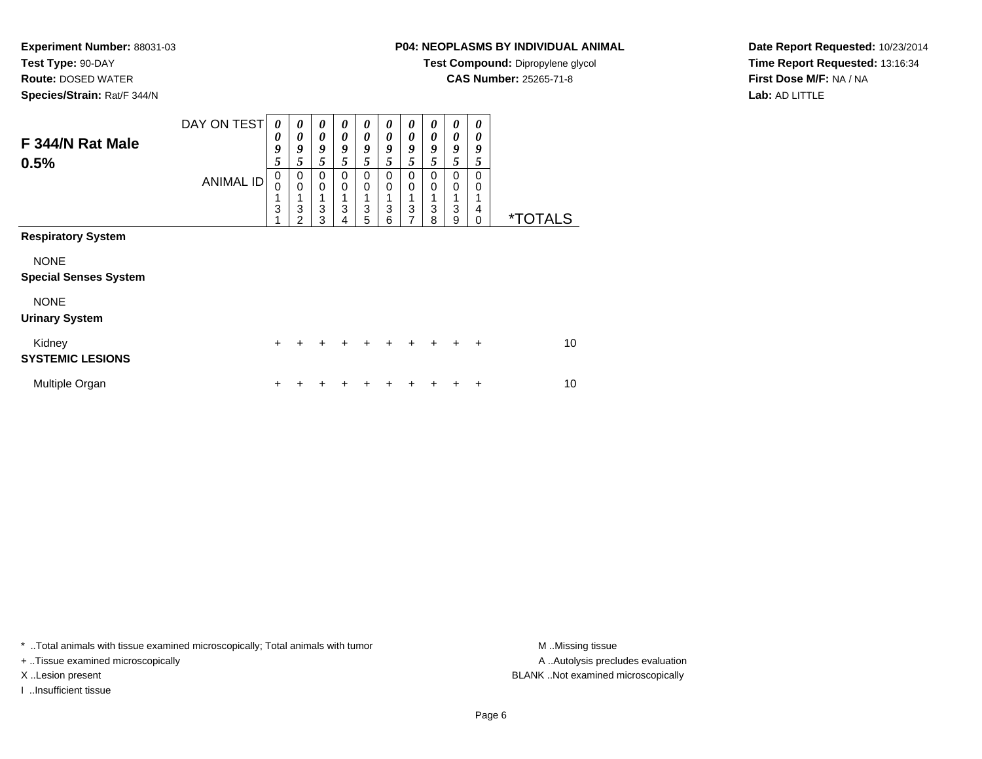**Test Type:** 90-DAY

**Route:** DOSED WATER

**Species/Strain:** Rat/F 344/N

# **P04: NEOPLASMS BY INDIVIDUAL ANIMAL**

**Test Compound:** Dipropylene glycol

**CAS Number:** 25265-71-8

**Date Report Requested:** 10/23/2014**Time Report Requested:** 13:16:34**First Dose M/F:** NA / NA**Lab:** AD LITTLE

| F 344/N Rat Male<br>0.5%                    | DAY ON TEST      | 0<br>0<br>9<br>5 | 0<br>$\boldsymbol{\theta}$<br>9<br>5                 | 0<br>$\boldsymbol{\theta}$<br>9<br>5      | 0<br>0<br>9<br>5                     | $\boldsymbol{\theta}$<br>$\boldsymbol{\theta}$<br>9<br>5          | 0<br>$\boldsymbol{\theta}$<br>9<br>5 | 0<br>$\boldsymbol{\theta}$<br>9<br>5                | 0<br>$\boldsymbol{\theta}$<br>9<br>5 | 0<br>0<br>9<br>5                | 0<br>0<br>9<br>5        |                       |
|---------------------------------------------|------------------|------------------|------------------------------------------------------|-------------------------------------------|--------------------------------------|-------------------------------------------------------------------|--------------------------------------|-----------------------------------------------------|--------------------------------------|---------------------------------|-------------------------|-----------------------|
|                                             | <b>ANIMAL ID</b> | 0<br>0<br>1<br>3 | $\pmb{0}$<br>$\mathbf 0$<br>1<br>3<br>$\mathfrak{p}$ | $\mathbf 0$<br>$\mathbf 0$<br>1<br>3<br>3 | $\mathbf 0$<br>$\mathbf 0$<br>3<br>4 | $\mathbf 0$<br>$\mathbf 0$<br>1<br>$\ensuremath{\mathsf{3}}$<br>5 | $\mathbf 0$<br>$\mathbf 0$<br>3<br>6 | $\Omega$<br>$\mathbf 0$<br>1<br>3<br>$\overline{7}$ | $\Omega$<br>0<br>3<br>8              | $\mathbf 0$<br>0<br>1<br>3<br>9 | $\Omega$<br>0<br>4<br>0 | <i><b>*TOTALS</b></i> |
| <b>Respiratory System</b>                   |                  |                  |                                                      |                                           |                                      |                                                                   |                                      |                                                     |                                      |                                 |                         |                       |
| <b>NONE</b><br><b>Special Senses System</b> |                  |                  |                                                      |                                           |                                      |                                                                   |                                      |                                                     |                                      |                                 |                         |                       |
| <b>NONE</b><br><b>Urinary System</b>        |                  |                  |                                                      |                                           |                                      |                                                                   |                                      |                                                     |                                      |                                 |                         |                       |
| Kidney<br><b>SYSTEMIC LESIONS</b>           |                  | $\ddot{}$        | $\ddot{}$                                            | $\ddot{}$                                 | $\ddot{}$                            | $\ddot{}$                                                         | $\ddot{}$                            | $\ddot{}$                                           | $\div$                               | $\ddot{}$                       | $\ddot{}$               | 10                    |
| Multiple Organ                              |                  | ÷                |                                                      |                                           |                                      | ٠                                                                 |                                      |                                                     |                                      |                                 | +                       | 10                    |

\* ..Total animals with tissue examined microscopically; Total animals with tumor **M** . Missing tissue M ..Missing tissue

+ ..Tissue examined microscopically

I ..Insufficient tissue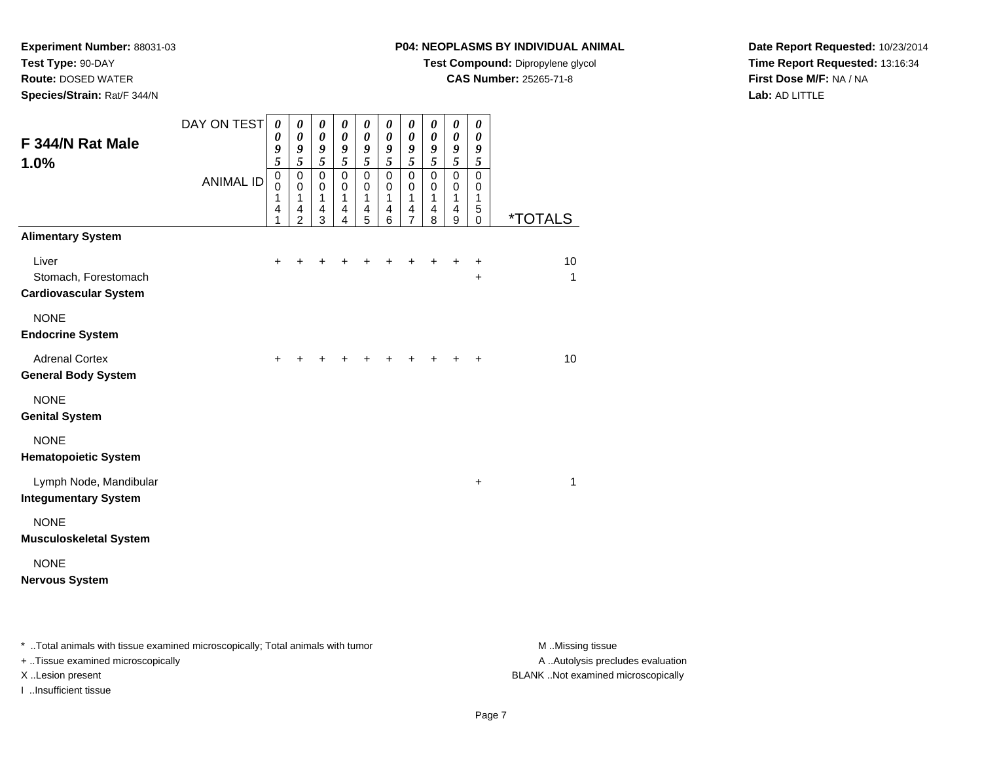**Test Type:** 90-DAY

**Route:** DOSED WATER

**Species/Strain:** Rat/F 344/N

# **P04: NEOPLASMS BY INDIVIDUAL ANIMAL**

**Test Compound:** Dipropylene glycol

**CAS Number:** 25265-71-8

**Date Report Requested:** 10/23/2014**Time Report Requested:** 13:16:34**First Dose M/F:** NA / NA**Lab:** AD LITTLE

| F 344/N Rat Male<br>1.0%<br><b>Alimentary System</b>          | DAY ON TEST<br><b>ANIMAL ID</b> | $\boldsymbol{\theta}$<br>0<br>9<br>5<br>$\mathbf 0$<br>0<br>1<br>4<br>1 | 0<br>0<br>9<br>5<br>$\pmb{0}$<br>$\mathbf 0$<br>$\mathbf 1$<br>4<br>$\overline{2}$ | 0<br>$\boldsymbol{\theta}$<br>$\frac{9}{5}$<br>$\pmb{0}$<br>0<br>$\mathbf{1}$<br>4<br>3 | 0<br>0<br>9<br>$\tilde{s}$<br>$\pmb{0}$<br>$\mathbf 0$<br>1<br>4<br>$\overline{4}$ | 0<br>0<br>9<br>5<br>$\mathsf 0$<br>$\mathbf 0$<br>1<br>4<br>5 | 0<br>0<br>9<br>$\overline{\mathbf{5}}$<br>$\mathbf 0$<br>0<br>1<br>4<br>6 | 0<br>0<br>$\frac{9}{5}$<br>$\pmb{0}$<br>0<br>1<br>4<br>$\overline{7}$ | 0<br>$\boldsymbol{\theta}$<br>$\frac{9}{5}$<br>$\pmb{0}$<br>0<br>1<br>4<br>8 | $\boldsymbol{\theta}$<br>$\boldsymbol{\theta}$<br>$\frac{9}{5}$<br>$\pmb{0}$<br>0<br>1<br>$\overline{\mathbf{r}}$<br>$\boldsymbol{9}$ | 0<br>$\boldsymbol{\theta}$<br>9<br>$\overline{5}$<br>$\pmb{0}$<br>0<br>1<br>5<br>$\mathbf 0$ | <i><b>*TOTALS</b></i> |
|---------------------------------------------------------------|---------------------------------|-------------------------------------------------------------------------|------------------------------------------------------------------------------------|-----------------------------------------------------------------------------------------|------------------------------------------------------------------------------------|---------------------------------------------------------------|---------------------------------------------------------------------------|-----------------------------------------------------------------------|------------------------------------------------------------------------------|---------------------------------------------------------------------------------------------------------------------------------------|----------------------------------------------------------------------------------------------|-----------------------|
| Liver<br>Stomach, Forestomach<br><b>Cardiovascular System</b> |                                 | $\ddot{}$                                                               | $\ddot{}$                                                                          | +                                                                                       | +                                                                                  | +                                                             | +                                                                         | +                                                                     | $\ddot{}$                                                                    | $\ddot{}$                                                                                                                             | +<br>$\ddot{}$                                                                               | 10<br>$\mathbf{1}$    |
| <b>NONE</b><br><b>Endocrine System</b>                        |                                 |                                                                         |                                                                                    |                                                                                         |                                                                                    |                                                               |                                                                           |                                                                       |                                                                              |                                                                                                                                       |                                                                                              |                       |
| <b>Adrenal Cortex</b><br><b>General Body System</b>           |                                 | $\ddot{}$                                                               |                                                                                    |                                                                                         |                                                                                    | +                                                             | +                                                                         | ÷                                                                     | +                                                                            | ٠                                                                                                                                     | +                                                                                            | 10                    |
| <b>NONE</b><br><b>Genital System</b>                          |                                 |                                                                         |                                                                                    |                                                                                         |                                                                                    |                                                               |                                                                           |                                                                       |                                                                              |                                                                                                                                       |                                                                                              |                       |
| <b>NONE</b><br><b>Hematopoietic System</b>                    |                                 |                                                                         |                                                                                    |                                                                                         |                                                                                    |                                                               |                                                                           |                                                                       |                                                                              |                                                                                                                                       |                                                                                              |                       |
| Lymph Node, Mandibular<br><b>Integumentary System</b>         |                                 |                                                                         |                                                                                    |                                                                                         |                                                                                    |                                                               |                                                                           |                                                                       |                                                                              |                                                                                                                                       | $\ddot{}$                                                                                    | $\mathbf{1}$          |
| <b>NONE</b><br><b>Musculoskeletal System</b>                  |                                 |                                                                         |                                                                                    |                                                                                         |                                                                                    |                                                               |                                                                           |                                                                       |                                                                              |                                                                                                                                       |                                                                                              |                       |
| <b>NONE</b><br><b>Nervous System</b>                          |                                 |                                                                         |                                                                                    |                                                                                         |                                                                                    |                                                               |                                                                           |                                                                       |                                                                              |                                                                                                                                       |                                                                                              |                       |

\* ..Total animals with tissue examined microscopically; Total animals with tumor **M** . Missing tissue M ..Missing tissue

+ ..Tissue examined microscopically

I ..Insufficient tissue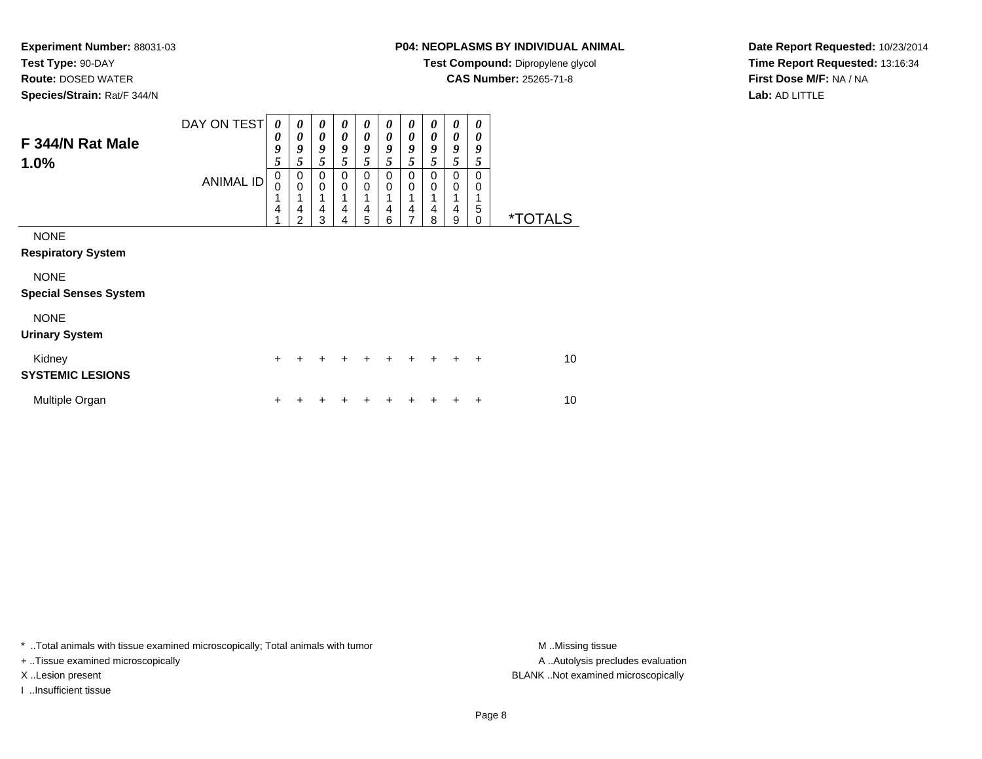**Test Type:** 90-DAY

**Route:** DOSED WATER

**Species/Strain:** Rat/F 344/N

# **P04: NEOPLASMS BY INDIVIDUAL ANIMAL**

**Test Compound:** Dipropylene glycol

**CAS Number:** 25265-71-8

**Date Report Requested:** 10/23/2014**Time Report Requested:** 13:16:34**First Dose M/F:** NA / NA**Lab:** AD LITTLE

| F 344/N Rat Male<br>1.0%                    | DAY ON TEST      | $\boldsymbol{\theta}$<br>0<br>9<br>$\mathfrak{s}$ | 0<br>0<br>9<br>5                             | 0<br>0<br>9<br>5                                  | 0<br>0<br>9<br>5                | 0<br>0<br>9<br>5                               | 0<br>0<br>9<br>5                             | 0<br>0<br>9<br>5                        | 0<br>$\boldsymbol{\theta}$<br>9<br>5 | 0<br>$\boldsymbol{\theta}$<br>9<br>5 | 0<br>0<br>9<br>5        |                       |
|---------------------------------------------|------------------|---------------------------------------------------|----------------------------------------------|---------------------------------------------------|---------------------------------|------------------------------------------------|----------------------------------------------|-----------------------------------------|--------------------------------------|--------------------------------------|-------------------------|-----------------------|
|                                             | <b>ANIMAL ID</b> | 0<br>$\Omega$<br>$\overline{4}$<br>4              | 0<br>$\mathbf 0$<br>1<br>$\overline{4}$<br>2 | $\Omega$<br>$\mathbf 0$<br>$\mathbf{1}$<br>4<br>3 | 0<br>$\mathbf 0$<br>1<br>4<br>4 | $\Omega$<br>$\mathbf 0$<br>$\overline{4}$<br>5 | 0<br>$\mathbf 0$<br>1<br>$\overline{4}$<br>6 | 0<br>$\mathbf 0$<br>4<br>$\overline{7}$ | 0<br>$\mathbf 0$<br>4<br>8           | $\Omega$<br>$\mathbf 0$<br>4<br>9    | $\Omega$<br>0<br>5<br>0 | <i><b>*TOTALS</b></i> |
| <b>NONE</b><br><b>Respiratory System</b>    |                  |                                                   |                                              |                                                   |                                 |                                                |                                              |                                         |                                      |                                      |                         |                       |
| <b>NONE</b><br><b>Special Senses System</b> |                  |                                                   |                                              |                                                   |                                 |                                                |                                              |                                         |                                      |                                      |                         |                       |
| <b>NONE</b><br><b>Urinary System</b>        |                  |                                                   |                                              |                                                   |                                 |                                                |                                              |                                         |                                      |                                      |                         |                       |
| Kidney<br><b>SYSTEMIC LESIONS</b>           |                  | $\ddot{}$                                         | ÷                                            |                                                   | +                               | ÷                                              | ÷                                            | $\div$                                  | $\div$                               | $\div$                               | $\div$                  | 10                    |
| Multiple Organ                              |                  | $\ddot{}$                                         |                                              |                                                   |                                 |                                                |                                              |                                         |                                      |                                      | ÷                       | 10                    |

\* ..Total animals with tissue examined microscopically; Total animals with tumor **M** . Missing tissue M ..Missing tissue

+ ..Tissue examined microscopically

I ..Insufficient tissue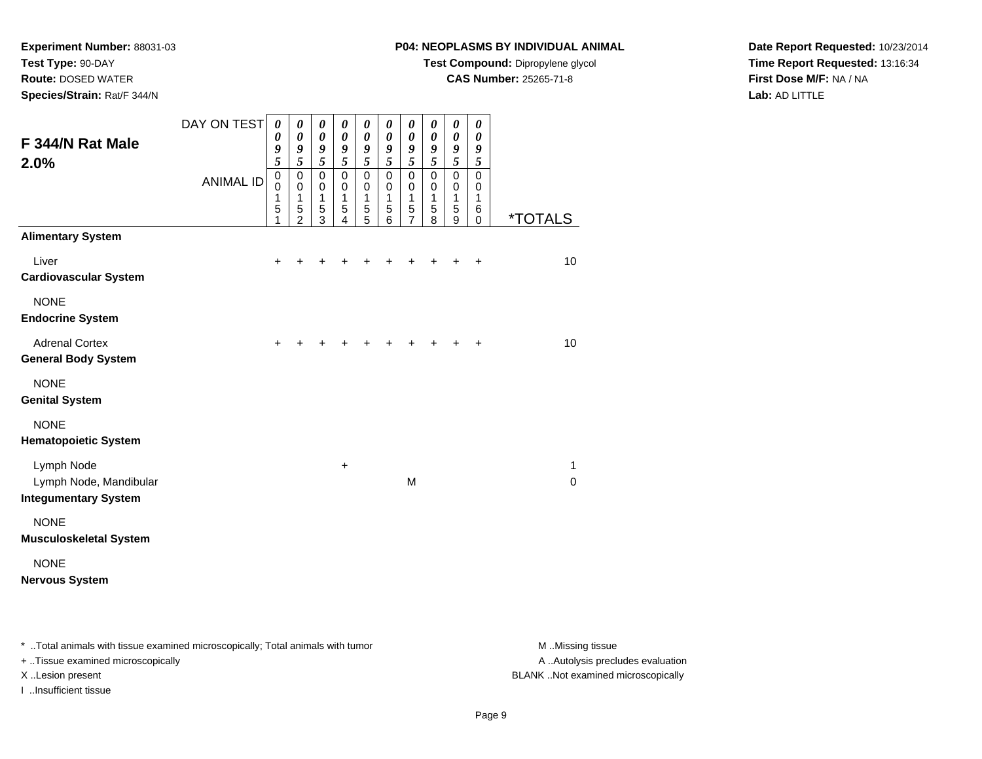**Test Type:** 90-DAY

**Route:** DOSED WATER

**Species/Strain:** Rat/F 344/N

# **P04: NEOPLASMS BY INDIVIDUAL ANIMAL**

**Test Compound:** Dipropylene glycol

**CAS Number:** 25265-71-8

**Date Report Requested:** 10/23/2014**Time Report Requested:** 13:16:34**First Dose M/F:** NA / NA**Lab:** AD LITTLE

| F 344/N Rat Male<br>2.0%                                            | DAY ON TEST      | $\boldsymbol{\theta}$<br>$\boldsymbol{\theta}$<br>9<br>$\overline{\mathbf{5}}$ | 0<br>$\pmb{\theta}$<br>9<br>5              | 0<br>$\boldsymbol{\theta}$<br>9<br>5         | 0<br>0<br>9<br>5                             | 0<br>$\boldsymbol{\theta}$<br>9<br>5   | $\boldsymbol{\theta}$<br>0<br>9<br>5 | 0<br>$\boldsymbol{\theta}$<br>9<br>5         | 0<br>$\boldsymbol{\theta}$<br>9<br>5 | 0<br>$\pmb{\theta}$<br>9<br>5                | 0<br>0<br>9<br>5                |                       |
|---------------------------------------------------------------------|------------------|--------------------------------------------------------------------------------|--------------------------------------------|----------------------------------------------|----------------------------------------------|----------------------------------------|--------------------------------------|----------------------------------------------|--------------------------------------|----------------------------------------------|---------------------------------|-----------------------|
|                                                                     | <b>ANIMAL ID</b> | $\mathbf 0$<br>$\mathbf 0$<br>1<br>5<br>1                                      | $\pmb{0}$<br>0<br>1<br>5<br>$\overline{2}$ | $\mathbf 0$<br>0<br>1<br>5<br>$\overline{3}$ | $\mathbf 0$<br>0<br>1<br>5<br>$\overline{4}$ | $\mathbf 0$<br>0<br>1<br>$\frac{5}{5}$ | $\mathbf 0$<br>0<br>1<br>5<br>6      | $\mathbf 0$<br>0<br>1<br>5<br>$\overline{7}$ | $\mathbf 0$<br>0<br>1<br>5<br>8      | $\mathbf 0$<br>0<br>1<br>5<br>$\overline{9}$ | $\mathbf 0$<br>0<br>1<br>6<br>0 | <i><b>*TOTALS</b></i> |
| <b>Alimentary System</b>                                            |                  |                                                                                |                                            |                                              |                                              |                                        |                                      |                                              |                                      |                                              |                                 |                       |
| Liver<br><b>Cardiovascular System</b>                               |                  | +                                                                              |                                            |                                              |                                              | +                                      |                                      |                                              |                                      |                                              | +                               | 10                    |
| <b>NONE</b><br><b>Endocrine System</b>                              |                  |                                                                                |                                            |                                              |                                              |                                        |                                      |                                              |                                      |                                              |                                 |                       |
| <b>Adrenal Cortex</b><br><b>General Body System</b>                 |                  | $\ddot{}$                                                                      |                                            |                                              |                                              |                                        |                                      |                                              |                                      |                                              | $\ddot{}$                       | 10                    |
| <b>NONE</b><br><b>Genital System</b>                                |                  |                                                                                |                                            |                                              |                                              |                                        |                                      |                                              |                                      |                                              |                                 |                       |
| <b>NONE</b><br><b>Hematopoietic System</b>                          |                  |                                                                                |                                            |                                              |                                              |                                        |                                      |                                              |                                      |                                              |                                 |                       |
| Lymph Node<br>Lymph Node, Mandibular<br><b>Integumentary System</b> |                  |                                                                                |                                            |                                              | +                                            |                                        |                                      | M                                            |                                      |                                              |                                 | 1<br>$\Omega$         |
|                                                                     |                  |                                                                                |                                            |                                              |                                              |                                        |                                      |                                              |                                      |                                              |                                 |                       |
| <b>NONE</b><br><b>Musculoskeletal System</b>                        |                  |                                                                                |                                            |                                              |                                              |                                        |                                      |                                              |                                      |                                              |                                 |                       |
| <b>NONE</b><br><b>Nervous System</b>                                |                  |                                                                                |                                            |                                              |                                              |                                        |                                      |                                              |                                      |                                              |                                 |                       |

\* ..Total animals with tissue examined microscopically; Total animals with tumor **M** . Missing tissue M ..Missing tissue

+ ..Tissue examined microscopically

I ..Insufficient tissue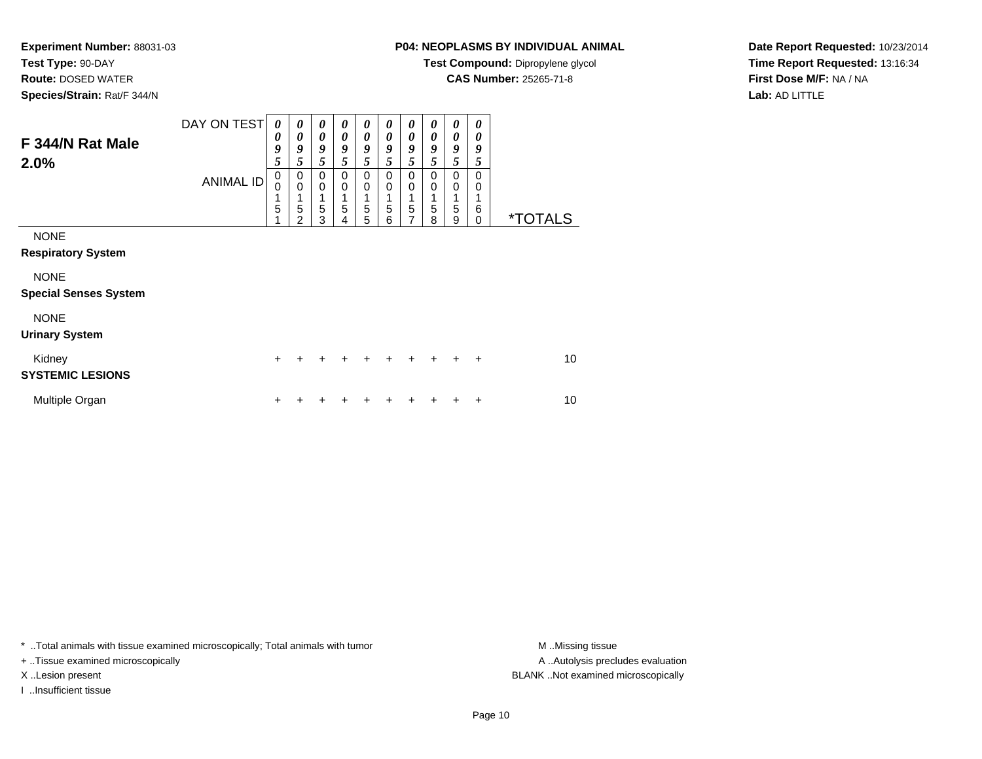**Test Type:** 90-DAY

**Route:** DOSED WATER

**Species/Strain:** Rat/F 344/N

# **P04: NEOPLASMS BY INDIVIDUAL ANIMAL**

**Test Compound:** Dipropylene glycol

**CAS Number:** 25265-71-8

**Date Report Requested:** 10/23/2014**Time Report Requested:** 13:16:34**First Dose M/F:** NA / NA**Lab:** AD LITTLE

| F 344/N Rat Male<br>2.0%                    | DAY ON TEST      | 0<br>$\boldsymbol{\theta}$<br>9<br>5 | 0<br>$\boldsymbol{\theta}$<br>9<br>5 | 0<br>$\boldsymbol{\theta}$<br>9<br>5 | 0<br>0<br>9<br>5      | 0<br>0<br>9<br>5             | 0<br>0<br>9<br>5                   | 0<br>0<br>9<br>5                        | 0<br>0<br>9<br>5 | 0<br>0<br>9<br>5        | 0<br>$\boldsymbol{\theta}$<br>9<br>5 |                       |
|---------------------------------------------|------------------|--------------------------------------|--------------------------------------|--------------------------------------|-----------------------|------------------------------|------------------------------------|-----------------------------------------|------------------|-------------------------|--------------------------------------|-----------------------|
|                                             | <b>ANIMAL ID</b> | $\mathbf 0$<br>$\Omega$<br>5         | 0<br>$\mathbf 0$<br>5<br>2           | $\Omega$<br>$\mathbf 0$<br>5<br>3    | 0<br>0<br>1<br>5<br>4 | $\Omega$<br>0<br>1<br>5<br>5 | 0<br>0<br>1<br>$\overline{5}$<br>6 | $\mathbf 0$<br>0<br>5<br>$\overline{7}$ | 0<br>0<br>5<br>8 | $\Omega$<br>0<br>5<br>9 | $\Omega$<br>0<br>6<br>0              | <i><b>*TOTALS</b></i> |
| <b>NONE</b><br><b>Respiratory System</b>    |                  |                                      |                                      |                                      |                       |                              |                                    |                                         |                  |                         |                                      |                       |
| <b>NONE</b><br><b>Special Senses System</b> |                  |                                      |                                      |                                      |                       |                              |                                    |                                         |                  |                         |                                      |                       |
| <b>NONE</b><br><b>Urinary System</b>        |                  |                                      |                                      |                                      |                       |                              |                                    |                                         |                  |                         |                                      |                       |
| Kidney<br><b>SYSTEMIC LESIONS</b>           |                  | $\ddot{}$                            | $\div$                               | ÷                                    | $\div$                | $\div$                       | $\ddot{}$                          | $+$                                     | $\ddot{}$        | $\ddot{}$               | $\ddot{}$                            | 10                    |
| Multiple Organ                              |                  |                                      |                                      |                                      |                       |                              |                                    |                                         |                  |                         | +                                    | 10                    |

\* ..Total animals with tissue examined microscopically; Total animals with tumor **M** . Missing tissue M ..Missing tissue

+ ..Tissue examined microscopically

I ..Insufficient tissue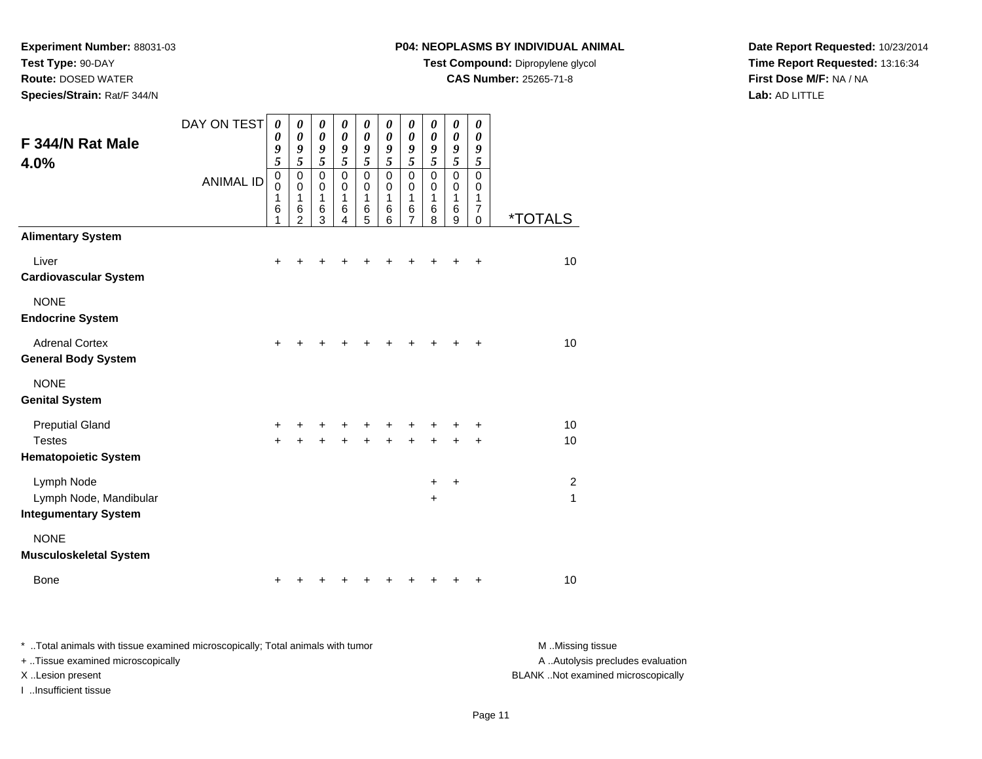**Test Type:** 90-DAY

**Route:** DOSED WATER

**Species/Strain:** Rat/F 344/N

# **P04: NEOPLASMS BY INDIVIDUAL ANIMAL**

**Test Compound:** Dipropylene glycol

**CAS Number:** 25265-71-8

**Date Report Requested:** 10/23/2014**Time Report Requested:** 13:16:34**First Dose M/F:** NA / NA**Lab:** AD LITTLE

| F 344/N Rat Male<br>4.0%                                            | DAY ON TEST      | 0<br>0<br>9<br>$\overline{\mathbf{5}}$        | 0<br>0<br>9<br>5                                    | 0<br>$\boldsymbol{\theta}$<br>9<br>5 | 0<br>0<br>9<br>5                           | 0<br>$\boldsymbol{\theta}$<br>$\boldsymbol{g}$<br>$\overline{5}$ | 0<br>0<br>9<br>5                       | 0<br>0<br>9<br>5                                           | 0<br>0<br>9<br>5                    | 0<br>$\boldsymbol{\theta}$<br>9<br>5          | 0<br>0<br>9<br>$\sqrt{5}$                              |                       |
|---------------------------------------------------------------------|------------------|-----------------------------------------------|-----------------------------------------------------|--------------------------------------|--------------------------------------------|------------------------------------------------------------------|----------------------------------------|------------------------------------------------------------|-------------------------------------|-----------------------------------------------|--------------------------------------------------------|-----------------------|
|                                                                     | <b>ANIMAL ID</b> | $\mathbf 0$<br>$\mathbf 0$<br>1<br>$\,6$<br>1 | $\mathbf 0$<br>$\Omega$<br>1<br>6<br>$\overline{2}$ | $\mathbf 0$<br>0<br>1<br>$\,6$<br>3  | $\mathbf{0}$<br>$\mathbf 0$<br>1<br>6<br>4 | $\mathbf 0$<br>$\mathbf 0$<br>1<br>$\,6$<br>$\overline{5}$       | $\Omega$<br>$\mathbf 0$<br>1<br>6<br>6 | $\mathbf 0$<br>$\mathbf 0$<br>1<br>$\,6$<br>$\overline{7}$ | $\Omega$<br>$\Omega$<br>1<br>6<br>8 | $\mathbf 0$<br>$\mathbf 0$<br>1<br>$\,6$<br>9 | $\mathbf 0$<br>0<br>1<br>$\overline{7}$<br>$\mathbf 0$ | <i><b>*TOTALS</b></i> |
| <b>Alimentary System</b>                                            |                  |                                               |                                                     |                                      |                                            |                                                                  |                                        |                                                            |                                     |                                               |                                                        |                       |
| Liver<br><b>Cardiovascular System</b>                               |                  | +                                             |                                                     |                                      |                                            |                                                                  |                                        |                                                            |                                     |                                               | $\ddot{}$                                              | 10                    |
| <b>NONE</b><br><b>Endocrine System</b>                              |                  |                                               |                                                     |                                      |                                            |                                                                  |                                        |                                                            |                                     |                                               |                                                        |                       |
| <b>Adrenal Cortex</b><br><b>General Body System</b>                 |                  | $\ddot{}$                                     |                                                     |                                      |                                            |                                                                  |                                        |                                                            |                                     |                                               | $\ddot{}$                                              | 10                    |
| <b>NONE</b><br><b>Genital System</b>                                |                  |                                               |                                                     |                                      |                                            |                                                                  |                                        |                                                            |                                     |                                               |                                                        |                       |
| <b>Preputial Gland</b><br><b>Testes</b>                             |                  | +<br>$\ddot{}$                                |                                                     |                                      |                                            | $\ddot{}$                                                        | $\ddot{}$                              | $\ddot{}$                                                  | $\ddot{}$                           | $\ddot{}$                                     | +<br>$\ddot{}$                                         | 10<br>10              |
| <b>Hematopoietic System</b>                                         |                  |                                               |                                                     |                                      |                                            |                                                                  |                                        |                                                            |                                     |                                               |                                                        |                       |
| Lymph Node<br>Lymph Node, Mandibular<br><b>Integumentary System</b> |                  |                                               |                                                     |                                      |                                            |                                                                  |                                        |                                                            | $\ddot{}$<br>$\ddot{}$              | $\ddot{}$                                     |                                                        | $\overline{2}$<br>1   |
| <b>NONE</b><br><b>Musculoskeletal System</b>                        |                  |                                               |                                                     |                                      |                                            |                                                                  |                                        |                                                            |                                     |                                               |                                                        |                       |
| <b>Bone</b>                                                         |                  | +                                             |                                                     |                                      |                                            |                                                                  | ٠                                      | +                                                          | +                                   | +                                             | $\ddot{}$                                              | 10                    |

\* ..Total animals with tissue examined microscopically; Total animals with tumor **M** . Missing tissue M ..Missing tissue A ..Autolysis precludes evaluation + ..Tissue examined microscopically X ..Lesion present BLANK ..Not examined microscopicallyI ..Insufficient tissue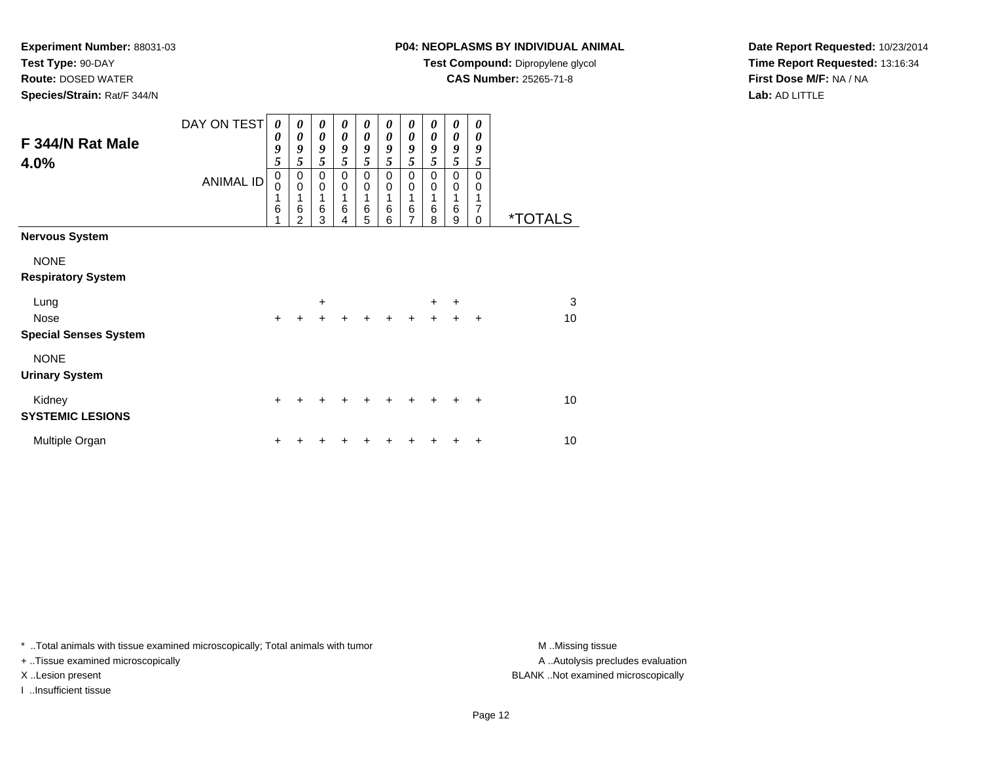**Test Type:** 90-DAY

**Route:** DOSED WATER

**Species/Strain:** Rat/F 344/N

# **P04: NEOPLASMS BY INDIVIDUAL ANIMAL**

**Test Compound:** Dipropylene glycol

**CAS Number:** 25265-71-8

**Date Report Requested:** 10/23/2014**Time Report Requested:** 13:16:34**First Dose M/F:** NA / NA**Lab:** AD LITTLE

| F 344/N Rat Male<br>4.0%                 | DAY ON TEST<br><b>ANIMAL ID</b> | 0<br>0<br>9<br>5<br>0<br>$\Omega$<br>1<br>6<br>1 | 0<br>0<br>9<br>5<br>0<br>$\mathbf 0$<br>1<br>$\,6$<br>$\overline{2}$ | $\boldsymbol{\theta}$<br>$\boldsymbol{\theta}$<br>9<br>5<br>0<br>$\pmb{0}$<br>1<br>$\,6$<br>3 | 0<br>$\boldsymbol{\theta}$<br>9<br>5<br>0<br>0<br>1<br>$\,6$<br>4 | 0<br>$\boldsymbol{\theta}$<br>9<br>5<br>0<br>$\mathbf 0$<br>1<br>$\,6$<br>5 | 0<br>0<br>9<br>5<br>0<br>0<br>1<br>6<br>6 | 0<br>$\boldsymbol{\theta}$<br>9<br>5<br>$\mathbf 0$<br>$\mathbf 0$<br>1<br>6<br>$\overline{7}$ | 0<br>$\boldsymbol{\theta}$<br>9<br>5<br>$\mathbf 0$<br>$\mathbf 0$<br>6<br>8 | 0<br>$\boldsymbol{\theta}$<br>9<br>5<br>$\mathbf 0$<br>$\mathbf 0$<br>1<br>$\,6$<br>9 | 0<br>$\boldsymbol{\theta}$<br>9<br>5<br>$\Omega$<br>$\mathbf 0$<br>1<br>7<br>$\Omega$ | <i><b>*TOTALS</b></i> |
|------------------------------------------|---------------------------------|--------------------------------------------------|----------------------------------------------------------------------|-----------------------------------------------------------------------------------------------|-------------------------------------------------------------------|-----------------------------------------------------------------------------|-------------------------------------------|------------------------------------------------------------------------------------------------|------------------------------------------------------------------------------|---------------------------------------------------------------------------------------|---------------------------------------------------------------------------------------|-----------------------|
| <b>Nervous System</b>                    |                                 |                                                  |                                                                      |                                                                                               |                                                                   |                                                                             |                                           |                                                                                                |                                                                              |                                                                                       |                                                                                       |                       |
| <b>NONE</b><br><b>Respiratory System</b> |                                 |                                                  |                                                                      |                                                                                               |                                                                   |                                                                             |                                           |                                                                                                |                                                                              |                                                                                       |                                                                                       |                       |
| Lung<br>Nose                             |                                 | $\ddot{}$                                        | $\ddot{}$                                                            | $\ddot{}$<br>$+$                                                                              | $+$                                                               | $+$                                                                         | $\ddot{}$                                 | $\ddot{}$                                                                                      | $+$<br>$+$                                                                   | $\ddot{}$<br>$+$                                                                      | $\ddot{}$                                                                             | 3<br>10               |
| <b>Special Senses System</b>             |                                 |                                                  |                                                                      |                                                                                               |                                                                   |                                                                             |                                           |                                                                                                |                                                                              |                                                                                       |                                                                                       |                       |
| <b>NONE</b><br><b>Urinary System</b>     |                                 |                                                  |                                                                      |                                                                                               |                                                                   |                                                                             |                                           |                                                                                                |                                                                              |                                                                                       |                                                                                       |                       |
| Kidney<br><b>SYSTEMIC LESIONS</b>        |                                 | $\ddot{}$                                        |                                                                      |                                                                                               |                                                                   |                                                                             |                                           | +                                                                                              |                                                                              | +                                                                                     | ÷                                                                                     | 10                    |
| Multiple Organ                           |                                 | +                                                |                                                                      |                                                                                               |                                                                   |                                                                             |                                           |                                                                                                |                                                                              |                                                                                       | +                                                                                     | 10                    |

\* ..Total animals with tissue examined microscopically; Total animals with tumor **M** . Missing tissue M ..Missing tissue

+ ..Tissue examined microscopically

I ..Insufficient tissue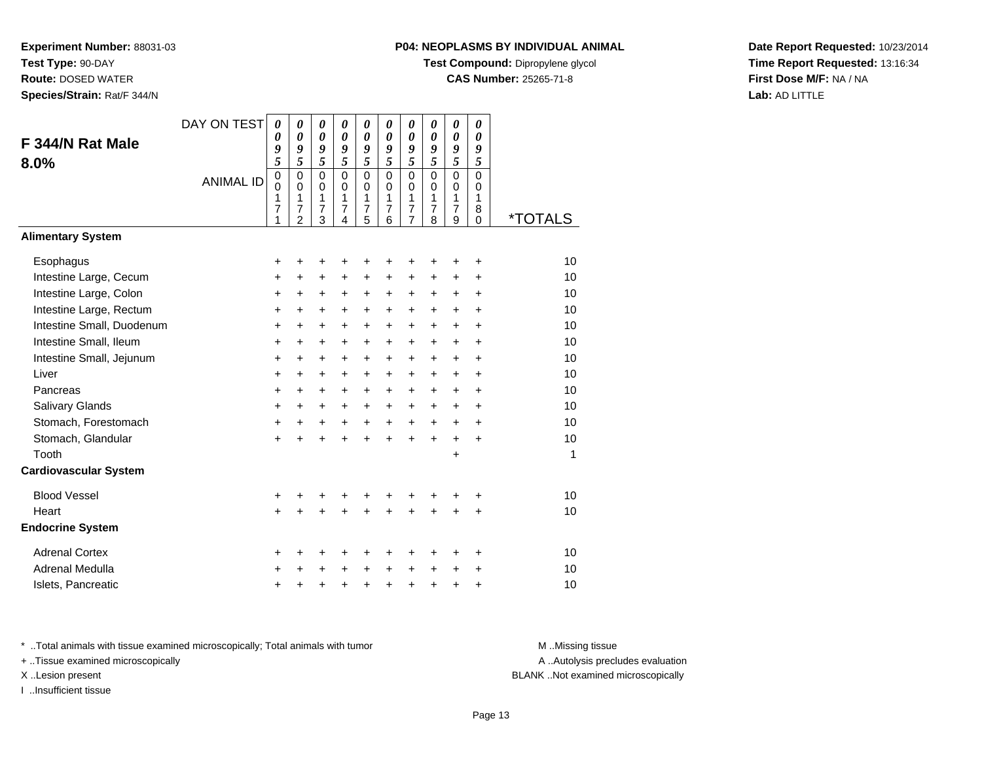**Test Type:** 90-DAY

**Route:** DOSED WATER

**Species/Strain:** Rat/F 344/N

# **P04: NEOPLASMS BY INDIVIDUAL ANIMAL**

**Test Compound:** Dipropylene glycol

**CAS Number:** 25265-71-8

**Date Report Requested:** 10/23/2014**Time Report Requested:** 13:16:34**First Dose M/F:** NA / NA**Lab:** AD LITTLE

| F 344/N Rat Male             | DAY ON TEST      | 0<br>0<br>9                          | 0<br>$\boldsymbol{\theta}$<br>9                                       | 0<br>$\boldsymbol{\theta}$<br>9                             | 0<br>$\boldsymbol{\theta}$<br>9                       | 0<br>0<br>9                                       | 0<br>$\boldsymbol{\theta}$<br>9                                  | 0<br>0<br>9                                                    | 0<br>0<br>9                                           | $\pmb{\theta}$<br>$\boldsymbol{\theta}$<br>9                           | 0<br>$\boldsymbol{\theta}$<br>9      |                       |
|------------------------------|------------------|--------------------------------------|-----------------------------------------------------------------------|-------------------------------------------------------------|-------------------------------------------------------|---------------------------------------------------|------------------------------------------------------------------|----------------------------------------------------------------|-------------------------------------------------------|------------------------------------------------------------------------|--------------------------------------|-----------------------|
| 8.0%                         | <b>ANIMAL ID</b> | 5<br>$\mathbf 0$<br>0<br>1<br>7<br>1 | 5<br>$\mathbf 0$<br>$\Omega$<br>1<br>$\overline{7}$<br>$\overline{c}$ | 5<br>$\mathbf 0$<br>$\mathbf 0$<br>1<br>$\overline{7}$<br>3 | 5<br>$\Omega$<br>$\Omega$<br>1<br>$\overline{7}$<br>4 | 5<br>$\mathbf 0$<br>0<br>1<br>$\overline{7}$<br>5 | 5<br>$\Omega$<br>$\Omega$<br>$\mathbf{1}$<br>$\overline{7}$<br>6 | 5<br>$\mathbf 0$<br>0<br>1<br>$\overline{7}$<br>$\overline{7}$ | 5<br>$\Omega$<br>$\Omega$<br>1<br>$\overline{7}$<br>8 | 5<br>$\mathbf 0$<br>$\mathbf 0$<br>$\mathbf{1}$<br>$\overline{7}$<br>9 | 5<br>$\mathbf 0$<br>0<br>1<br>8<br>0 | <i><b>*TOTALS</b></i> |
| <b>Alimentary System</b>     |                  |                                      |                                                                       |                                                             |                                                       |                                                   |                                                                  |                                                                |                                                       |                                                                        |                                      |                       |
| Esophagus                    |                  | +                                    | ٠                                                                     | +                                                           | +                                                     | +                                                 |                                                                  | +                                                              | +                                                     | +                                                                      | +                                    | 10                    |
| Intestine Large, Cecum       |                  | +                                    | $\ddot{}$                                                             | $\ddot{}$                                                   | $\ddot{}$                                             | $\ddot{}$                                         | $\ddot{}$                                                        | $\ddot{}$                                                      | $\ddot{}$                                             | $\ddot{}$                                                              | $\ddot{}$                            | 10                    |
| Intestine Large, Colon       |                  | +                                    | $\ddot{}$                                                             | $\ddot{}$                                                   | +                                                     | +                                                 | $\ddot{}$                                                        | $\ddot{}$                                                      | +                                                     | $\ddot{}$                                                              | $\ddot{}$                            | 10                    |
| Intestine Large, Rectum      |                  | $\ddot{}$                            | $\ddot{}$                                                             | $\ddot{}$                                                   | $\ddot{}$                                             | $\ddot{}$                                         | $\ddot{}$                                                        | $\ddot{}$                                                      | +                                                     | $\ddot{}$                                                              | $\ddot{}$                            | 10                    |
| Intestine Small, Duodenum    |                  | $\ddot{}$                            | $\ddot{}$                                                             | $\ddot{}$                                                   | $\ddot{}$                                             | $\ddot{}$                                         | $\ddot{}$                                                        | $\ddot{}$                                                      | $\ddot{}$                                             | $\ddot{}$                                                              | $\ddot{}$                            | 10                    |
| Intestine Small, Ileum       |                  | +                                    | +                                                                     | $\ddot{}$                                                   | $\ddot{}$                                             | $\ddot{}$                                         | $\ddot{}$                                                        | +                                                              | +                                                     | +                                                                      | +                                    | 10                    |
| Intestine Small, Jejunum     |                  | $\ddot{}$                            | +                                                                     | $\ddot{}$                                                   | $\ddot{}$                                             | $\ddot{}$                                         | $\ddot{}$                                                        | $\ddot{}$                                                      | +                                                     | $\ddot{}$                                                              | $\ddot{}$                            | 10                    |
| Liver                        |                  | +                                    | $\ddot{}$                                                             | $\ddot{}$                                                   | $\ddot{}$                                             | $+$                                               | $+$                                                              | $\ddot{}$                                                      | $\ddot{}$                                             | $\ddot{}$                                                              | +                                    | 10                    |
| Pancreas                     |                  | $\ddot{}$                            | $\ddot{}$                                                             | $\ddot{}$                                                   | $\ddot{}$                                             | $\ddot{}$                                         | $\ddot{}$                                                        | $\ddot{}$                                                      | +                                                     | $\ddot{}$                                                              | $\ddot{}$                            | 10                    |
| Salivary Glands              |                  | +                                    | +                                                                     | +                                                           | +                                                     | $\ddot{}$                                         | $\ddot{}$                                                        | +                                                              | $\pm$                                                 | $\ddot{}$                                                              | $\ddot{}$                            | 10                    |
| Stomach, Forestomach         |                  | $\ddot{}$                            | $\ddot{}$                                                             | $\ddot{}$                                                   | $\ddot{}$                                             | $\ddot{}$                                         | $\ddot{}$                                                        | $\ddot{}$                                                      | $\ddot{}$                                             | $\ddot{}$                                                              | $\ddot{}$                            | 10                    |
| Stomach, Glandular           |                  | $\pm$                                | +                                                                     | +                                                           | $\ddot{}$                                             | $\ddot{}$                                         | $\ddot{}$                                                        | $\ddot{}$                                                      | $\ddot{}$                                             | $\ddot{}$                                                              | $\ddot{}$                            | 10                    |
| Tooth                        |                  |                                      |                                                                       |                                                             |                                                       |                                                   |                                                                  |                                                                |                                                       | $\ddot{}$                                                              |                                      | 1                     |
| <b>Cardiovascular System</b> |                  |                                      |                                                                       |                                                             |                                                       |                                                   |                                                                  |                                                                |                                                       |                                                                        |                                      |                       |
| <b>Blood Vessel</b>          |                  | +                                    | +                                                                     | +                                                           | +                                                     | +                                                 | +                                                                | +                                                              | +                                                     | +                                                                      | +                                    | 10                    |
| Heart                        |                  | $\ddot{}$                            |                                                                       | $\ddot{}$                                                   |                                                       | $\ddot{}$                                         |                                                                  | $\ddot{}$                                                      | $\ddot{}$                                             | $\ddot{}$                                                              | $\ddot{}$                            | 10                    |
| <b>Endocrine System</b>      |                  |                                      |                                                                       |                                                             |                                                       |                                                   |                                                                  |                                                                |                                                       |                                                                        |                                      |                       |
| <b>Adrenal Cortex</b>        |                  | +                                    | ٠                                                                     | +                                                           | +                                                     | +                                                 | +                                                                | +                                                              | +                                                     | +                                                                      | $\ddot{}$                            | 10                    |
| Adrenal Medulla              |                  | +                                    | +                                                                     | +                                                           | +                                                     | +                                                 | $\ddot{}$                                                        | +                                                              | +                                                     | $\ddot{}$                                                              | +                                    | 10                    |
| Islets, Pancreatic           |                  | +                                    | +                                                                     | +                                                           | +                                                     | +                                                 | $\ddot{}$                                                        | +                                                              | +                                                     | +                                                                      | $\ddot{}$                            | 10                    |

\* ..Total animals with tissue examined microscopically; Total animals with tumor **M** . Missing tissue M ..Missing tissue

+ ..Tissue examined microscopically

I ..Insufficient tissue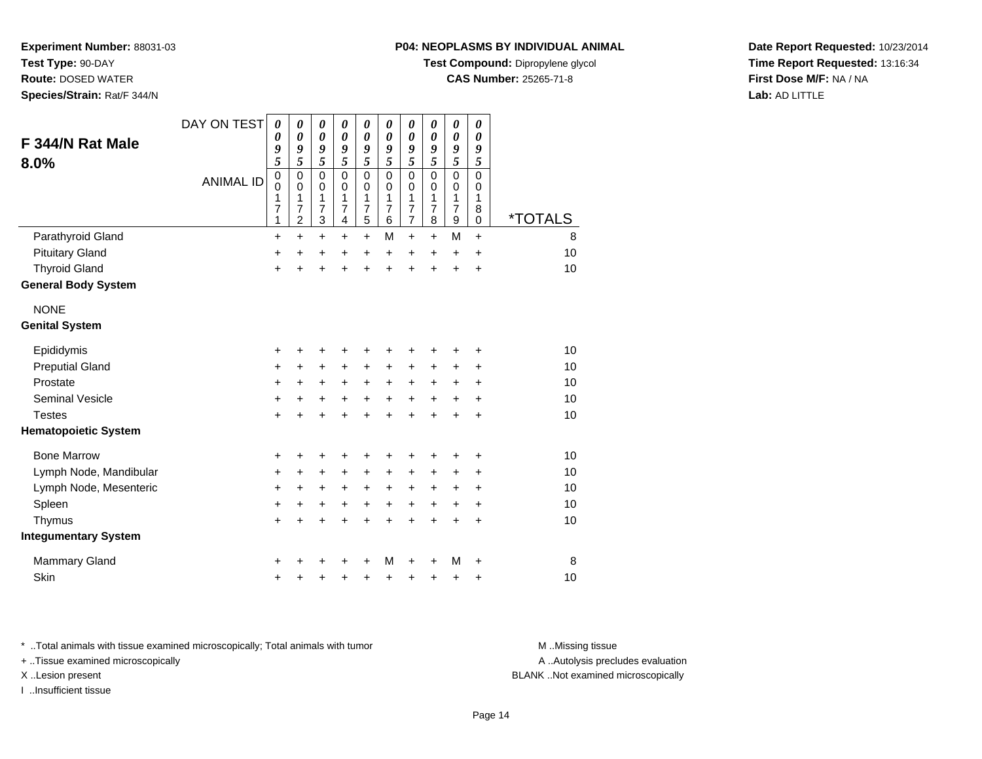**Test Type:** 90-DAY

**Route:** DOSED WATER

**Species/Strain:** Rat/F 344/N

#### **P04: NEOPLASMS BY INDIVIDUAL ANIMAL**

**Test Compound:** Dipropylene glycol

**CAS Number:** 25265-71-8

**Date Report Requested:** 10/23/2014**Time Report Requested:** 13:16:34**First Dose M/F:** NA / NA**Lab:** AD LITTLE

| F 344/N Rat Male            | DAY ON TEST      | $\boldsymbol{\theta}$<br>$\boldsymbol{\theta}$<br>9 | $\boldsymbol{\theta}$<br>0<br>9              | $\boldsymbol{\theta}$<br>$\boldsymbol{\theta}$<br>9            | 0<br>0<br>9                                               | $\boldsymbol{\theta}$<br>$\boldsymbol{\theta}$<br>9       | $\pmb{\theta}$<br>0<br>9                                | $\boldsymbol{\theta}$<br>0<br>9                           | 0<br>0<br>9                                  | $\pmb{\theta}$<br>0<br>9                                                 | 0<br>0<br>9                               |                       |
|-----------------------------|------------------|-----------------------------------------------------|----------------------------------------------|----------------------------------------------------------------|-----------------------------------------------------------|-----------------------------------------------------------|---------------------------------------------------------|-----------------------------------------------------------|----------------------------------------------|--------------------------------------------------------------------------|-------------------------------------------|-----------------------|
| 8.0%                        |                  | $\overline{\mathbf{5}}$                             | 5                                            | $\overline{5}$                                                 | $\overline{5}$                                            | $\tilde{s}$                                               | 5                                                       | 5                                                         | 5                                            | 5                                                                        | 5                                         |                       |
|                             | <b>ANIMAL ID</b> | $\mathbf 0$<br>$\mathbf 0$<br>1<br>7<br>1           | $\mathbf 0$<br>0<br>1<br>7<br>$\overline{2}$ | $\Omega$<br>$\mathbf 0$<br>1<br>$\overline{7}$<br>$\mathbf{3}$ | $\overline{0}$<br>$\mathbf 0$<br>1<br>$\overline{7}$<br>4 | $\overline{0}$<br>$\mathbf 0$<br>1<br>$\overline{7}$<br>5 | $\mathbf{0}$<br>$\mathbf 0$<br>1<br>$\overline{7}$<br>6 | $\mathbf 0$<br>0<br>1<br>$\overline{7}$<br>$\overline{7}$ | $\mathbf 0$<br>0<br>1<br>$\overline{7}$<br>8 | $\overline{0}$<br>$\mathbf 0$<br>1<br>$\overline{7}$<br>$\boldsymbol{9}$ | $\mathbf 0$<br>0<br>1<br>8<br>$\mathbf 0$ | <i><b>*TOTALS</b></i> |
| Parathyroid Gland           |                  | $\ddot{}$                                           | $\ddot{}$                                    | $\ddot{}$                                                      | $\ddot{}$                                                 | $\ddot{}$                                                 | M                                                       | $\ddot{}$                                                 | $\ddot{}$                                    | M                                                                        | $+$                                       | 8                     |
| <b>Pituitary Gland</b>      |                  | $\pmb{+}$                                           | $\ddot{}$                                    | +                                                              | +                                                         | +                                                         | +                                                       | +                                                         | +                                            | +                                                                        | $\ddot{}$                                 | 10                    |
| <b>Thyroid Gland</b>        |                  | $\ddot{}$                                           | $\ddot{}$                                    | $\ddot{}$                                                      | $\ddot{}$                                                 | $\ddot{}$                                                 | $\ddot{}$                                               | $\ddot{}$                                                 | $\ddot{}$                                    | $\ddot{}$                                                                | $\ddot{}$                                 | 10                    |
| <b>General Body System</b>  |                  |                                                     |                                              |                                                                |                                                           |                                                           |                                                         |                                                           |                                              |                                                                          |                                           |                       |
| <b>NONE</b>                 |                  |                                                     |                                              |                                                                |                                                           |                                                           |                                                         |                                                           |                                              |                                                                          |                                           |                       |
| <b>Genital System</b>       |                  |                                                     |                                              |                                                                |                                                           |                                                           |                                                         |                                                           |                                              |                                                                          |                                           |                       |
| Epididymis                  |                  | +                                                   | +                                            | +                                                              | +                                                         | +                                                         | +                                                       | +                                                         | +                                            | +                                                                        | +                                         | 10                    |
| <b>Preputial Gland</b>      |                  | $\ddot{}$                                           | $\ddot{}$                                    | $\ddot{}$                                                      | $\ddot{}$                                                 | $\ddot{}$                                                 | +                                                       | +                                                         | +                                            | +                                                                        | +                                         | 10                    |
| Prostate                    |                  | +                                                   | +                                            | $\ddot{}$                                                      | $\ddot{}$                                                 | $\ddot{}$                                                 | $\ddot{}$                                               | +                                                         | $\pm$                                        | +                                                                        | $\ddot{}$                                 | 10                    |
| <b>Seminal Vesicle</b>      |                  | $\pmb{+}$                                           | $\ddot{}$                                    | +                                                              | +                                                         | $\ddot{}$                                                 | $\ddot{}$                                               | $\ddot{}$                                                 | +                                            | +                                                                        | $\ddot{}$                                 | 10                    |
| <b>Testes</b>               |                  | $\ddot{}$                                           | $\ddot{}$                                    | $\ddot{}$                                                      | $\ddot{}$                                                 | $\ddot{}$                                                 | $\ddot{}$                                               | $\ddot{}$                                                 | $\ddot{}$                                    | $\ddot{}$                                                                | $\ddot{}$                                 | 10                    |
| <b>Hematopoietic System</b> |                  |                                                     |                                              |                                                                |                                                           |                                                           |                                                         |                                                           |                                              |                                                                          |                                           |                       |
| <b>Bone Marrow</b>          |                  | +                                                   | +                                            | +                                                              |                                                           | +                                                         | +                                                       | +                                                         | +                                            | +                                                                        | +                                         | 10                    |
| Lymph Node, Mandibular      |                  | +                                                   | +                                            | $\ddot{}$                                                      | $\ddot{}$                                                 | $\ddot{}$                                                 | $\ddot{}$                                               | +                                                         | +                                            | +                                                                        | +                                         | 10                    |
| Lymph Node, Mesenteric      |                  | +                                                   | +                                            | +                                                              | +                                                         | +                                                         | +                                                       | +                                                         | +                                            | +                                                                        | +                                         | 10                    |
| Spleen                      |                  | +                                                   | +                                            | +                                                              | +                                                         | $\ddot{}$                                                 | +                                                       | $\ddot{}$                                                 | +                                            | +                                                                        | +                                         | 10                    |
| Thymus                      |                  | $\ddot{}$                                           |                                              |                                                                |                                                           | +                                                         | +                                                       | $\ddot{}$                                                 | $\ddot{}$                                    | $\ddot{}$                                                                | $\ddot{}$                                 | 10                    |
| <b>Integumentary System</b> |                  |                                                     |                                              |                                                                |                                                           |                                                           |                                                         |                                                           |                                              |                                                                          |                                           |                       |
| Mammary Gland               |                  | +                                                   |                                              |                                                                |                                                           |                                                           | M                                                       | ٠                                                         | +                                            | M                                                                        | +                                         | 8                     |
| Skin                        |                  | $\ddot{}$                                           |                                              |                                                                |                                                           | +                                                         | +                                                       | +                                                         | +                                            | +                                                                        | +                                         | 10                    |

\* ..Total animals with tissue examined microscopically; Total animals with tumor **M** . Missing tissue M ..Missing tissue

+ ..Tissue examined microscopically

I ..Insufficient tissue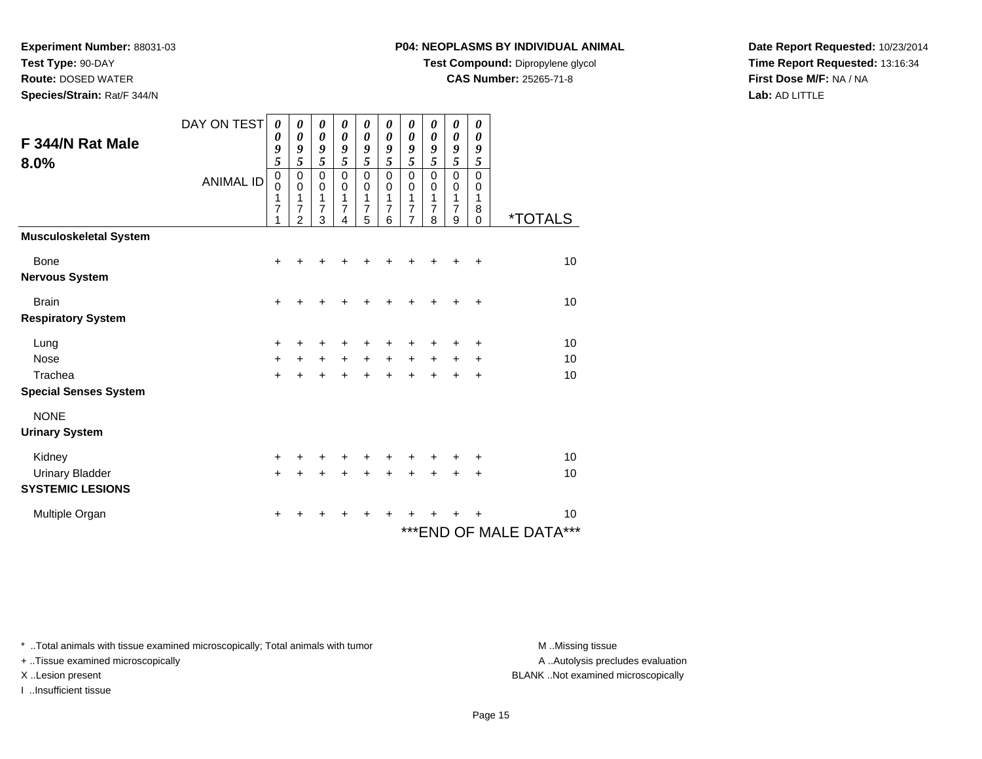**Test Type:** 90-DAY

**Route:** DOSED WATER

**Species/Strain:** Rat/F 344/N

## **P04: NEOPLASMS BY INDIVIDUAL ANIMAL**

**Test Compound:** Dipropylene glycol

**CAS Number:** 25265-71-8

**Date Report Requested:** 10/23/2014**Time Report Requested:** 13:16:34**First Dose M/F:** NA / NA**Lab:** AD LITTLE

| F 344/N Rat Male<br>8.0%      | DAY ON TEST<br><b>ANIMAL ID</b> | $\boldsymbol{\theta}$<br>0<br>9<br>$\overline{5}$<br>$\mathbf 0$<br>0<br>1 | 0<br>0<br>9<br>5<br>0<br>$\mathbf 0$<br>1 | $\boldsymbol{\theta}$<br>$\boldsymbol{\theta}$<br>9<br>5<br>$\mathbf 0$<br>$\mathbf 0$<br>1<br>$\overline{7}$ | $\pmb{\theta}$<br>0<br>9<br>5<br>$\mathbf 0$<br>0<br>1<br>7 | $\pmb{\theta}$<br>0<br>9<br>$\overline{\mathbf{5}}$<br>$\mathsf 0$<br>0<br>1<br>$\overline{7}$ | 0<br>0<br>9<br>5<br>0<br>0<br>1 | $\pmb{\theta}$<br>$\boldsymbol{\theta}$<br>9<br>5<br>$\mathsf 0$<br>0<br>1 | 0<br>0<br>9<br>5<br>0<br>0<br>1<br>7 | 0<br>$\boldsymbol{\theta}$<br>9<br>$\overline{5}$<br>$\pmb{0}$<br>0<br>1 | 0<br>0<br>9<br>5<br>$\mathbf 0$<br>$\pmb{0}$<br>1 |                               |
|-------------------------------|---------------------------------|----------------------------------------------------------------------------|-------------------------------------------|---------------------------------------------------------------------------------------------------------------|-------------------------------------------------------------|------------------------------------------------------------------------------------------------|---------------------------------|----------------------------------------------------------------------------|--------------------------------------|--------------------------------------------------------------------------|---------------------------------------------------|-------------------------------|
|                               |                                 | 7<br>1                                                                     | 7<br>2                                    | 3                                                                                                             | 4                                                           | 5                                                                                              | 7<br>6                          | 7<br>7                                                                     | 8                                    | 7<br>9                                                                   | 8<br>$\Omega$                                     | *TOTALS                       |
| <b>Musculoskeletal System</b> |                                 |                                                                            |                                           |                                                                                                               |                                                             |                                                                                                |                                 |                                                                            |                                      |                                                                          |                                                   |                               |
| Bone                          |                                 | $\ddot{}$                                                                  |                                           |                                                                                                               |                                                             |                                                                                                |                                 |                                                                            |                                      |                                                                          | ٠                                                 | 10                            |
| <b>Nervous System</b>         |                                 |                                                                            |                                           |                                                                                                               |                                                             |                                                                                                |                                 |                                                                            |                                      |                                                                          |                                                   |                               |
| <b>Brain</b>                  |                                 | +                                                                          |                                           |                                                                                                               |                                                             |                                                                                                |                                 |                                                                            |                                      |                                                                          | ٠                                                 | 10                            |
| <b>Respiratory System</b>     |                                 |                                                                            |                                           |                                                                                                               |                                                             |                                                                                                |                                 |                                                                            |                                      |                                                                          |                                                   |                               |
| Lung                          |                                 | $\ddot{}$                                                                  | +                                         | +                                                                                                             |                                                             | +                                                                                              | +                               | +                                                                          | +                                    | +                                                                        | +                                                 | 10                            |
| Nose                          |                                 | $+$                                                                        | $\ddot{}$                                 | $\ddot{}$                                                                                                     | $+$                                                         | $+$                                                                                            | $+$                             | $+$                                                                        | $+$                                  | +                                                                        | +                                                 | 10                            |
| Trachea                       |                                 | $+$                                                                        | $\ddot{}$                                 | $\ddot{}$                                                                                                     | $\ddot{}$                                                   | $\ddot{}$                                                                                      | ÷                               | $\ddot{}$                                                                  | ÷                                    | ÷                                                                        | $\ddot{}$                                         | 10                            |
| <b>Special Senses System</b>  |                                 |                                                                            |                                           |                                                                                                               |                                                             |                                                                                                |                                 |                                                                            |                                      |                                                                          |                                                   |                               |
| <b>NONE</b>                   |                                 |                                                                            |                                           |                                                                                                               |                                                             |                                                                                                |                                 |                                                                            |                                      |                                                                          |                                                   |                               |
| <b>Urinary System</b>         |                                 |                                                                            |                                           |                                                                                                               |                                                             |                                                                                                |                                 |                                                                            |                                      |                                                                          |                                                   |                               |
| Kidney                        |                                 | +                                                                          |                                           |                                                                                                               |                                                             |                                                                                                |                                 |                                                                            |                                      |                                                                          | ÷                                                 | 10                            |
| <b>Urinary Bladder</b>        |                                 | $\ddot{}$                                                                  |                                           |                                                                                                               |                                                             |                                                                                                |                                 |                                                                            |                                      |                                                                          | +                                                 | 10                            |
| <b>SYSTEMIC LESIONS</b>       |                                 |                                                                            |                                           |                                                                                                               |                                                             |                                                                                                |                                 |                                                                            |                                      |                                                                          |                                                   |                               |
| Multiple Organ                |                                 | +                                                                          |                                           |                                                                                                               |                                                             |                                                                                                |                                 |                                                                            |                                      |                                                                          |                                                   | 10                            |
|                               |                                 |                                                                            |                                           |                                                                                                               |                                                             |                                                                                                |                                 |                                                                            |                                      |                                                                          |                                                   | $***$<br>*** END OF MALE DATA |

\* ..Total animals with tissue examined microscopically; Total animals with tumor **M** . Missing tissue M ..Missing tissue

+ ..Tissue examined microscopically

I ..Insufficient tissue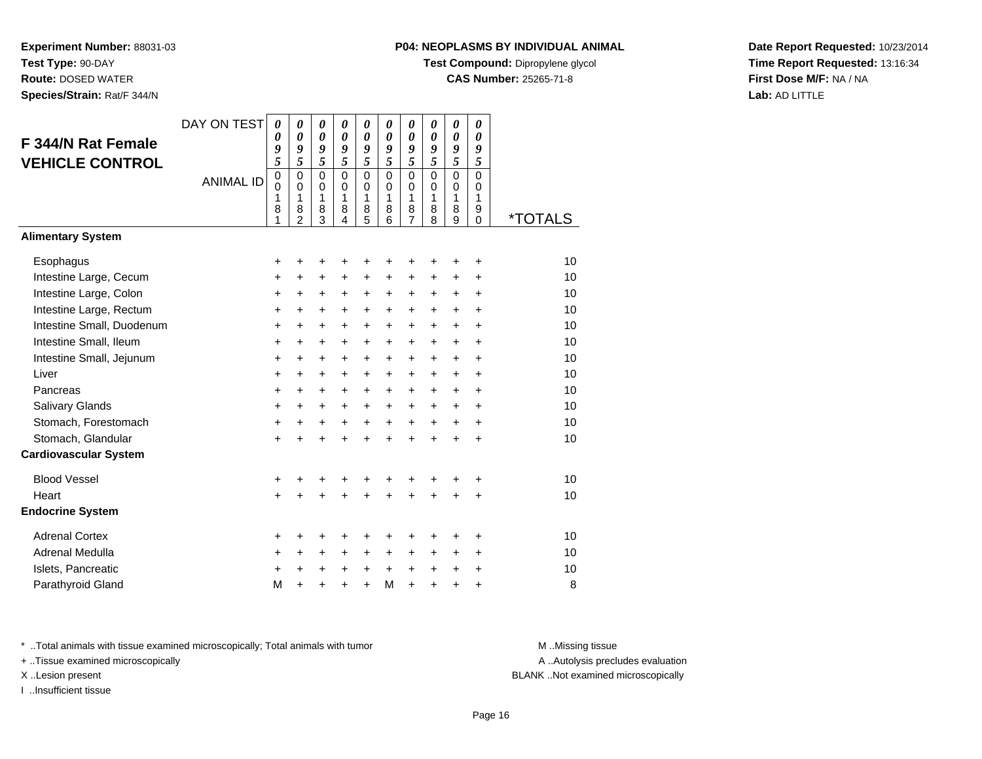**Experiment Number:** 88031-03**Test Type:** 90-DAY **Route:** DOSED WATER**Species/Strain:** Rat/F 344/N

# **P04: NEOPLASMS BY INDIVIDUAL ANIMAL**

**Test Compound:** Dipropylene glycol

**CAS Number:** 25265-71-8

**Date Report Requested:** 10/23/2014**Time Report Requested:** 13:16:34**First Dose M/F:** NA / NA**Lab:** AD LITTLE

| F 344/N Rat Female<br><b>VEHICLE CONTROL</b>                                                                                                                                                                                                                                                      | DAY ON TEST<br><b>ANIMAL ID</b> | $\boldsymbol{\theta}$<br>0<br>9<br>5<br>$\mathbf 0$<br>0<br>1<br>8<br>1                                                  | $\boldsymbol{\theta}$<br>$\boldsymbol{\theta}$<br>9<br>5<br>$\mathbf 0$<br>$\mathbf 0$<br>1<br>8<br>$\overline{2}$       | 0<br>0<br>9<br>5<br>0<br>$\mathbf 0$<br>1<br>8<br>$\overline{3}$                                 | 0<br>0<br>9<br>5<br>$\mathbf 0$<br>$\mathbf 0$<br>1<br>8<br>4                                            | 0<br>$\boldsymbol{\theta}$<br>9<br>5<br>$\mathbf 0$<br>0<br>1<br>8<br>5                                                  | 0<br>0<br>9<br>5<br>0<br>$\mathbf 0$<br>1<br>8<br>6                                                                                | 0<br>$\boldsymbol{\theta}$<br>9<br>$\overline{5}$<br>0<br>0<br>1<br>8<br>7                       | 0<br>0<br>9<br>$\overline{5}$<br>$\Omega$<br>0<br>1<br>8<br>8                                                            | 0<br>0<br>9<br>$\overline{\mathbf{5}}$<br>$\mathbf 0$<br>0<br>1<br>8<br>9                                        | 0<br>0<br>9<br>5<br>$\mathbf 0$<br>0<br>1<br>9<br>$\Omega$                                                                               | <i><b>*TOTALS</b></i>                                                |
|---------------------------------------------------------------------------------------------------------------------------------------------------------------------------------------------------------------------------------------------------------------------------------------------------|---------------------------------|--------------------------------------------------------------------------------------------------------------------------|--------------------------------------------------------------------------------------------------------------------------|--------------------------------------------------------------------------------------------------|----------------------------------------------------------------------------------------------------------|--------------------------------------------------------------------------------------------------------------------------|------------------------------------------------------------------------------------------------------------------------------------|--------------------------------------------------------------------------------------------------|--------------------------------------------------------------------------------------------------------------------------|------------------------------------------------------------------------------------------------------------------|------------------------------------------------------------------------------------------------------------------------------------------|----------------------------------------------------------------------|
| <b>Alimentary System</b>                                                                                                                                                                                                                                                                          |                                 |                                                                                                                          |                                                                                                                          |                                                                                                  |                                                                                                          |                                                                                                                          |                                                                                                                                    |                                                                                                  |                                                                                                                          |                                                                                                                  |                                                                                                                                          |                                                                      |
| Esophagus<br>Intestine Large, Cecum<br>Intestine Large, Colon<br>Intestine Large, Rectum<br>Intestine Small, Duodenum<br>Intestine Small, Ileum<br>Intestine Small, Jejunum<br>Liver<br>Pancreas<br>Salivary Glands<br>Stomach, Forestomach<br>Stomach, Glandular<br><b>Cardiovascular System</b> |                                 | +<br>+<br>+<br>$\ddot{}$<br>$\ddot{}$<br>$\ddot{}$<br>+<br>$\ddot{}$<br>$\ddot{}$<br>$\ddot{}$<br>$\ddot{}$<br>$\ddot{}$ | +<br>+<br>$\ddot{}$<br>+<br>$\ddot{}$<br>$\ddot{}$<br>$\ddot{}$<br>$\ddot{}$<br>$\ddot{}$<br>+<br>$\ddot{}$<br>$\ddot{}$ | +<br>+<br>+<br>+<br>+<br>+<br>$\ddot{}$<br>$\ddot{}$<br>$\ddot{}$<br>+<br>$\ddot{}$<br>$\ddot{}$ | +<br>+<br>+<br>+<br>$\ddot{}$<br>$\ddot{}$<br>+<br>$\ddot{}$<br>$\ddot{}$<br>+<br>$\ddot{}$<br>$\ddot{}$ | +<br>+<br>+<br>+<br>$\ddot{}$<br>$\ddot{}$<br>$\ddot{}$<br>$\ddot{}$<br>$\ddot{}$<br>$\ddot{}$<br>$\ddot{}$<br>$\ddot{}$ | +<br>$\ddot{}$<br>+<br>$\ddot{}$<br>$\ddot{}$<br>$\ddot{}$<br>$\ddot{}$<br>$\ddot{}$<br>$\ddot{}$<br>$\ddot{}$<br>$+$<br>$\ddot{}$ | +<br>+<br>+<br>+<br>+<br>$\ddot{}$<br>+<br>$\ddot{}$<br>$\ddot{}$<br>+<br>$\ddot{}$<br>$\ddot{}$ | +<br>+<br>+<br>+<br>$\ddot{}$<br>$\ddot{}$<br>$\ddot{}$<br>$\ddot{}$<br>$\ddot{}$<br>$\ddot{}$<br>$\ddot{}$<br>$\ddot{}$ | +<br>+<br>+<br>+<br>$\ddot{}$<br>+<br>$\ddot{}$<br>$\ddot{}$<br>$\ddot{}$<br>$\ddot{}$<br>$\ddot{}$<br>$\ddot{}$ | +<br>+<br>$\ddot{}$<br>$\ddot{}$<br>$\ddot{}$<br>$\ddot{}$<br>$\ddot{}$<br>$\ddot{}$<br>$\ddot{}$<br>$\ddot{}$<br>$\ddot{}$<br>$\ddot{}$ | 10<br>10<br>10<br>10<br>10<br>10<br>10<br>10<br>10<br>10<br>10<br>10 |
| <b>Blood Vessel</b><br>Heart<br><b>Endocrine System</b>                                                                                                                                                                                                                                           |                                 | +<br>$\ddot{}$                                                                                                           |                                                                                                                          | $\ddot{}$                                                                                        | +<br>Ŧ.                                                                                                  | +<br>$\ddot{}$                                                                                                           |                                                                                                                                    | +<br>+                                                                                           |                                                                                                                          |                                                                                                                  | +                                                                                                                                        | 10<br>10                                                             |
| <b>Adrenal Cortex</b><br>Adrenal Medulla<br>Islets, Pancreatic<br>Parathyroid Gland                                                                                                                                                                                                               |                                 | +<br>$\ddot{}$<br>$\ddot{}$<br>M                                                                                         | +<br>$\ddot{}$<br>$\ddot{}$<br>÷                                                                                         | +<br>$\ddot{}$<br>+<br>$\ddot{}$                                                                 | +<br>$\ddot{}$<br>+<br>$\ddot{}$                                                                         | +<br>+<br>$\ddot{}$<br>$\ddot{}$                                                                                         | ٠<br>$\ddot{}$<br>$+$<br>M                                                                                                         | +<br>$\ddot{}$<br>$\ddot{}$<br>$\ddot{}$                                                         | +<br>$\ddot{}$<br>$\ddot{}$<br>$\ddot{}$                                                                                 | +<br>$\ddot{}$<br>$\ddot{}$<br>$\ddot{}$                                                                         | ٠<br>$\ddot{}$<br>$\ddot{}$<br>$\ddot{}$                                                                                                 | 10<br>10<br>10<br>8                                                  |

\* ..Total animals with tissue examined microscopically; Total animals with tumor **M** . Missing tissue M ..Missing tissue

+ ..Tissue examined microscopically

I ..Insufficient tissue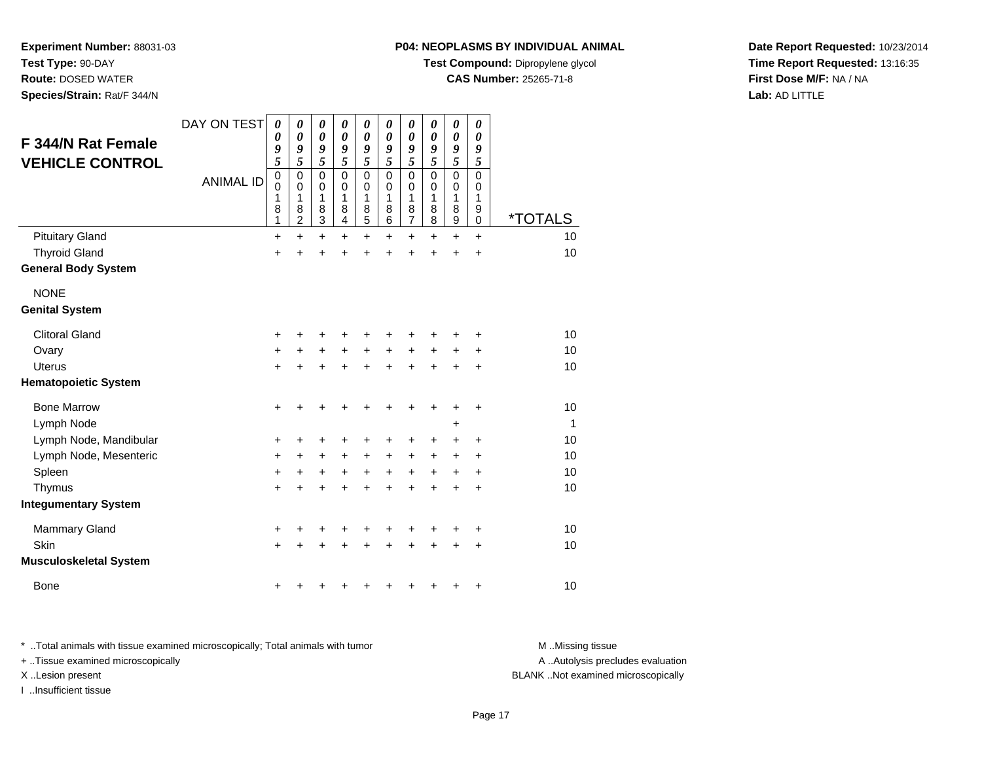**P04: NEOPLASMS BY INDIVIDUAL ANIMAL**

**Test Compound:** Dipropylene glycol

**CAS Number:** 25265-71-8

**Date Report Requested:** 10/23/2014**Time Report Requested:** 13:16:35**First Dose M/F:** NA / NA**Lab:** AD LITTLE

**Experiment Number:** 88031-03**Test Type:** 90-DAY**Route:** DOSED WATER

**Species/Strain:** Rat/F 344/N

| <b>F 344/N Rat Female</b><br><b>VEHICLE CONTROL</b> | DAY ON TEST<br><b>ANIMAL ID</b> | $\boldsymbol{\theta}$<br>0<br>9<br>5<br>$\overline{0}$<br>$\mathbf 0$<br>1<br>8<br>1 | $\boldsymbol{\theta}$<br>$\boldsymbol{\theta}$<br>9<br>5<br>$\mathbf 0$<br>$\mathbf 0$<br>1<br>8<br>$\overline{2}$ | 0<br>$\boldsymbol{\theta}$<br>9<br>5<br>$\mathbf 0$<br>$\mathbf 0$<br>1<br>8<br>$\overline{3}$ | 0<br>0<br>9<br>5<br>$\mathbf 0$<br>$\mathbf 0$<br>1<br>8<br>4 | 0<br>$\boldsymbol{\theta}$<br>9<br>5<br>$\mathbf 0$<br>$\mathbf 0$<br>1<br>8<br>$\overline{5}$ | 0<br>$\boldsymbol{\theta}$<br>9<br>5<br>$\mathbf 0$<br>$\Omega$<br>1<br>8<br>6 | 0<br>0<br>9<br>5<br>$\mathbf 0$<br>$\mathbf 0$<br>1<br>8<br>$\overline{7}$ | 0<br>0<br>9<br>5<br>$\mathbf 0$<br>$\Omega$<br>1<br>8<br>8 | 0<br>$\boldsymbol{\theta}$<br>9<br>5<br>$\overline{0}$<br>$\mathbf 0$<br>1<br>8<br>9 | 0<br>0<br>9<br>5<br>$\mathbf 0$<br>$\mathbf 0$<br>1<br>9<br>$\mathbf 0$ | <i><b>*TOTALS</b></i> |
|-----------------------------------------------------|---------------------------------|--------------------------------------------------------------------------------------|--------------------------------------------------------------------------------------------------------------------|------------------------------------------------------------------------------------------------|---------------------------------------------------------------|------------------------------------------------------------------------------------------------|--------------------------------------------------------------------------------|----------------------------------------------------------------------------|------------------------------------------------------------|--------------------------------------------------------------------------------------|-------------------------------------------------------------------------|-----------------------|
| <b>Pituitary Gland</b>                              |                                 | $\ddot{}$                                                                            | $\ddot{}$                                                                                                          | $\ddot{}$                                                                                      | $\ddot{}$                                                     | $\ddot{}$                                                                                      | $\ddot{}$                                                                      | $+$                                                                        | $\ddot{}$                                                  | $+$                                                                                  | $+$                                                                     | 10                    |
| <b>Thyroid Gland</b>                                |                                 | $\ddot{}$                                                                            | $\ddot{}$                                                                                                          | $\ddot{}$                                                                                      | $\ddot{}$                                                     | $\ddot{}$                                                                                      | $\ddot{}$                                                                      | $\ddot{}$                                                                  | ÷                                                          | $\ddot{}$                                                                            | $\ddot{}$                                                               | 10                    |
| <b>General Body System</b>                          |                                 |                                                                                      |                                                                                                                    |                                                                                                |                                                               |                                                                                                |                                                                                |                                                                            |                                                            |                                                                                      |                                                                         |                       |
| <b>NONE</b><br><b>Genital System</b>                |                                 |                                                                                      |                                                                                                                    |                                                                                                |                                                               |                                                                                                |                                                                                |                                                                            |                                                            |                                                                                      |                                                                         |                       |
| <b>Clitoral Gland</b>                               |                                 | +                                                                                    | +                                                                                                                  | +                                                                                              | +                                                             | +                                                                                              |                                                                                |                                                                            |                                                            |                                                                                      | ٠                                                                       | 10                    |
| Ovary                                               |                                 | +                                                                                    | $\ddot{}$                                                                                                          | $\ddot{}$                                                                                      | $\ddot{}$                                                     | $\ddot{}$                                                                                      | $\ddot{}$                                                                      | $\ddot{}$                                                                  | $\ddot{}$                                                  | +                                                                                    | +                                                                       | 10                    |
| <b>Uterus</b>                                       |                                 | $\ddot{}$                                                                            | ÷                                                                                                                  | $\ddot{}$                                                                                      | $\ddot{}$                                                     | $\ddot{}$                                                                                      | $\ddot{}$                                                                      | $+$                                                                        | $\ddot{}$                                                  | $\ddot{}$                                                                            | $\ddot{}$                                                               | 10                    |
| <b>Hematopoietic System</b>                         |                                 |                                                                                      |                                                                                                                    |                                                                                                |                                                               |                                                                                                |                                                                                |                                                                            |                                                            |                                                                                      |                                                                         |                       |
| <b>Bone Marrow</b><br>Lymph Node                    |                                 | $\ddot{}$                                                                            |                                                                                                                    | +                                                                                              | +                                                             | +                                                                                              | +                                                                              | +                                                                          | +                                                          | +                                                                                    | +                                                                       | 10<br>1               |
| Lymph Node, Mandibular                              |                                 | +                                                                                    | +                                                                                                                  | +                                                                                              | ٠                                                             | +                                                                                              | ٠                                                                              | +                                                                          | ٠                                                          | ٠                                                                                    | $\ddot{}$                                                               | 10                    |
| Lymph Node, Mesenteric                              |                                 | $\ddot{}$                                                                            | $\ddot{}$                                                                                                          | $\ddot{}$                                                                                      | $\ddot{}$                                                     | $\ddot{}$                                                                                      | $\ddot{}$                                                                      | $\ddot{}$                                                                  | $\ddot{}$                                                  | +                                                                                    | $\ddot{}$                                                               | 10                    |
| Spleen                                              |                                 | $\ddot{}$                                                                            | $\ddot{}$                                                                                                          | $\ddot{}$                                                                                      | +                                                             | $\ddot{}$                                                                                      | $\ddot{}$                                                                      | $\ddot{}$                                                                  | $\ddot{}$                                                  | $\ddot{}$                                                                            | $\ddot{}$                                                               | 10                    |
| Thymus                                              |                                 | $\ddot{}$                                                                            |                                                                                                                    | $\ddot{}$                                                                                      |                                                               | $\ddot{}$                                                                                      | $\ddot{}$                                                                      | $\ddot{}$                                                                  |                                                            | $\ddot{}$                                                                            | $\ddot{}$                                                               | 10                    |
| <b>Integumentary System</b>                         |                                 |                                                                                      |                                                                                                                    |                                                                                                |                                                               |                                                                                                |                                                                                |                                                                            |                                                            |                                                                                      |                                                                         |                       |
| <b>Mammary Gland</b>                                |                                 | +                                                                                    | +                                                                                                                  | +                                                                                              | +                                                             | +                                                                                              | ٠                                                                              | +                                                                          | ÷                                                          | ٠                                                                                    | ÷                                                                       | 10                    |
| Skin                                                |                                 | $\ddot{}$                                                                            |                                                                                                                    | $\ddot{}$                                                                                      | $\ddot{}$                                                     | $\ddot{}$                                                                                      | ÷                                                                              | $\ddot{}$                                                                  | $\ddot{}$                                                  | $\ddot{}$                                                                            | $\ddot{}$                                                               | 10                    |
| <b>Musculoskeletal System</b>                       |                                 |                                                                                      |                                                                                                                    |                                                                                                |                                                               |                                                                                                |                                                                                |                                                                            |                                                            |                                                                                      |                                                                         |                       |
| <b>Bone</b>                                         |                                 | +                                                                                    |                                                                                                                    |                                                                                                |                                                               |                                                                                                |                                                                                |                                                                            |                                                            |                                                                                      |                                                                         | 10                    |

\* ..Total animals with tissue examined microscopically; Total animals with tumor **M** . Missing tissue M ..Missing tissue A ..Autolysis precludes evaluation + ..Tissue examined microscopically X ..Lesion present BLANK ..Not examined microscopicallyI ..Insufficient tissue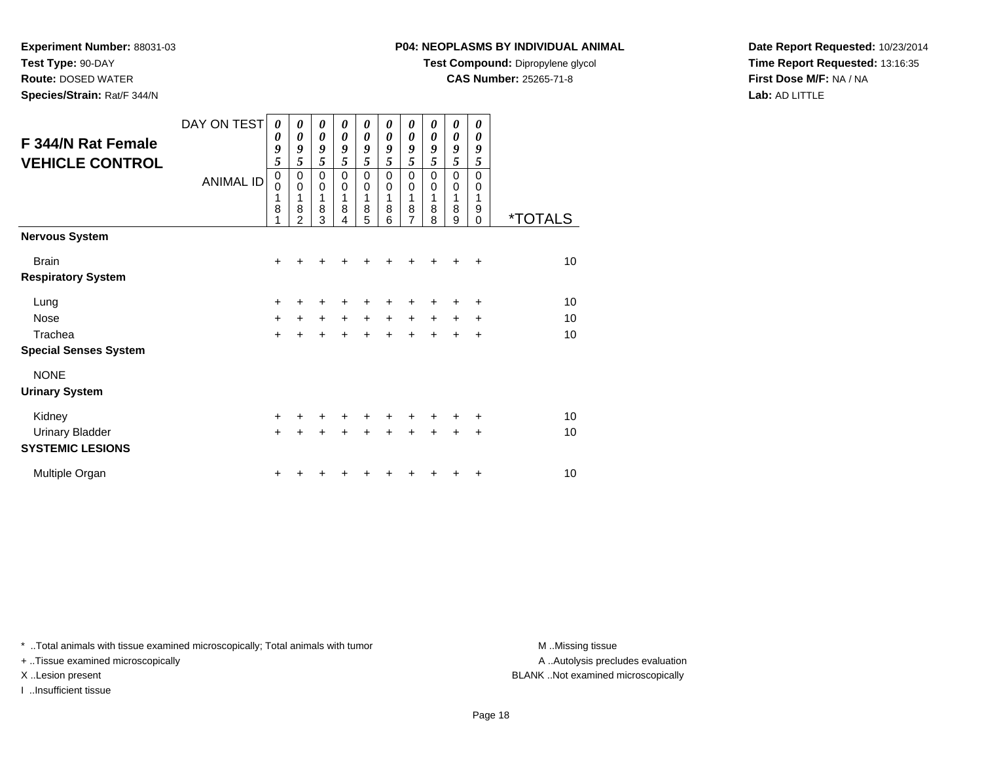**Experiment Number:** 88031-03**Test Type:** 90-DAY

**Route:** DOSED WATER

**Species/Strain:** Rat/F 344/N

### **P04: NEOPLASMS BY INDIVIDUAL ANIMAL**

**Test Compound:** Dipropylene glycol

**CAS Number:** 25265-71-8

**Date Report Requested:** 10/23/2014**Time Report Requested:** 13:16:35**First Dose M/F:** NA / NA**Lab:** AD LITTLE

| F 344/N Rat Female<br><b>VEHICLE CONTROL</b> | DAY ON TEST<br><b>ANIMAL ID</b> | 0<br>0<br>9<br>5<br>$\mathbf 0$<br>$\Omega$<br>1<br>8 | $\boldsymbol{\theta}$<br>0<br>9<br>5<br>0<br>$\mathbf 0$<br>1<br>8<br>2 | 0<br>$\boldsymbol{\theta}$<br>9<br>5<br>$\Omega$<br>$\mathbf 0$<br>1<br>8<br>3 | 0<br>0<br>9<br>5<br>$\Omega$<br>$\mathbf 0$<br>1<br>8 | 0<br>$\boldsymbol{\theta}$<br>9<br>5<br>$\mathbf 0$<br>$\mathbf 0$<br>1<br>8<br>5 | 0<br>0<br>9<br>5<br>$\Omega$<br>$\mathbf 0$<br>1<br>8<br>6 | 0<br>0<br>9<br>5<br>$\mathbf 0$<br>$\mathbf 0$<br>1<br>8<br>$\overline{7}$ | 0<br>0<br>9<br>5<br>$\Omega$<br>0<br>1<br>8<br>8 | 0<br>0<br>9<br>5<br>$\mathbf 0$<br>0<br>1<br>8<br>9 | 0<br>0<br>9<br>5<br>0<br>0<br>1<br>9<br>0 | <i><b>*TOTALS</b></i> |
|----------------------------------------------|---------------------------------|-------------------------------------------------------|-------------------------------------------------------------------------|--------------------------------------------------------------------------------|-------------------------------------------------------|-----------------------------------------------------------------------------------|------------------------------------------------------------|----------------------------------------------------------------------------|--------------------------------------------------|-----------------------------------------------------|-------------------------------------------|-----------------------|
| <b>Nervous System</b>                        |                                 |                                                       |                                                                         |                                                                                |                                                       |                                                                                   |                                                            |                                                                            |                                                  |                                                     |                                           |                       |
| <b>Brain</b>                                 |                                 | $\ddot{}$                                             | +                                                                       |                                                                                |                                                       |                                                                                   |                                                            |                                                                            |                                                  |                                                     | ÷                                         | 10                    |
| <b>Respiratory System</b>                    |                                 |                                                       |                                                                         |                                                                                |                                                       |                                                                                   |                                                            |                                                                            |                                                  |                                                     |                                           |                       |
| Lung                                         |                                 | $\ddot{}$                                             |                                                                         | ٠                                                                              |                                                       |                                                                                   |                                                            |                                                                            |                                                  | +                                                   | ÷                                         | 10                    |
| Nose                                         |                                 | $\ddot{}$                                             | $\ddot{}$                                                               | $\ddot{}$                                                                      | $+$                                                   | $+$                                                                               | $+$                                                        | $\ddot{}$                                                                  | $\ddot{}$                                        | $\ddot{}$                                           | +                                         | 10                    |
| Trachea                                      |                                 | $\ddot{}$                                             | $\ddot{}$                                                               | $\ddot{}$                                                                      |                                                       | $\ddot{}$                                                                         | $\ddot{}$                                                  | $\ddot{}$                                                                  |                                                  | $\ddot{}$                                           | $\ddot{}$                                 | 10                    |
| <b>Special Senses System</b>                 |                                 |                                                       |                                                                         |                                                                                |                                                       |                                                                                   |                                                            |                                                                            |                                                  |                                                     |                                           |                       |
| <b>NONE</b>                                  |                                 |                                                       |                                                                         |                                                                                |                                                       |                                                                                   |                                                            |                                                                            |                                                  |                                                     |                                           |                       |
| <b>Urinary System</b>                        |                                 |                                                       |                                                                         |                                                                                |                                                       |                                                                                   |                                                            |                                                                            |                                                  |                                                     |                                           |                       |
| Kidney                                       |                                 | $\ddot{}$                                             | +                                                                       | +                                                                              | +                                                     | +                                                                                 | $\ddot{}$                                                  | $\ddot{}$                                                                  | ٠                                                | ٠                                                   | +                                         | 10                    |
| <b>Urinary Bladder</b>                       |                                 | $\ddot{}$                                             | +                                                                       | +                                                                              |                                                       | $\ddot{}$                                                                         | $\ddot{}$                                                  | $\ddot{}$                                                                  | $\ddot{}$                                        | $\ddot{}$                                           | $\ddot{}$                                 | 10                    |
| <b>SYSTEMIC LESIONS</b>                      |                                 |                                                       |                                                                         |                                                                                |                                                       |                                                                                   |                                                            |                                                                            |                                                  |                                                     |                                           |                       |
| Multiple Organ                               |                                 | +                                                     |                                                                         |                                                                                |                                                       |                                                                                   |                                                            |                                                                            |                                                  |                                                     | +                                         | 10                    |

\* ..Total animals with tissue examined microscopically; Total animals with tumor **M** . Missing tissue M ..Missing tissue

+ ..Tissue examined microscopically

I ..Insufficient tissue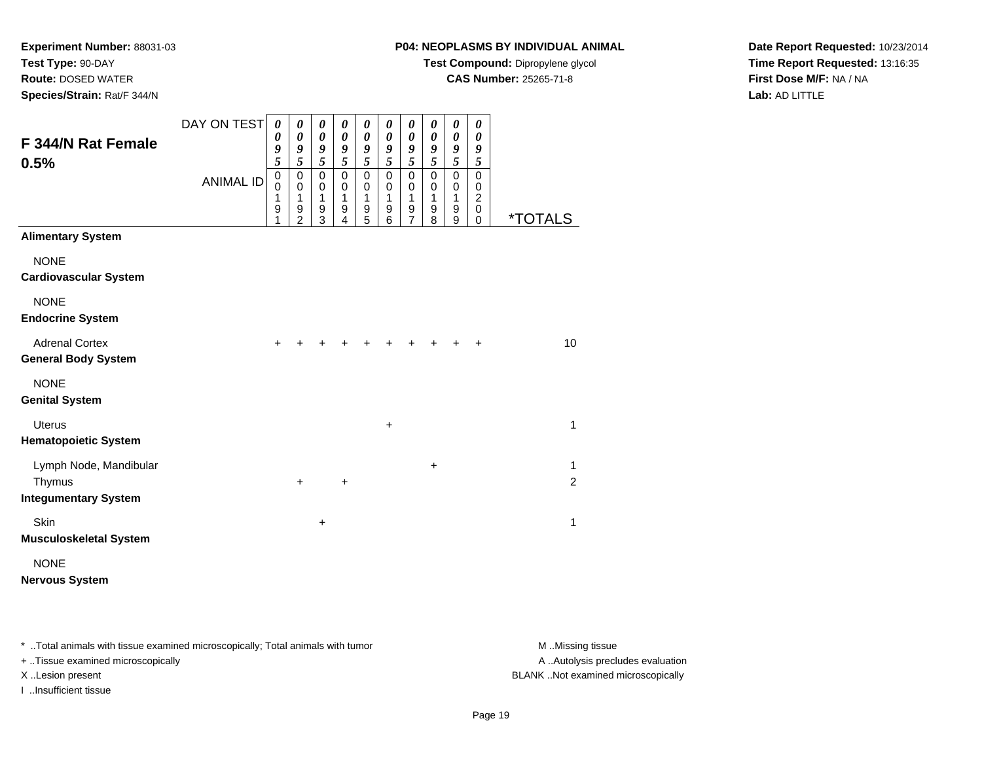**Test Type:** 90-DAY

**Route:** DOSED WATER

**Species/Strain:** Rat/F 344/N

# **P04: NEOPLASMS BY INDIVIDUAL ANIMAL**

**Test Compound:** Dipropylene glycol

**CAS Number:** 25265-71-8

**Date Report Requested:** 10/23/2014**Time Report Requested:** 13:16:35**First Dose M/F:** NA / NA**Lab:** AD LITTLE

| F 344/N Rat Female<br>0.5%                                      | DAY ON TEST      | 0<br>0<br>9<br>5                        | 0<br>0<br>9<br>5                                     | 0<br>$\boldsymbol{\theta}$<br>$\pmb{9}$<br>5   | 0<br>$\boldsymbol{\theta}$<br>9<br>5 | 0<br>0<br>9<br>5                               | 0<br>0<br>9<br>5                | 0<br>0<br>9<br>5                             | 0<br>0<br>9<br>5                | 0<br>$\boldsymbol{\theta}$<br>9<br>$\sqrt{5}$ | 0<br>0<br>9<br>$\sqrt{5}$                            |              |
|-----------------------------------------------------------------|------------------|-----------------------------------------|------------------------------------------------------|------------------------------------------------|--------------------------------------|------------------------------------------------|---------------------------------|----------------------------------------------|---------------------------------|-----------------------------------------------|------------------------------------------------------|--------------|
|                                                                 | <b>ANIMAL ID</b> | $\pmb{0}$<br>$\mathbf 0$<br>1<br>9<br>1 | $\mathbf 0$<br>$\pmb{0}$<br>1<br>9<br>$\overline{2}$ | $\mathbf 0$<br>0<br>1<br>$\boldsymbol{9}$<br>3 | $\mathbf 0$<br>0<br>1<br>9<br>4      | $\mathbf 0$<br>0<br>1<br>$\boldsymbol{9}$<br>5 | $\mathbf 0$<br>0<br>1<br>9<br>6 | $\mathbf 0$<br>0<br>1<br>9<br>$\overline{7}$ | $\mathbf 0$<br>0<br>1<br>9<br>8 | $\mathsf 0$<br>0<br>1<br>9<br>9               | $\pmb{0}$<br>0<br>$\overline{c}$<br>0<br>$\mathbf 0$ | *TOTALS      |
| <b>Alimentary System</b>                                        |                  |                                         |                                                      |                                                |                                      |                                                |                                 |                                              |                                 |                                               |                                                      |              |
| <b>NONE</b><br><b>Cardiovascular System</b>                     |                  |                                         |                                                      |                                                |                                      |                                                |                                 |                                              |                                 |                                               |                                                      |              |
| <b>NONE</b><br><b>Endocrine System</b>                          |                  |                                         |                                                      |                                                |                                      |                                                |                                 |                                              |                                 |                                               |                                                      |              |
| <b>Adrenal Cortex</b><br><b>General Body System</b>             |                  | $\ddot{}$                               | ÷                                                    | ÷                                              |                                      |                                                | ÷                               | $\ddot{}$                                    | $\ddot{}$                       | $\pm$                                         | $\ddot{}$                                            | 10           |
| <b>NONE</b><br><b>Genital System</b>                            |                  |                                         |                                                      |                                                |                                      |                                                |                                 |                                              |                                 |                                               |                                                      |              |
| <b>Uterus</b><br><b>Hematopoietic System</b>                    |                  |                                         |                                                      |                                                |                                      |                                                | $\ddot{}$                       |                                              |                                 |                                               |                                                      | $\mathbf{1}$ |
| Lymph Node, Mandibular<br>Thymus<br><b>Integumentary System</b> |                  |                                         | $+$                                                  |                                                | $\ddot{}$                            |                                                |                                 |                                              | $\ddot{}$                       |                                               |                                                      | 1<br>2       |
| Skin<br><b>Musculoskeletal System</b>                           |                  |                                         |                                                      | $\ddot{}$                                      |                                      |                                                |                                 |                                              |                                 |                                               |                                                      | 1            |
| <b>NONE</b><br><b>Nervous System</b>                            |                  |                                         |                                                      |                                                |                                      |                                                |                                 |                                              |                                 |                                               |                                                      |              |

\* ..Total animals with tissue examined microscopically; Total animals with tumor **M** . Missing tissue M ..Missing tissue

+ ..Tissue examined microscopically

I ..Insufficient tissue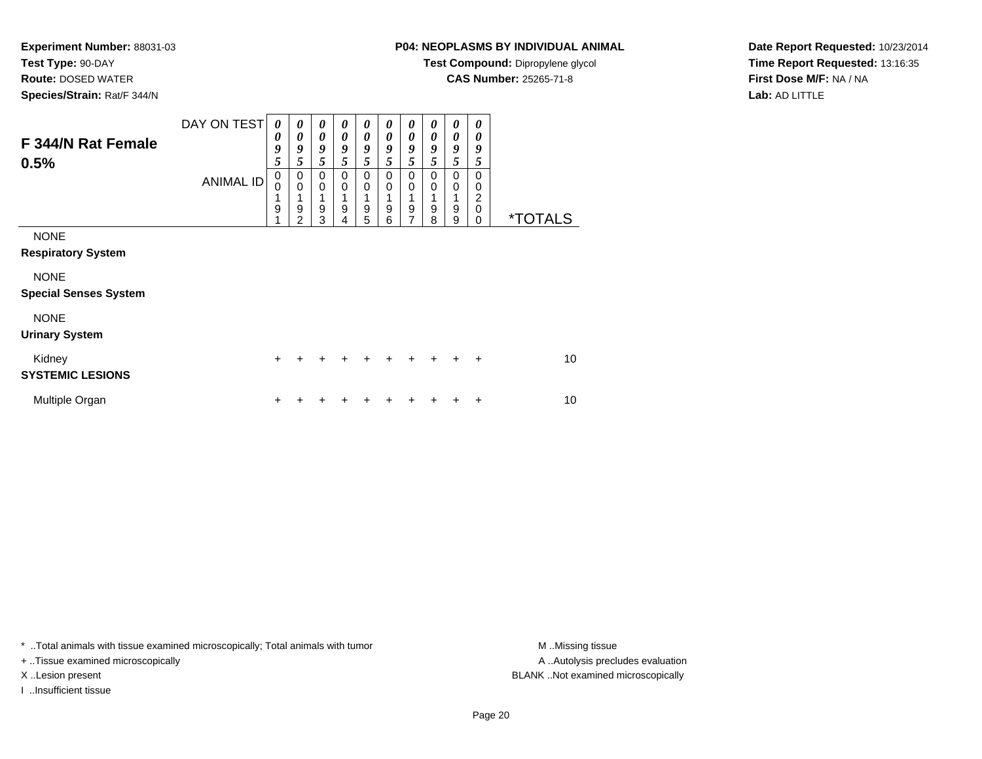**Test Type:** 90-DAY

**Route:** DOSED WATER

**Species/Strain:** Rat/F 344/N

# **P04: NEOPLASMS BY INDIVIDUAL ANIMAL**

**Test Compound:** Dipropylene glycol

**CAS Number:** 25265-71-8

**Date Report Requested:** 10/23/2014**Time Report Requested:** 13:16:35**First Dose M/F:** NA / NA**Lab:** AD LITTLE

| F 344/N Rat Female<br>0.5%                  | DAY ON TEST      | 0<br>0<br>9<br>5 | $\boldsymbol{\theta}$<br>0<br>9<br>5   | $\boldsymbol{\theta}$<br>0<br>9<br>5 | 0<br>$\boldsymbol{\theta}$<br>9<br>5 | 0<br>$\boldsymbol{\theta}$<br>9<br>5 | 0<br>0<br>9<br>5                          | 0<br>0<br>9<br>5                            | 0<br>0<br>9<br>5           | 0<br>0<br>9<br>5                       | 0<br>0<br>9<br>5             |                       |
|---------------------------------------------|------------------|------------------|----------------------------------------|--------------------------------------|--------------------------------------|--------------------------------------|-------------------------------------------|---------------------------------------------|----------------------------|----------------------------------------|------------------------------|-----------------------|
|                                             | <b>ANIMAL ID</b> | 0<br>0<br>9      | 0<br>$\mathbf 0$<br>9<br>$\mathcal{P}$ | $\Omega$<br>$\mathbf 0$<br>9<br>3    | 0<br>$\mathbf 0$<br>$\mathsf g$<br>4 | $\Omega$<br>$\Omega$<br>9<br>5       | 0<br>$\mathbf 0$<br>$\boldsymbol{9}$<br>6 | $\Omega$<br>0<br>1<br>$\boldsymbol{9}$<br>7 | 0<br>$\mathbf 0$<br>9<br>8 | $\Omega$<br>0<br>$\boldsymbol{9}$<br>9 | $\Omega$<br>0<br>2<br>0<br>0 | <i><b>*TOTALS</b></i> |
| <b>NONE</b><br><b>Respiratory System</b>    |                  |                  |                                        |                                      |                                      |                                      |                                           |                                             |                            |                                        |                              |                       |
| <b>NONE</b><br><b>Special Senses System</b> |                  |                  |                                        |                                      |                                      |                                      |                                           |                                             |                            |                                        |                              |                       |
| <b>NONE</b><br><b>Urinary System</b>        |                  |                  |                                        |                                      |                                      |                                      |                                           |                                             |                            |                                        |                              |                       |
| Kidney<br><b>SYSTEMIC LESIONS</b>           |                  | $\pm$            | $\div$                                 | ÷                                    | +                                    | $\ddot{}$                            | ÷                                         | $\div$                                      | $\div$                     | $\ddot{}$                              | $\ddot{}$                    | 10                    |
| Multiple Organ                              |                  | +                |                                        |                                      |                                      |                                      |                                           |                                             |                            |                                        | ٠                            | 10                    |

\* ..Total animals with tissue examined microscopically; Total animals with tumor **M** . Missing tissue M ..Missing tissue

+ ..Tissue examined microscopically

I ..Insufficient tissue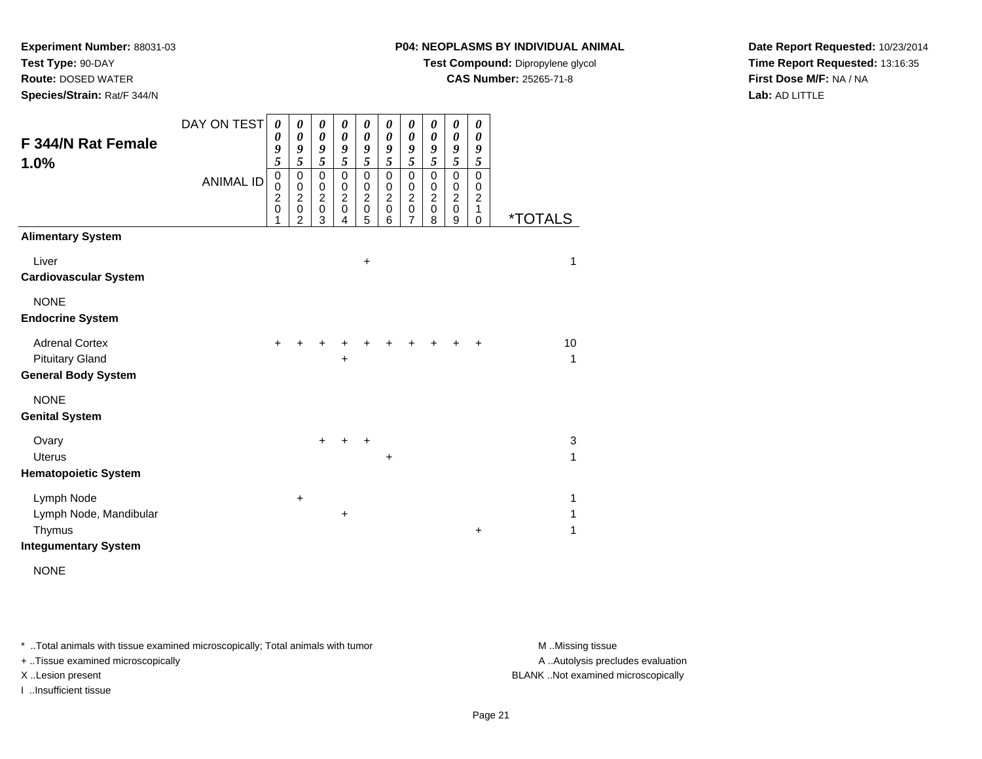**Test Type:** 90-DAY

**Route:** DOSED WATER

**Species/Strain:** Rat/F 344/N

# **P04: NEOPLASMS BY INDIVIDUAL ANIMAL**

**Test Compound:** Dipropylene glycol

**CAS Number:** 25265-71-8

**Date Report Requested:** 10/23/2014**Time Report Requested:** 13:16:35**First Dose M/F:** NA / NA**Lab:** AD LITTLE

| <b>F 344/N Rat Female</b>                                                     | DAY ON TEST      | 0<br>0<br>9                                  | 0<br>$\boldsymbol{\theta}$<br>9                        | $\boldsymbol{\theta}$<br>$\boldsymbol{\theta}$<br>9  | 0<br>$\boldsymbol{\theta}$<br>9                                | 0<br>$\pmb{\theta}$<br>9                                   | 0<br>$\boldsymbol{\theta}$<br>9                            | 0<br>$\pmb{\theta}$<br>9                                     | 0<br>$\boldsymbol{\theta}$<br>9                            | $\boldsymbol{\theta}$<br>$\pmb{\theta}$<br>$\boldsymbol{g}$         | $\boldsymbol{\theta}$<br>$\boldsymbol{\theta}$<br>9 |                       |
|-------------------------------------------------------------------------------|------------------|----------------------------------------------|--------------------------------------------------------|------------------------------------------------------|----------------------------------------------------------------|------------------------------------------------------------|------------------------------------------------------------|--------------------------------------------------------------|------------------------------------------------------------|---------------------------------------------------------------------|-----------------------------------------------------|-----------------------|
| 1.0%                                                                          | <b>ANIMAL ID</b> | 5<br>$\mathbf 0$<br>0<br>$\overline{c}$<br>0 | 5<br>$\pmb{0}$<br>$\pmb{0}$<br>$\sqrt{2}$<br>$\pmb{0}$ | 5<br>$\mathbf 0$<br>0<br>$\overline{c}$<br>$\pmb{0}$ | 5<br>$\mathbf 0$<br>$\pmb{0}$<br>$\overline{2}$<br>$\mathbf 0$ | 5<br>$\pmb{0}$<br>$\,0\,$<br>$\overline{2}$<br>$\mathbf 0$ | 5<br>$\pmb{0}$<br>$\,0\,$<br>$\overline{2}$<br>$\mathsf 0$ | 5<br>$\mathsf 0$<br>$\,0\,$<br>$\overline{2}$<br>$\mathbf 0$ | 5<br>$\mathbf 0$<br>$\,0\,$<br>$\overline{c}$<br>$\pmb{0}$ | $\sqrt{5}$<br>$\pmb{0}$<br>$\pmb{0}$<br>$\overline{2}$<br>$\pmb{0}$ | 5<br>$\Omega$<br>0<br>$\overline{c}$<br>1           |                       |
| <b>Alimentary System</b>                                                      |                  | 1                                            | $\overline{2}$                                         | 3                                                    | 4                                                              | 5                                                          | 6                                                          | $\overline{7}$                                               | 8                                                          | $\boldsymbol{9}$                                                    | $\mathbf 0$                                         | <i><b>*TOTALS</b></i> |
| Liver<br><b>Cardiovascular System</b>                                         |                  |                                              |                                                        |                                                      |                                                                | $\ddot{}$                                                  |                                                            |                                                              |                                                            |                                                                     |                                                     | 1                     |
| <b>NONE</b><br><b>Endocrine System</b>                                        |                  |                                              |                                                        |                                                      |                                                                |                                                            |                                                            |                                                              |                                                            |                                                                     |                                                     |                       |
| <b>Adrenal Cortex</b><br><b>Pituitary Gland</b><br><b>General Body System</b> |                  | +                                            |                                                        | ٠                                                    | +<br>$\ddot{}$                                                 |                                                            |                                                            | +                                                            |                                                            | ٠                                                                   | +                                                   | 10<br>1               |
| <b>NONE</b><br><b>Genital System</b>                                          |                  |                                              |                                                        |                                                      |                                                                |                                                            |                                                            |                                                              |                                                            |                                                                     |                                                     |                       |
| Ovary<br><b>Uterus</b>                                                        |                  |                                              |                                                        | $\ddot{}$                                            | $\ddot{}$                                                      | $\ddot{}$                                                  | +                                                          |                                                              |                                                            |                                                                     |                                                     | $\mathbf{3}$<br>1     |
| <b>Hematopoietic System</b>                                                   |                  |                                              |                                                        |                                                      |                                                                |                                                            |                                                            |                                                              |                                                            |                                                                     |                                                     |                       |
| Lymph Node<br>Lymph Node, Mandibular<br>Thymus<br><b>Integumentary System</b> |                  |                                              | $\ddot{}$                                              |                                                      | $\ddot{}$                                                      |                                                            |                                                            |                                                              |                                                            |                                                                     | $\ddot{}$                                           | 1<br>1<br>1           |

NONE

\* ..Total animals with tissue examined microscopically; Total animals with tumor **M** . Missing tissue M ..Missing tissue

+ ..Tissue examined microscopically

I ..Insufficient tissue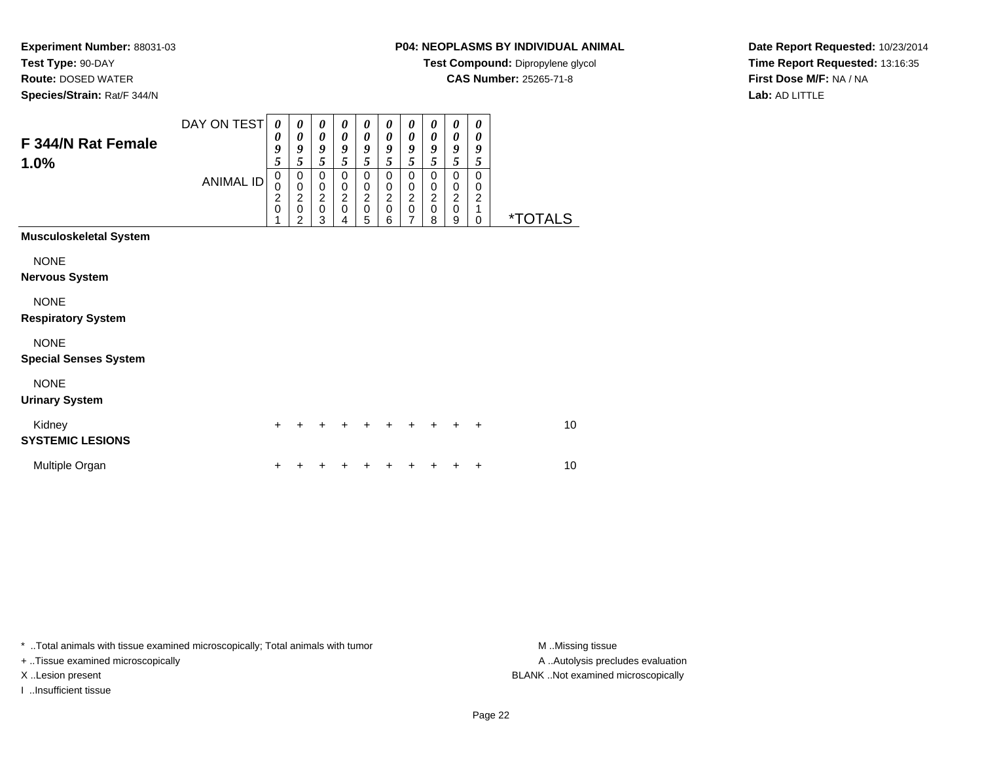**Test Type:** 90-DAY

**Route:** DOSED WATER

**Species/Strain:** Rat/F 344/N

# **P04: NEOPLASMS BY INDIVIDUAL ANIMAL**

**Test Compound:** Dipropylene glycol

**CAS Number:** 25265-71-8

**Date Report Requested:** 10/23/2014**Time Report Requested:** 13:16:35**First Dose M/F:** NA / NA**Lab:** AD LITTLE

| F 344/N Rat Female<br>1.0%                  | DAY ON TEST<br><b>ANIMAL ID</b> | $\boldsymbol{\theta}$<br>0<br>9<br>5<br>$\mathbf 0$<br>$\mathbf 0$<br>$\frac{2}{0}$ | $\boldsymbol{\theta}$<br>$\boldsymbol{\theta}$<br>9<br>5<br>$\pmb{0}$<br>$\pmb{0}$<br>$\frac{2}{0}$<br>2 | $\boldsymbol{\theta}$<br>$\boldsymbol{\theta}$<br>9<br>5<br>$\pmb{0}$<br>$\pmb{0}$<br>$\frac{2}{0}$<br>3 | 0<br>$\boldsymbol{\theta}$<br>9<br>5<br>$\pmb{0}$<br>$\pmb{0}$<br>$\frac{2}{0}$<br>4 | 0<br>0<br>9<br>5<br>0<br>0<br>$^2_{\rm 0}$<br>5 | 0<br>0<br>9<br>5<br>$\mathbf 0$<br>0<br>$\frac{2}{0}$<br>6 | 0<br>$\boldsymbol{\theta}$<br>9<br>5<br>0<br>$\pmb{0}$<br>$\frac{2}{0}$<br>7 | 0<br>0<br>9<br>5<br>$\mathbf 0$<br>0<br>$\frac{2}{0}$<br>8 | 0<br>$\boldsymbol{\theta}$<br>9<br>5<br>0<br>$\pmb{0}$<br>$\frac{2}{0}$<br>9 | 0<br>0<br>9<br>5<br>$\Omega$<br>0<br>$\overline{c}$<br>$\mathbf{1}$<br>$\Omega$ | <i><b>*TOTALS</b></i> |
|---------------------------------------------|---------------------------------|-------------------------------------------------------------------------------------|----------------------------------------------------------------------------------------------------------|----------------------------------------------------------------------------------------------------------|--------------------------------------------------------------------------------------|-------------------------------------------------|------------------------------------------------------------|------------------------------------------------------------------------------|------------------------------------------------------------|------------------------------------------------------------------------------|---------------------------------------------------------------------------------|-----------------------|
| <b>Musculoskeletal System</b>               |                                 |                                                                                     |                                                                                                          |                                                                                                          |                                                                                      |                                                 |                                                            |                                                                              |                                                            |                                                                              |                                                                                 |                       |
| <b>NONE</b><br><b>Nervous System</b>        |                                 |                                                                                     |                                                                                                          |                                                                                                          |                                                                                      |                                                 |                                                            |                                                                              |                                                            |                                                                              |                                                                                 |                       |
| <b>NONE</b><br><b>Respiratory System</b>    |                                 |                                                                                     |                                                                                                          |                                                                                                          |                                                                                      |                                                 |                                                            |                                                                              |                                                            |                                                                              |                                                                                 |                       |
| <b>NONE</b><br><b>Special Senses System</b> |                                 |                                                                                     |                                                                                                          |                                                                                                          |                                                                                      |                                                 |                                                            |                                                                              |                                                            |                                                                              |                                                                                 |                       |
| <b>NONE</b><br><b>Urinary System</b>        |                                 |                                                                                     |                                                                                                          |                                                                                                          |                                                                                      |                                                 |                                                            |                                                                              |                                                            |                                                                              |                                                                                 |                       |
| Kidney<br><b>SYSTEMIC LESIONS</b>           |                                 | $\ddot{}$                                                                           |                                                                                                          |                                                                                                          |                                                                                      | ٠                                               |                                                            |                                                                              |                                                            |                                                                              | $\ddot{}$                                                                       | 10                    |
| Multiple Organ                              |                                 | +                                                                                   |                                                                                                          |                                                                                                          |                                                                                      |                                                 |                                                            |                                                                              |                                                            |                                                                              | ÷                                                                               | 10                    |

\* ..Total animals with tissue examined microscopically; Total animals with tumor **M** . Missing tissue M ..Missing tissue

+ ..Tissue examined microscopically

I ..Insufficient tissue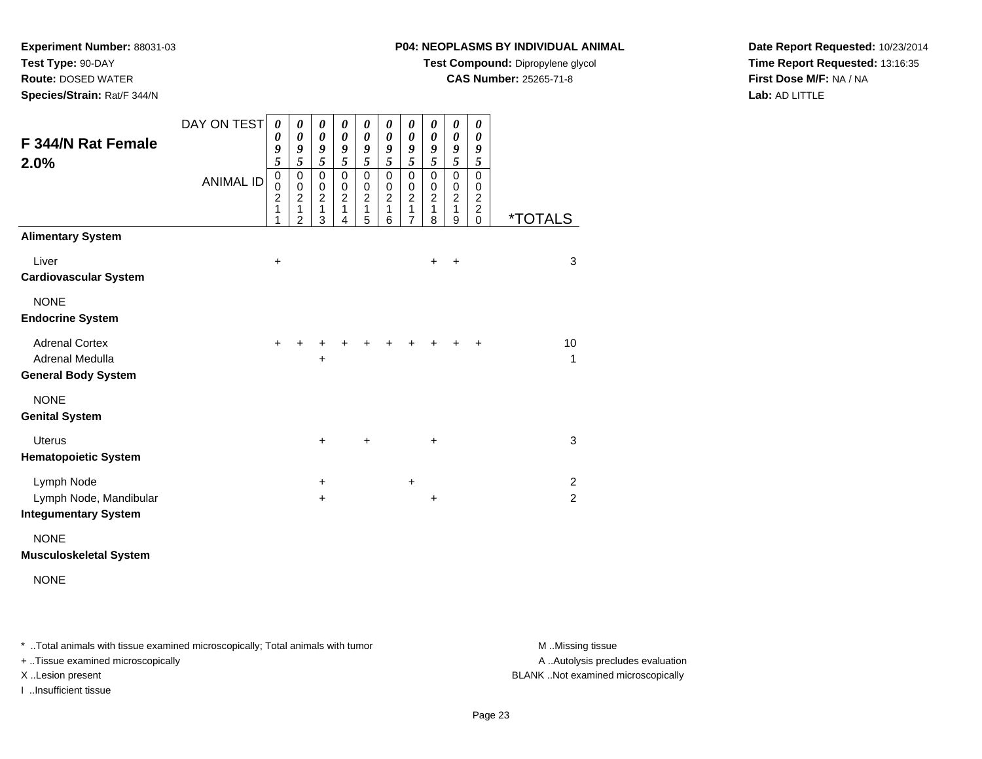**Test Type:** 90-DAY

**Route:** DOSED WATER

**Species/Strain:** Rat/F 344/N

# **P04: NEOPLASMS BY INDIVIDUAL ANIMAL**

**Test Compound:** Dipropylene glycol

**CAS Number:** 25265-71-8

**Date Report Requested:** 10/23/2014**Time Report Requested:** 13:16:35**First Dose M/F:** NA / NA**Lab:** AD LITTLE

| F 344/N Rat Female                                                     | DAY ON TEST      | $\boldsymbol{\theta}$<br>0                             | $\pmb{\theta}$<br>$\boldsymbol{\theta}$                                     | 0<br>$\boldsymbol{\theta}$                             | 0<br>$\boldsymbol{\theta}$                               | 0<br>$\boldsymbol{\theta}$                                       | 0<br>$\boldsymbol{\theta}$                             | $\boldsymbol{\theta}$<br>0                                                     | $\boldsymbol{\theta}$<br>0                                                           | 0<br>0                                                             | 0<br>0                                                                |                                           |
|------------------------------------------------------------------------|------------------|--------------------------------------------------------|-----------------------------------------------------------------------------|--------------------------------------------------------|----------------------------------------------------------|------------------------------------------------------------------|--------------------------------------------------------|--------------------------------------------------------------------------------|--------------------------------------------------------------------------------------|--------------------------------------------------------------------|-----------------------------------------------------------------------|-------------------------------------------|
| 2.0%                                                                   | <b>ANIMAL ID</b> | 9<br>5<br>$\mathbf 0$<br>0<br>$\overline{c}$<br>1<br>1 | 9<br>5<br>$\pmb{0}$<br>$\pmb{0}$<br>$\boldsymbol{2}$<br>1<br>$\overline{2}$ | 9<br>5<br>$\mathbf 0$<br>0<br>$\overline{c}$<br>1<br>3 | 9<br>5<br>$\mathbf 0$<br>0<br>$\boldsymbol{2}$<br>1<br>4 | 9<br>5<br>$\mathbf 0$<br>0<br>$\overline{c}$<br>$\mathbf 1$<br>5 | 9<br>5<br>$\mathbf 0$<br>0<br>$\overline{c}$<br>1<br>6 | 9<br>5<br>$\mathbf 0$<br>0<br>$\overline{2}$<br>$\mathbf{1}$<br>$\overline{7}$ | 9<br>5<br>$\mathbf 0$<br>$\mathbf 0$<br>$\overline{\mathbf{c}}$<br>$\mathbf{1}$<br>8 | 9<br>5<br>$\mathbf 0$<br>0<br>$\boldsymbol{2}$<br>$\mathbf 1$<br>9 | 9<br>5<br>$\mathbf 0$<br>0<br>$\boldsymbol{2}$<br>$\overline{c}$<br>0 | <i><b>*TOTALS</b></i>                     |
| <b>Alimentary System</b>                                               |                  |                                                        |                                                                             |                                                        |                                                          |                                                                  |                                                        |                                                                                |                                                                                      |                                                                    |                                                                       |                                           |
| Liver<br><b>Cardiovascular System</b>                                  |                  | $\ddot{}$                                              |                                                                             |                                                        |                                                          |                                                                  |                                                        |                                                                                | $\ddot{}$                                                                            | +                                                                  |                                                                       | 3                                         |
| <b>NONE</b><br><b>Endocrine System</b>                                 |                  |                                                        |                                                                             |                                                        |                                                          |                                                                  |                                                        |                                                                                |                                                                                      |                                                                    |                                                                       |                                           |
| <b>Adrenal Cortex</b><br>Adrenal Medulla<br><b>General Body System</b> |                  | $\div$                                                 |                                                                             | ٠                                                      |                                                          | ٠                                                                |                                                        |                                                                                |                                                                                      | $\div$                                                             | +                                                                     | 10<br>1                                   |
| <b>NONE</b><br><b>Genital System</b>                                   |                  |                                                        |                                                                             |                                                        |                                                          |                                                                  |                                                        |                                                                                |                                                                                      |                                                                    |                                                                       |                                           |
| <b>Uterus</b><br><b>Hematopoietic System</b>                           |                  |                                                        |                                                                             | $\ddot{}$                                              |                                                          | $\ddot{}$                                                        |                                                        |                                                                                | +                                                                                    |                                                                    |                                                                       | 3                                         |
| Lymph Node<br>Lymph Node, Mandibular<br><b>Integumentary System</b>    |                  |                                                        |                                                                             | $\ddot{}$<br>+                                         |                                                          |                                                                  |                                                        | $\ddot{}$                                                                      | +                                                                                    |                                                                    |                                                                       | $\overline{\mathbf{c}}$<br>$\overline{a}$ |
| <b>NONE</b><br><b>Musculoskeletal System</b>                           |                  |                                                        |                                                                             |                                                        |                                                          |                                                                  |                                                        |                                                                                |                                                                                      |                                                                    |                                                                       |                                           |

NONE

\* ..Total animals with tissue examined microscopically; Total animals with tumor **M** . Missing tissue M ..Missing tissue

+ ..Tissue examined microscopically

X ..Lesion present BLANK ..Not examined microscopically

I ..Insufficient tissue

A ..Autolysis precludes evaluation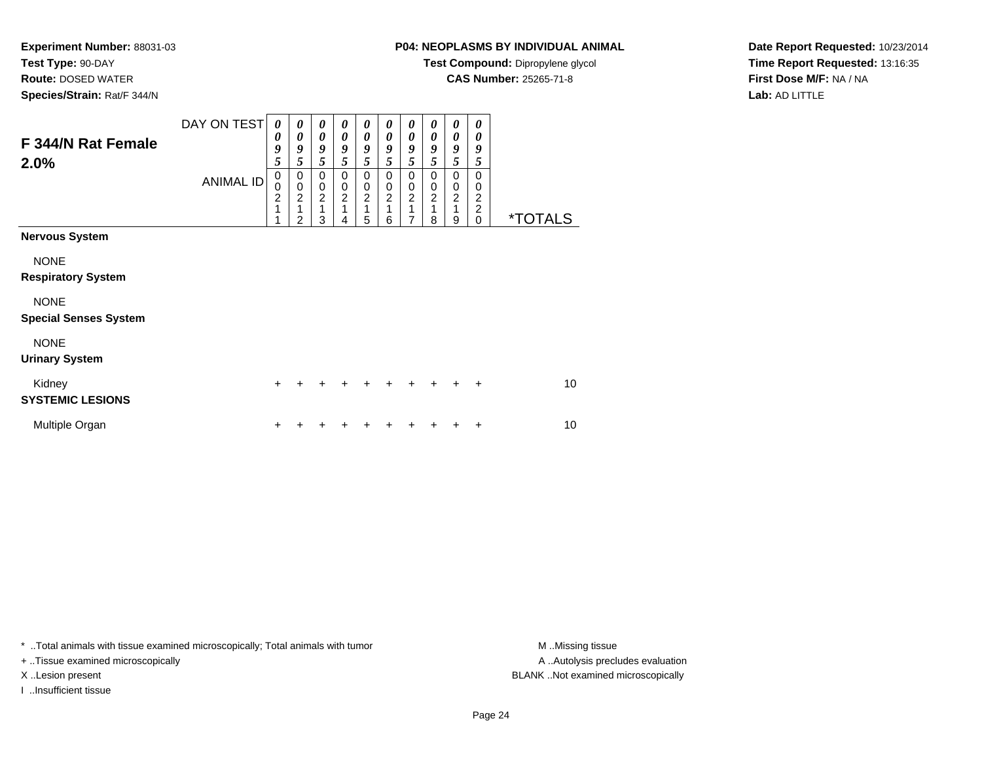**Test Type:** 90-DAY

**Route:** DOSED WATER

**Species/Strain:** Rat/F 344/N

# **P04: NEOPLASMS BY INDIVIDUAL ANIMAL**

**Test Compound:** Dipropylene glycol

**CAS Number:** 25265-71-8

**Date Report Requested:** 10/23/2014**Time Report Requested:** 13:16:35**First Dose M/F:** NA / NA**Lab:** AD LITTLE

| F 344/N Rat Female<br>2.0%                  | DAY ON TEST      | 0<br>0<br>9<br>5                              | 0<br>$\boldsymbol{\theta}$<br>9<br>5                 | 0<br>$\boldsymbol{\theta}$<br>9<br>5        | 0<br>0<br>9<br>5                             | 0<br>$\boldsymbol{\theta}$<br>9<br>5           | 0<br>$\boldsymbol{\theta}$<br>9<br>5           | 0<br>$\boldsymbol{\theta}$<br>9<br>5                   | 0<br>$\theta$<br>9<br>5                        | $\boldsymbol{\theta}$<br>$\boldsymbol{\theta}$<br>9<br>5 | 0<br>0<br>9<br>5                                    |                       |
|---------------------------------------------|------------------|-----------------------------------------------|------------------------------------------------------|---------------------------------------------|----------------------------------------------|------------------------------------------------|------------------------------------------------|--------------------------------------------------------|------------------------------------------------|----------------------------------------------------------|-----------------------------------------------------|-----------------------|
|                                             | <b>ANIMAL ID</b> | $\Omega$<br>0<br>$\overline{\mathbf{c}}$<br>1 | $\mathbf 0$<br>$\pmb{0}$<br>$\overline{c}$<br>1<br>2 | $\Omega$<br>0<br>$\boldsymbol{2}$<br>1<br>3 | $\mathbf 0$<br>0<br>$\overline{c}$<br>1<br>4 | $\mathbf 0$<br>0<br>$\boldsymbol{2}$<br>1<br>5 | $\mathbf 0$<br>0<br>$\boldsymbol{2}$<br>1<br>6 | $\Omega$<br>0<br>$\overline{2}$<br>1<br>$\overline{7}$ | $\mathbf 0$<br>0<br>$\boldsymbol{2}$<br>1<br>8 | $\mathbf 0$<br>0<br>$\overline{2}$<br>1<br>9             | $\mathbf 0$<br>0<br>2<br>$\overline{c}$<br>$\Omega$ | <i><b>*TOTALS</b></i> |
| <b>Nervous System</b>                       |                  |                                               |                                                      |                                             |                                              |                                                |                                                |                                                        |                                                |                                                          |                                                     |                       |
| <b>NONE</b><br><b>Respiratory System</b>    |                  |                                               |                                                      |                                             |                                              |                                                |                                                |                                                        |                                                |                                                          |                                                     |                       |
| <b>NONE</b><br><b>Special Senses System</b> |                  |                                               |                                                      |                                             |                                              |                                                |                                                |                                                        |                                                |                                                          |                                                     |                       |
| <b>NONE</b><br><b>Urinary System</b>        |                  |                                               |                                                      |                                             |                                              |                                                |                                                |                                                        |                                                |                                                          |                                                     |                       |
| Kidney<br><b>SYSTEMIC LESIONS</b>           |                  | +                                             |                                                      |                                             |                                              |                                                |                                                | +                                                      | +                                              | ÷                                                        | $\ddot{}$                                           | 10                    |
| Multiple Organ                              |                  |                                               |                                                      |                                             |                                              |                                                |                                                |                                                        |                                                |                                                          | ٠                                                   | 10                    |

\* ..Total animals with tissue examined microscopically; Total animals with tumor **M** . Missing tissue M ..Missing tissue

+ ..Tissue examined microscopically

I ..Insufficient tissue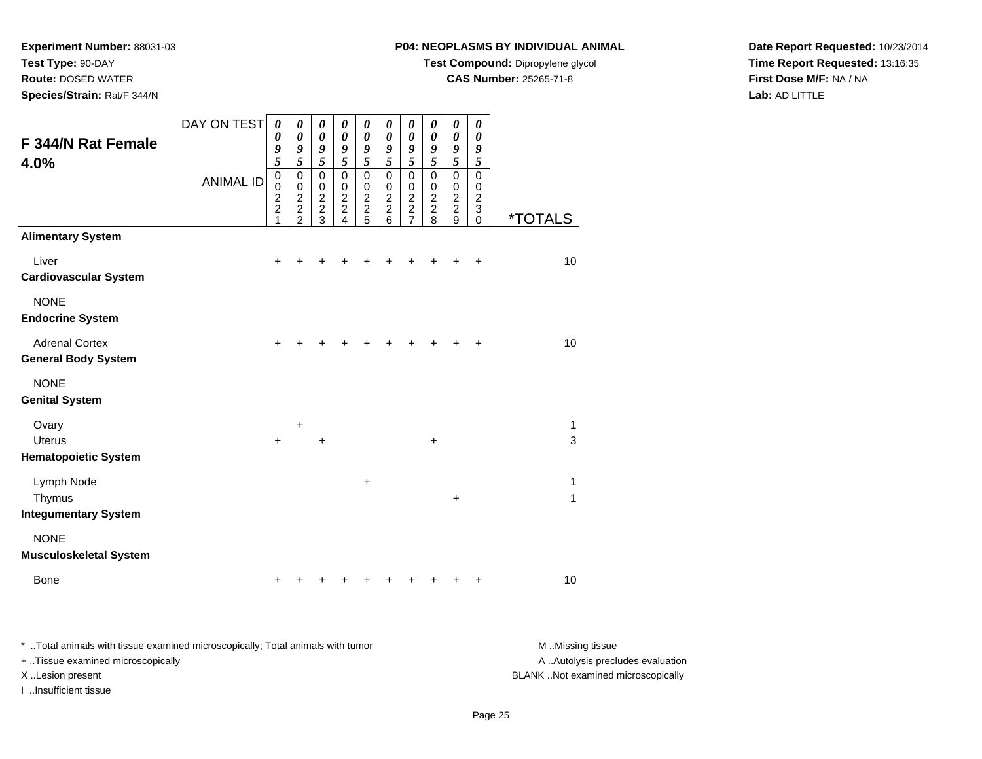**Test Type:** 90-DAY

**Route:** DOSED WATER

**Species/Strain:** Rat/F 344/N

# **P04: NEOPLASMS BY INDIVIDUAL ANIMAL**

**Test Compound:** Dipropylene glycol

**CAS Number:** 25265-71-8

**Date Report Requested:** 10/23/2014**Time Report Requested:** 13:16:35**First Dose M/F:** NA / NA**Lab:** AD LITTLE

| F 344/N Rat Female                                    | DAY ON TEST      | $\boldsymbol{\theta}$<br>$\boldsymbol{\theta}$<br>9<br>5       | 0<br>0<br>9<br>5                                       | 0<br>$\pmb{\theta}$<br>9                       | $\pmb{\theta}$<br>$\boldsymbol{\theta}$<br>9<br>5                     | $\boldsymbol{\theta}$<br>$\boldsymbol{\theta}$<br>9<br>5 | 0<br>$\boldsymbol{\theta}$<br>9                                                  | $\boldsymbol{\theta}$<br>0<br>9                                | $\boldsymbol{\theta}$<br>$\boldsymbol{\theta}$<br>9 | $\boldsymbol{\theta}$<br>$\boldsymbol{\theta}$<br>9 | 0<br>$\boldsymbol{\theta}$<br>9                                              |                       |
|-------------------------------------------------------|------------------|----------------------------------------------------------------|--------------------------------------------------------|------------------------------------------------|-----------------------------------------------------------------------|----------------------------------------------------------|----------------------------------------------------------------------------------|----------------------------------------------------------------|-----------------------------------------------------|-----------------------------------------------------|------------------------------------------------------------------------------|-----------------------|
| 4.0%                                                  | <b>ANIMAL ID</b> | $\mathbf 0$<br>$\begin{array}{c} 0 \\ 2 \\ 2 \end{array}$<br>1 | $\pmb{0}$<br>$\pmb{0}$<br>$\mathbf 2$<br>$\frac{2}{2}$ | 5<br>$\mathsf 0$<br>$\pmb{0}$<br>$\frac{2}{3}$ | $\mathbf 0$<br>$\mathbf 0$<br>$\boldsymbol{2}$<br>$\overline{c}$<br>4 | $\mathbf 0$<br>$\pmb{0}$<br>$\frac{2}{2}$<br>5           | $\sqrt{5}$<br>$\overline{0}$<br>$\mathbf 0$<br>$\sqrt{2}$<br>$\overline{c}$<br>6 | 5<br>$\pmb{0}$<br>$\pmb{0}$<br>$\frac{2}{2}$<br>$\overline{7}$ | 5<br>$\mathsf 0$<br>$\pmb{0}$<br>$\frac{2}{2}$<br>8 | $\sqrt{5}$<br>$\mathbf 0$<br>$0$<br>$2$<br>$9$      | 5<br>$\mathbf 0$<br>$\,0\,$<br>$\overline{c}$<br>$\mathbf{3}$<br>$\mathbf 0$ | <i><b>*TOTALS</b></i> |
| <b>Alimentary System</b>                              |                  |                                                                |                                                        |                                                |                                                                       |                                                          |                                                                                  |                                                                |                                                     |                                                     |                                                                              |                       |
| Liver<br><b>Cardiovascular System</b>                 |                  | ٠                                                              |                                                        |                                                |                                                                       |                                                          |                                                                                  |                                                                |                                                     |                                                     | ÷                                                                            | 10                    |
| <b>NONE</b><br><b>Endocrine System</b>                |                  |                                                                |                                                        |                                                |                                                                       |                                                          |                                                                                  |                                                                |                                                     |                                                     |                                                                              |                       |
| <b>Adrenal Cortex</b><br><b>General Body System</b>   |                  | +                                                              |                                                        |                                                |                                                                       |                                                          |                                                                                  |                                                                |                                                     |                                                     | ÷                                                                            | 10                    |
| <b>NONE</b><br><b>Genital System</b>                  |                  |                                                                |                                                        |                                                |                                                                       |                                                          |                                                                                  |                                                                |                                                     |                                                     |                                                                              |                       |
| Ovary<br><b>Uterus</b><br><b>Hematopoietic System</b> |                  | $\ddot{}$                                                      | $+$                                                    | ÷                                              |                                                                       |                                                          |                                                                                  |                                                                | $\ddot{}$                                           |                                                     |                                                                              | 1<br>3                |
| Lymph Node<br>Thymus<br><b>Integumentary System</b>   |                  |                                                                |                                                        |                                                |                                                                       | $\ddot{}$                                                |                                                                                  |                                                                |                                                     | $\ddot{}$                                           |                                                                              | 1<br>1                |
| <b>NONE</b><br><b>Musculoskeletal System</b>          |                  |                                                                |                                                        |                                                |                                                                       |                                                          |                                                                                  |                                                                |                                                     |                                                     |                                                                              |                       |
| Bone                                                  |                  |                                                                |                                                        |                                                |                                                                       |                                                          |                                                                                  |                                                                |                                                     |                                                     |                                                                              | 10                    |

\* ..Total animals with tissue examined microscopically; Total animals with tumor **M** . Missing tissue M ..Missing tissue A ..Autolysis precludes evaluation + ..Tissue examined microscopically X ..Lesion present BLANK ..Not examined microscopicallyI ..Insufficient tissue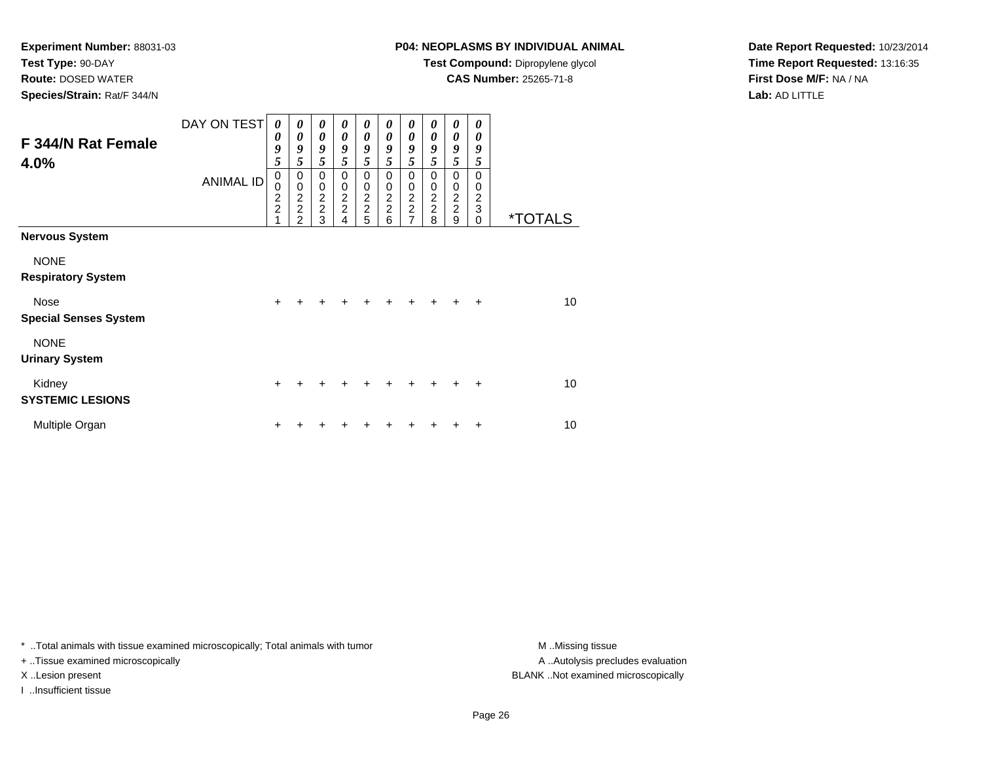**Test Type:** 90-DAY

**Route:** DOSED WATER

**Species/Strain:** Rat/F 344/N

# **P04: NEOPLASMS BY INDIVIDUAL ANIMAL**

**Test Compound:** Dipropylene glycol

**CAS Number:** 25265-71-8

**Date Report Requested:** 10/23/2014**Time Report Requested:** 13:16:35**First Dose M/F:** NA / NA**Lab:** AD LITTLE

| F 344/N Rat Female<br>4.0%               | DAY ON TEST      | 0<br>0<br>9<br>5                                     | 0<br>0<br>9<br>5                                  | 0<br>0<br>$\boldsymbol{g}$<br>5                                   | 0<br>0<br>9<br>5                                          | 0<br>$\boldsymbol{\theta}$<br>9<br>5              | 0<br>0<br>9<br>5                       | 0<br>0<br>9<br>5                          | 0<br>0<br>9<br>5             | 0<br>0<br>9<br>5             | 0<br>0<br>9<br>5                             |                       |
|------------------------------------------|------------------|------------------------------------------------------|---------------------------------------------------|-------------------------------------------------------------------|-----------------------------------------------------------|---------------------------------------------------|----------------------------------------|-------------------------------------------|------------------------------|------------------------------|----------------------------------------------|-----------------------|
|                                          | <b>ANIMAL ID</b> | $\mathbf 0$<br>0<br>$\overline{c}$<br>$\overline{2}$ | 0<br>$\pmb{0}$<br>$\frac{2}{2}$<br>$\mathfrak{p}$ | $\mathbf 0$<br>$\pmb{0}$<br>$\overline{2}$<br>$\overline{2}$<br>3 | 0<br>$\mathbf 0$<br>$\overline{c}$<br>$\overline{2}$<br>4 | 0<br>0<br>$\boldsymbol{2}$<br>$\overline{c}$<br>5 | 0<br>$\mathbf 0$<br>$\frac{2}{2}$<br>6 | 0<br>0<br>$\frac{2}{2}$<br>$\overline{7}$ | 0<br>0<br>$\frac{2}{2}$<br>8 | 0<br>0<br>$\frac{2}{2}$<br>9 | 0<br>0<br>$\overline{c}$<br>3<br>$\mathbf 0$ | <i><b>*TOTALS</b></i> |
| <b>Nervous System</b>                    |                  |                                                      |                                                   |                                                                   |                                                           |                                                   |                                        |                                           |                              |                              |                                              |                       |
| <b>NONE</b><br><b>Respiratory System</b> |                  |                                                      |                                                   |                                                                   |                                                           |                                                   |                                        |                                           |                              |                              |                                              |                       |
| Nose<br><b>Special Senses System</b>     |                  | $\ddot{}$                                            |                                                   |                                                                   |                                                           |                                                   |                                        |                                           |                              | $\ddot{}$                    | $\ddot{}$                                    | 10                    |
| <b>NONE</b><br><b>Urinary System</b>     |                  |                                                      |                                                   |                                                                   |                                                           |                                                   |                                        |                                           |                              |                              |                                              |                       |
| Kidney<br><b>SYSTEMIC LESIONS</b>        |                  | ÷                                                    |                                                   |                                                                   |                                                           |                                                   |                                        |                                           |                              |                              | ٠                                            | 10                    |
| Multiple Organ                           |                  |                                                      |                                                   |                                                                   |                                                           |                                                   |                                        |                                           |                              |                              | ٠                                            | 10                    |

\* ..Total animals with tissue examined microscopically; Total animals with tumor **M** . Missing tissue M ..Missing tissue

+ ..Tissue examined microscopically

I ..Insufficient tissue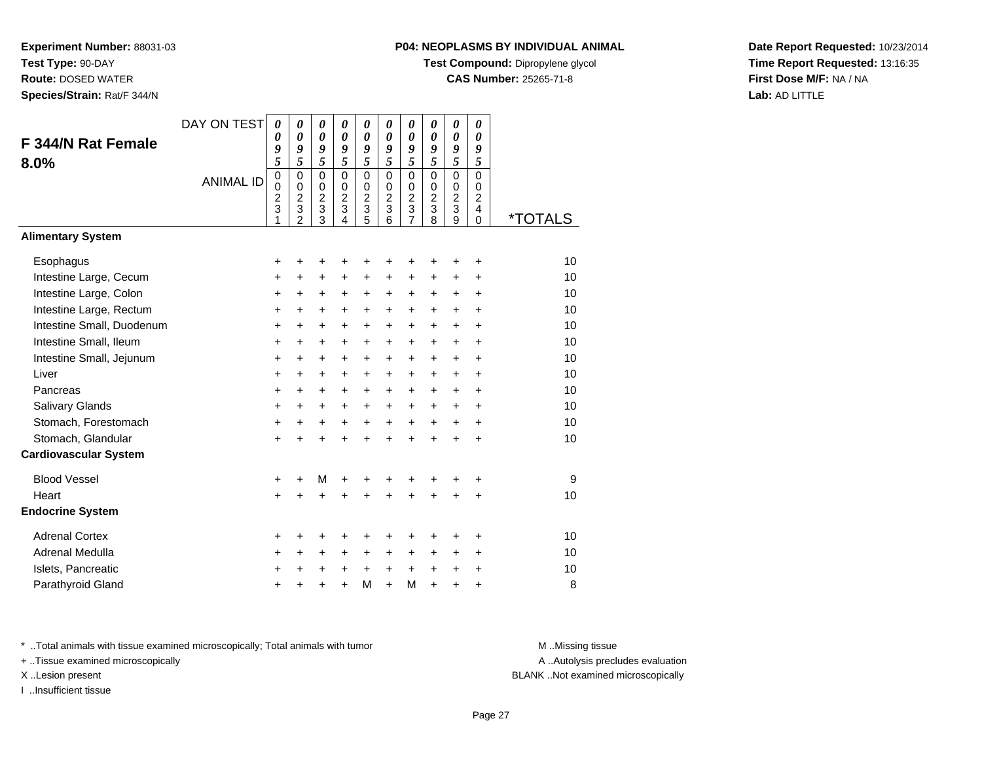**Test Type:** 90-DAY

**Route:** DOSED WATER

**Species/Strain:** Rat/F 344/N

# **P04: NEOPLASMS BY INDIVIDUAL ANIMAL**

**Test Compound:** Dipropylene glycol

**CAS Number:** 25265-71-8

**Date Report Requested:** 10/23/2014**Time Report Requested:** 13:16:35**First Dose M/F:** NA / NA**Lab:** AD LITTLE

| F 344/N Rat Female<br>8.0%   | DAY ON TEST<br><b>ANIMAL ID</b> | $\boldsymbol{\theta}$<br>0<br>9<br>5<br>$\pmb{0}$<br>0<br>$\overline{c}$<br>3<br>1 | 0<br>$\boldsymbol{\theta}$<br>9<br>$\overline{5}$<br>$\mathbf 0$<br>0<br>$\boldsymbol{2}$<br>$\overline{3}$<br>$\overline{2}$ | $\boldsymbol{\theta}$<br>$\boldsymbol{\theta}$<br>9<br>$\overline{5}$<br>$\mathbf 0$<br>$\mathbf 0$<br>$\overline{c}$<br>3<br>3 | 0<br>$\boldsymbol{\theta}$<br>9<br>5<br>$\Omega$<br>0<br>$\overline{c}$<br>$\ensuremath{\mathsf{3}}$<br>4 | 0<br>$\boldsymbol{\theta}$<br>9<br>5<br>$\mathbf 0$<br>$\mathbf 0$<br>$\overline{2}$<br>$\ensuremath{\mathsf{3}}$<br>$\overline{5}$ | 0<br>0<br>9<br>5<br>$\Omega$<br>$\Omega$<br>$\overline{2}$<br>$\mathbf{3}$<br>6 | 0<br>$\boldsymbol{\theta}$<br>9<br>5<br>$\mathbf 0$<br>0<br>$\overline{c}$<br>$\mathbf{3}$<br>$\overline{7}$ | 0<br>0<br>9<br>5<br>$\mathbf 0$<br>0<br>$\overline{2}$<br>$\mathbf{3}$<br>8 | 0<br>0<br>9<br>5<br>$\mathsf 0$<br>0<br>$\overline{2}$<br>$\overline{3}$<br>9 | 0<br>0<br>9<br>5<br>$\Omega$<br>$\Omega$<br>$\overline{c}$<br>4<br>0 | <i><b>*TOTALS</b></i> |
|------------------------------|---------------------------------|------------------------------------------------------------------------------------|-------------------------------------------------------------------------------------------------------------------------------|---------------------------------------------------------------------------------------------------------------------------------|-----------------------------------------------------------------------------------------------------------|-------------------------------------------------------------------------------------------------------------------------------------|---------------------------------------------------------------------------------|--------------------------------------------------------------------------------------------------------------|-----------------------------------------------------------------------------|-------------------------------------------------------------------------------|----------------------------------------------------------------------|-----------------------|
| <b>Alimentary System</b>     |                                 |                                                                                    |                                                                                                                               |                                                                                                                                 |                                                                                                           |                                                                                                                                     |                                                                                 |                                                                                                              |                                                                             |                                                                               |                                                                      |                       |
| Esophagus                    |                                 | +                                                                                  | +                                                                                                                             | +                                                                                                                               |                                                                                                           | +                                                                                                                                   | ٠                                                                               | +                                                                                                            |                                                                             | +                                                                             | +                                                                    | 10                    |
| Intestine Large, Cecum       |                                 | +                                                                                  | $\ddot{}$                                                                                                                     | $\ddot{}$                                                                                                                       | $\ddot{}$                                                                                                 | $\ddot{}$                                                                                                                           | $\ddot{}$                                                                       | $\ddot{}$                                                                                                    | $\ddot{}$                                                                   | $\ddot{}$                                                                     | +                                                                    | 10                    |
| Intestine Large, Colon       |                                 | +                                                                                  | $\ddot{}$                                                                                                                     | $\ddot{}$                                                                                                                       | +                                                                                                         | +                                                                                                                                   | $\ddot{}$                                                                       | +                                                                                                            | $\ddot{}$                                                                   | $\ddot{}$                                                                     | $\ddot{}$                                                            | 10                    |
| Intestine Large, Rectum      |                                 | +                                                                                  | $\ddot{}$                                                                                                                     | $\ddot{}$                                                                                                                       | $\ddot{}$                                                                                                 | $\ddot{}$                                                                                                                           | $\ddot{}$                                                                       | $\ddot{}$                                                                                                    | $\ddot{}$                                                                   | $\ddot{}$                                                                     | +                                                                    | 10                    |
| Intestine Small, Duodenum    |                                 | +                                                                                  | $\ddot{}$                                                                                                                     | $\ddot{}$                                                                                                                       | $\ddot{}$                                                                                                 | $\ddot{}$                                                                                                                           | $\ddot{}$                                                                       | $\ddot{}$                                                                                                    | $\ddot{}$                                                                   | $\ddot{}$                                                                     | $\ddot{}$                                                            | 10                    |
| Intestine Small, Ileum       |                                 | $\ddot{}$                                                                          | $\ddot{}$                                                                                                                     | $\ddot{}$                                                                                                                       | $\ddot{}$                                                                                                 | $\ddot{}$                                                                                                                           | $\ddot{}$                                                                       | $\ddot{}$                                                                                                    | $\ddot{}$                                                                   | $\ddot{}$                                                                     | $\ddot{}$                                                            | 10                    |
| Intestine Small, Jejunum     |                                 | $\ddot{}$                                                                          | $\ddot{}$                                                                                                                     | $\ddot{}$                                                                                                                       | $\ddot{}$                                                                                                 | $\ddot{}$                                                                                                                           | $\ddot{}$                                                                       | $\ddot{}$                                                                                                    | $+$                                                                         | $\ddot{}$                                                                     | $\ddot{}$                                                            | 10                    |
| Liver                        |                                 | +                                                                                  | $\ddot{}$                                                                                                                     | $\ddot{}$                                                                                                                       | $\ddot{}$                                                                                                 | $\ddot{}$                                                                                                                           | $\ddot{}$                                                                       | $\ddot{}$                                                                                                    | $\ddot{}$                                                                   | $\ddot{}$                                                                     | $\ddot{}$                                                            | 10                    |
| Pancreas                     |                                 | +                                                                                  | +                                                                                                                             | $\ddot{}$                                                                                                                       | +                                                                                                         | $\ddot{}$                                                                                                                           | $\ddot{}$                                                                       | $\ddot{}$                                                                                                    | $\ddot{}$                                                                   | $+$                                                                           | +                                                                    | 10                    |
| Salivary Glands              |                                 | $\ddot{}$                                                                          | $\ddot{}$                                                                                                                     | $\ddot{}$                                                                                                                       | $\ddot{}$                                                                                                 | $\ddot{}$                                                                                                                           | $\ddot{}$                                                                       | $\ddot{}$                                                                                                    | $\ddot{}$                                                                   | $\ddot{}$                                                                     | $\ddot{}$                                                            | 10                    |
| Stomach, Forestomach         |                                 | $\ddot{}$                                                                          | $\ddot{}$                                                                                                                     | $\ddot{}$                                                                                                                       | $\ddot{}$                                                                                                 | $\ddot{}$                                                                                                                           | $+$                                                                             | $\ddot{}$                                                                                                    | $+$                                                                         | $+$                                                                           | $\ddot{}$                                                            | 10                    |
| Stomach, Glandular           |                                 | $\ddot{}$                                                                          | $\ddot{}$                                                                                                                     | $\ddot{}$                                                                                                                       |                                                                                                           | $\ddot{}$                                                                                                                           | $\ddot{}$                                                                       | $\ddot{}$                                                                                                    | $\ddot{}$                                                                   | $\ddot{}$                                                                     | $\ddot{}$                                                            | 10                    |
| <b>Cardiovascular System</b> |                                 |                                                                                    |                                                                                                                               |                                                                                                                                 |                                                                                                           |                                                                                                                                     |                                                                                 |                                                                                                              |                                                                             |                                                                               |                                                                      |                       |
| <b>Blood Vessel</b>          |                                 | +                                                                                  | $\ddot{}$                                                                                                                     | M                                                                                                                               | +                                                                                                         | +                                                                                                                                   | +                                                                               | +                                                                                                            | +                                                                           | +                                                                             | +                                                                    | 9                     |
| Heart                        |                                 | +                                                                                  |                                                                                                                               | $\ddot{}$                                                                                                                       |                                                                                                           | +                                                                                                                                   |                                                                                 | $\ddot{}$                                                                                                    |                                                                             | +                                                                             | +                                                                    | 10                    |
| <b>Endocrine System</b>      |                                 |                                                                                    |                                                                                                                               |                                                                                                                                 |                                                                                                           |                                                                                                                                     |                                                                                 |                                                                                                              |                                                                             |                                                                               |                                                                      |                       |
| <b>Adrenal Cortex</b>        |                                 | +                                                                                  | +                                                                                                                             | +                                                                                                                               | +                                                                                                         | +                                                                                                                                   | +                                                                               | +                                                                                                            | +                                                                           | +                                                                             | +                                                                    | 10                    |
| Adrenal Medulla              |                                 | $\ddot{}$                                                                          | $\ddot{}$                                                                                                                     | $\ddot{}$                                                                                                                       | $\ddot{}$                                                                                                 | $\ddot{}$                                                                                                                           | $\ddot{}$                                                                       | +                                                                                                            | $\ddot{}$                                                                   | $\ddot{}$                                                                     | $\ddot{}$                                                            | 10                    |
| Islets, Pancreatic           |                                 | +                                                                                  | +                                                                                                                             | +                                                                                                                               | +                                                                                                         | $\ddot{}$                                                                                                                           | $\ddot{}$                                                                       | $\ddot{}$                                                                                                    | $\ddot{}$                                                                   | $\ddot{}$                                                                     | +                                                                    | 10                    |
| Parathyroid Gland            |                                 | +                                                                                  |                                                                                                                               | +                                                                                                                               | $\ddot{}$                                                                                                 | M                                                                                                                                   | $\ddot{}$                                                                       | M                                                                                                            | $\ddot{}$                                                                   | +                                                                             | +                                                                    | 8                     |

\* ..Total animals with tissue examined microscopically; Total animals with tumor **M** . Missing tissue M ..Missing tissue

+ ..Tissue examined microscopically

I ..Insufficient tissue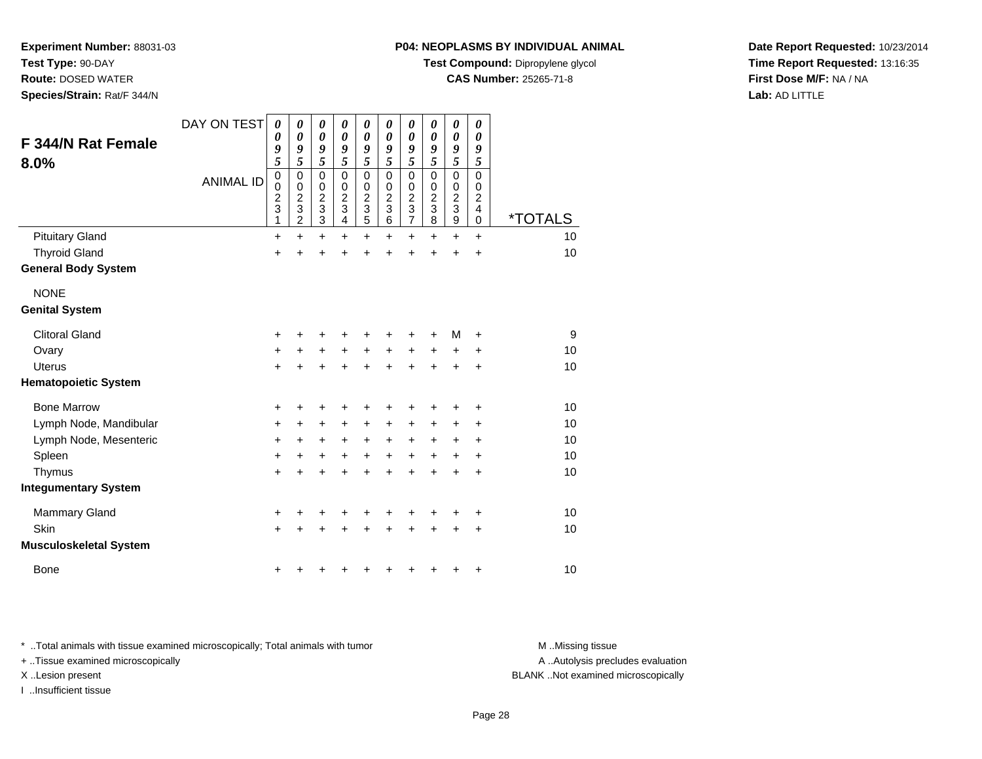**Test Type:** 90-DAY

**Route:** DOSED WATER

**Species/Strain:** Rat/F 344/N

#### **P04: NEOPLASMS BY INDIVIDUAL ANIMAL**

**Test Compound:** Dipropylene glycol

**CAS Number:** 25265-71-8

**Date Report Requested:** 10/23/2014**Time Report Requested:** 13:16:35**First Dose M/F:** NA / NA**Lab:** AD LITTLE

| F 344/N Rat Female            | DAY ON TEST      | 0<br>0                                           | 0<br>0                                              | 0<br>0                                                | 0<br>0                | 0<br>0                                                | 0<br>$\boldsymbol{\theta}$         | 0<br>$\boldsymbol{\theta}$                         | 0<br>0                                       | 0<br>0                                                                 | 0<br>0                                                    |                       |
|-------------------------------|------------------|--------------------------------------------------|-----------------------------------------------------|-------------------------------------------------------|-----------------------|-------------------------------------------------------|------------------------------------|----------------------------------------------------|----------------------------------------------|------------------------------------------------------------------------|-----------------------------------------------------------|-----------------------|
| 8.0%                          |                  | 9<br>5                                           | 9<br>5                                              | 9<br>5                                                | 9<br>5                | 9<br>5                                                | 9<br>5                             | 9<br>5                                             | 9<br>5                                       | 9<br>5                                                                 | 9<br>5                                                    |                       |
|                               | <b>ANIMAL ID</b> | $\mathbf 0$<br>$\mathbf 0$<br>$\frac{2}{3}$<br>1 | $\mathbf 0$<br>0<br>$\overline{c}$<br>$\frac{1}{2}$ | $\mathbf 0$<br>0<br>$\boldsymbol{2}$<br>$\frac{1}{3}$ | 0<br>0<br>2<br>3<br>4 | $\mathbf 0$<br>0<br>$\boldsymbol{2}$<br>$\frac{1}{5}$ | 0<br>0<br>$\overline{2}$<br>3<br>6 | 0<br>0<br>$\overline{\mathbf{c}}$<br>$\frac{1}{7}$ | $\mathbf 0$<br>0<br>$\overline{c}$<br>3<br>8 | $\pmb{0}$<br>0<br>$\overline{c}$<br>$\overline{3}$<br>$\boldsymbol{9}$ | $\mathbf 0$<br>0<br>$\overline{2}$<br>$\overline{4}$<br>0 | <i><b>*TOTALS</b></i> |
| <b>Pituitary Gland</b>        |                  | $+$                                              | $\ddot{}$                                           | $+$                                                   | $\ddot{}$             | $\ddot{}$                                             | $\ddot{}$                          | $\ddot{}$                                          | $\ddot{}$                                    | $+$                                                                    | $+$                                                       | 10                    |
| <b>Thyroid Gland</b>          |                  | $\ddot{}$                                        | $\ddot{}$                                           | +                                                     | +                     | $\ddot{}$                                             | +                                  | $\ddot{}$                                          | $\ddot{}$                                    | $\ddot{}$                                                              | $\ddot{}$                                                 | 10                    |
| <b>General Body System</b>    |                  |                                                  |                                                     |                                                       |                       |                                                       |                                    |                                                    |                                              |                                                                        |                                                           |                       |
| <b>NONE</b>                   |                  |                                                  |                                                     |                                                       |                       |                                                       |                                    |                                                    |                                              |                                                                        |                                                           |                       |
| <b>Genital System</b>         |                  |                                                  |                                                     |                                                       |                       |                                                       |                                    |                                                    |                                              |                                                                        |                                                           |                       |
| <b>Clitoral Gland</b>         |                  | +                                                | +                                                   | ٠                                                     | +                     | +                                                     | +                                  | ٠                                                  | ÷                                            | М                                                                      | $\ddot{}$                                                 | 9                     |
| Ovary                         |                  | $\ddot{}$                                        | $\ddot{}$                                           | $+$                                                   | $\ddot{}$             | $+$                                                   | $+$                                | $+$                                                | $\ddot{}$                                    | $+$                                                                    | $\ddot{}$                                                 | 10                    |
| <b>Uterus</b>                 |                  | $+$                                              | $\ddot{}$                                           | $+$                                                   | $\ddot{}$             | $\ddot{}$                                             | $\ddot{}$                          | $\ddot{}$                                          | $\ddot{}$                                    | $\ddot{}$                                                              | $\ddot{}$                                                 | 10                    |
| <b>Hematopoietic System</b>   |                  |                                                  |                                                     |                                                       |                       |                                                       |                                    |                                                    |                                              |                                                                        |                                                           |                       |
| <b>Bone Marrow</b>            |                  | +                                                | +                                                   | +                                                     | +                     |                                                       |                                    |                                                    |                                              |                                                                        | +                                                         | 10                    |
| Lymph Node, Mandibular        |                  | $\ddot{}$                                        | +                                                   | +                                                     | +                     | +                                                     | +                                  | +                                                  | +                                            | ٠                                                                      | ٠                                                         | 10                    |
| Lymph Node, Mesenteric        |                  | +                                                | $\pm$                                               | $\ddot{}$                                             | +                     | $\ddot{}$                                             | +                                  | $\ddot{}$                                          | +                                            | $\ddot{}$                                                              | $\ddot{}$                                                 | 10                    |
| Spleen                        |                  | $+$                                              | +                                                   | $\pm$                                                 | $\ddot{}$             | $\ddot{}$                                             | $\ddot{}$                          | $\ddot{}$                                          | $\ddot{}$                                    | $\ddot{}$                                                              | $\ddot{}$                                                 | 10                    |
| Thymus                        |                  | $\ddot{}$                                        | $\ddot{}$                                           | $\ddot{}$                                             | $\ddot{}$             | $\ddot{}$                                             | $\ddot{}$                          | $\ddot{}$                                          | $\ddot{}$                                    | $\ddot{}$                                                              | $\ddot{}$                                                 | 10                    |
| <b>Integumentary System</b>   |                  |                                                  |                                                     |                                                       |                       |                                                       |                                    |                                                    |                                              |                                                                        |                                                           |                       |
| <b>Mammary Gland</b>          |                  | +                                                |                                                     |                                                       |                       |                                                       |                                    |                                                    |                                              |                                                                        | +                                                         | 10                    |
| Skin                          |                  | $\ddot{}$                                        |                                                     | +                                                     | +                     | +                                                     |                                    | +                                                  |                                              |                                                                        | +                                                         | 10                    |
| <b>Musculoskeletal System</b> |                  |                                                  |                                                     |                                                       |                       |                                                       |                                    |                                                    |                                              |                                                                        |                                                           |                       |
| <b>Bone</b>                   |                  | +                                                |                                                     | ٠                                                     |                       | ٠                                                     |                                    | ٠                                                  |                                              |                                                                        | +                                                         | 10                    |

\* ..Total animals with tissue examined microscopically; Total animals with tumor **M** . Missing tissue M ..Missing tissue

+ ..Tissue examined microscopically

I ..Insufficient tissue